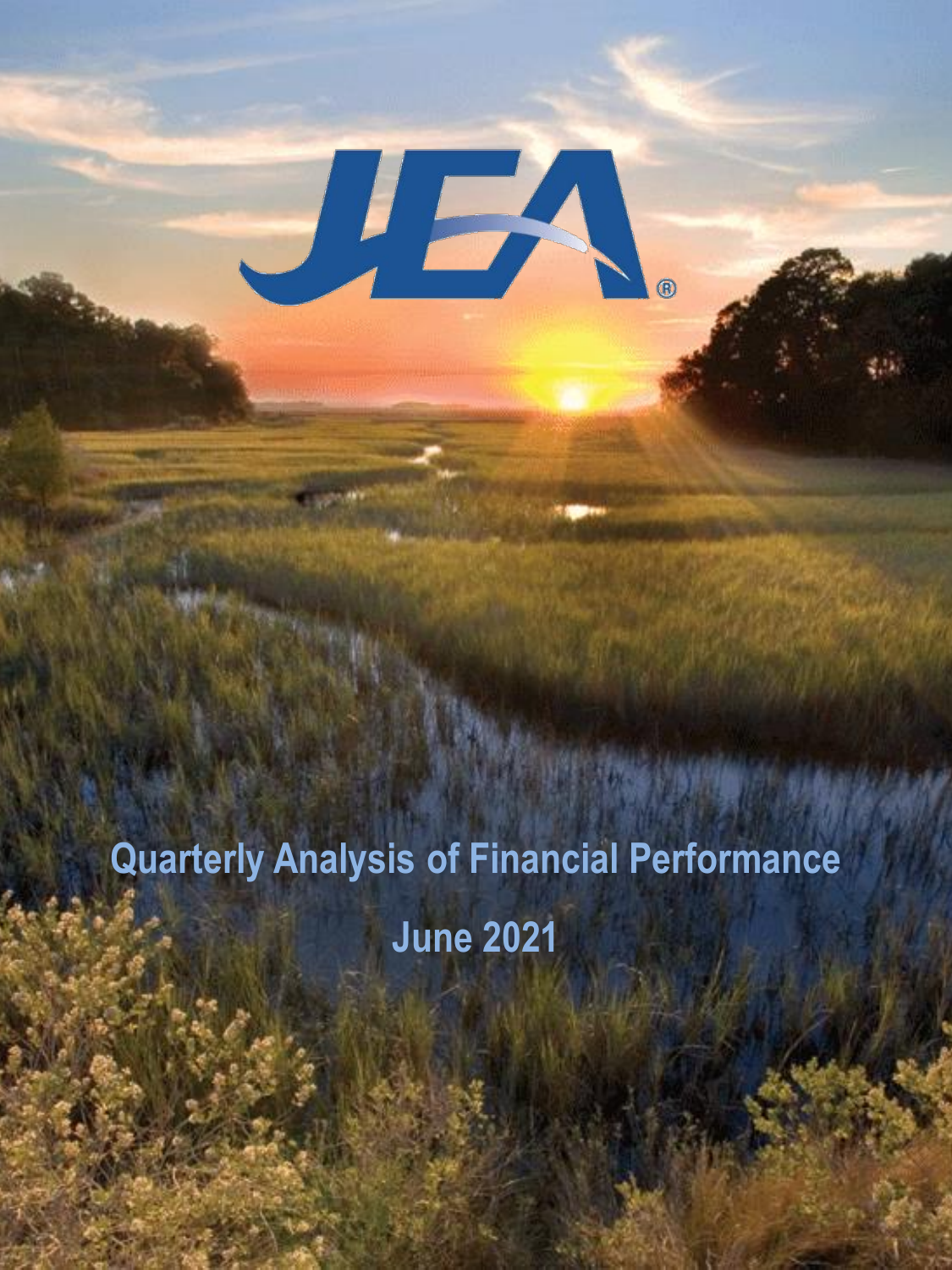# JEA.

# **Quarterly Analysis of Financial Performance June 2021**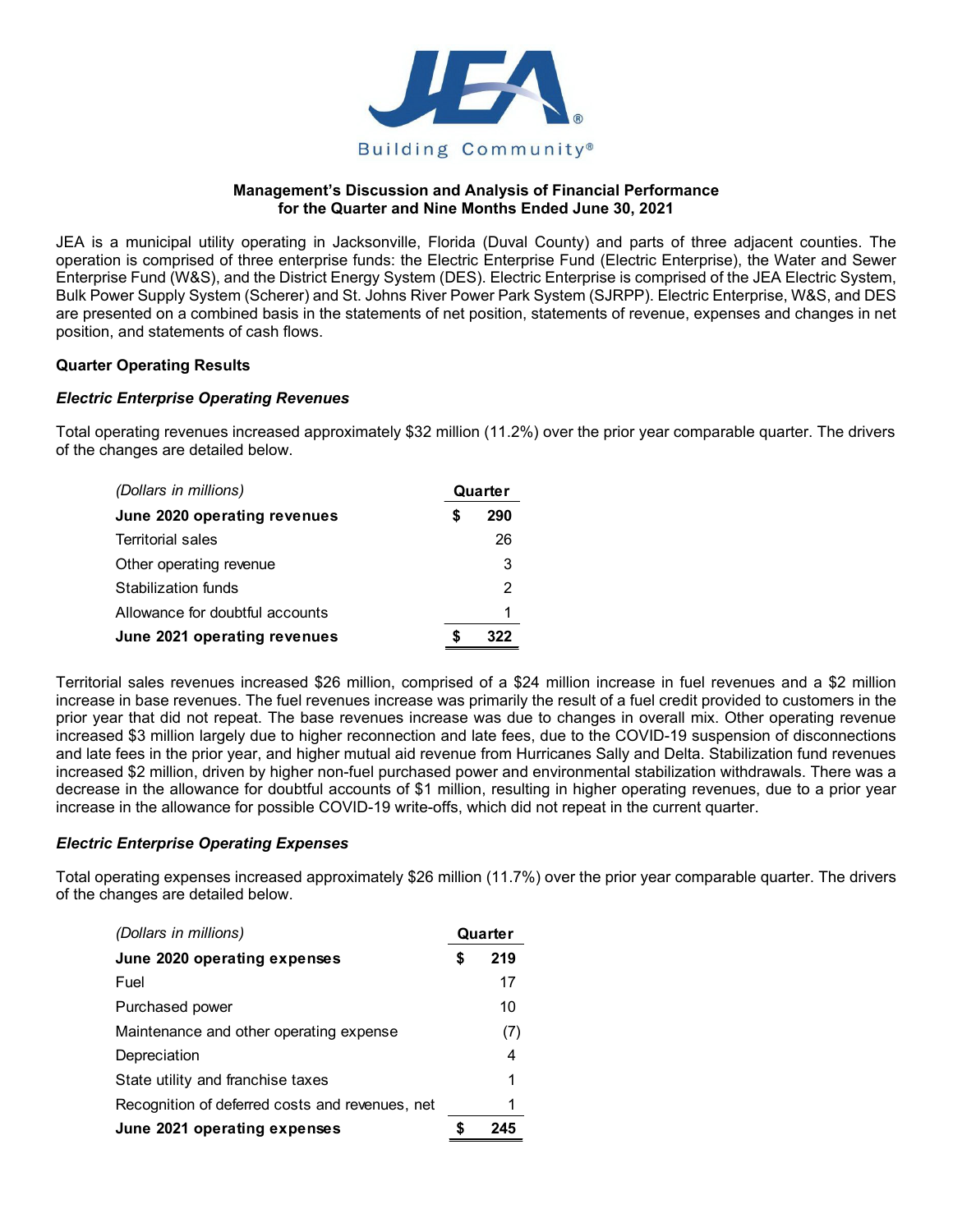

# **Management's Discussion and Analysis of Financial Performance for the Quarter and Nine Months Ended June 30, 2021**

JEA is a municipal utility operating in Jacksonville, Florida (Duval County) and parts of three adjacent counties. The operation is comprised of three enterprise funds: the Electric Enterprise Fund (Electric Enterprise), the Water and Sewer Enterprise Fund (W&S), and the District Energy System (DES). Electric Enterprise is comprised of the JEA Electric System, Bulk Power Supply System (Scherer) and St. Johns River Power Park System (SJRPP). Electric Enterprise, W&S, and DES are presented on a combined basis in the statements of net position, statements of revenue, expenses and changes in net position, and statements of cash flows.

# **Quarter Operating Results**

# *Electric Enterprise Operating Revenues*

Total operating revenues increased approximately \$32 million (11.2%) over the prior year comparable quarter. The drivers of the changes are detailed below.

| (Dollars in millions)           | Quarter |     |
|---------------------------------|---------|-----|
| June 2020 operating revenues    | S       | 290 |
| Territorial sales               |         | 26  |
| Other operating revenue         |         | 3   |
| Stabilization funds             |         | 2   |
| Allowance for doubtful accounts |         | 1   |
| June 2021 operating revenues    |         | 322 |

Territorial sales revenues increased \$26 million, comprised of a \$24 million increase in fuel revenues and a \$2 million increase in base revenues. The fuel revenues increase was primarily the result of a fuel credit provided to customers in the prior year that did not repeat. The base revenues increase was due to changes in overall mix. Other operating revenue increased \$3 million largely due to higher reconnection and late fees, due to the COVID-19 suspension of disconnections and late fees in the prior year, and higher mutual aid revenue from Hurricanes Sally and Delta. Stabilization fund revenues increased \$2 million, driven by higher non-fuel purchased power and environmental stabilization withdrawals. There was a decrease in the allowance for doubtful accounts of \$1 million, resulting in higher operating revenues, due to a prior year increase in the allowance for possible COVID-19 write-offs, which did not repeat in the current quarter.

# *Electric Enterprise Operating Expenses*

Total operating expenses increased approximately \$26 million (11.7%) over the prior year comparable quarter. The drivers of the changes are detailed below.

| (Dollars in millions)                           | Quarter |     |
|-------------------------------------------------|---------|-----|
| June 2020 operating expenses                    | S       | 219 |
| Fuel                                            |         | 17  |
| Purchased power                                 |         | 10  |
| Maintenance and other operating expense         |         | (7) |
| Depreciation                                    |         | 4   |
| State utility and franchise taxes               |         | 1   |
| Recognition of deferred costs and revenues, net |         | 1   |
| June 2021 operating expenses                    |         | 245 |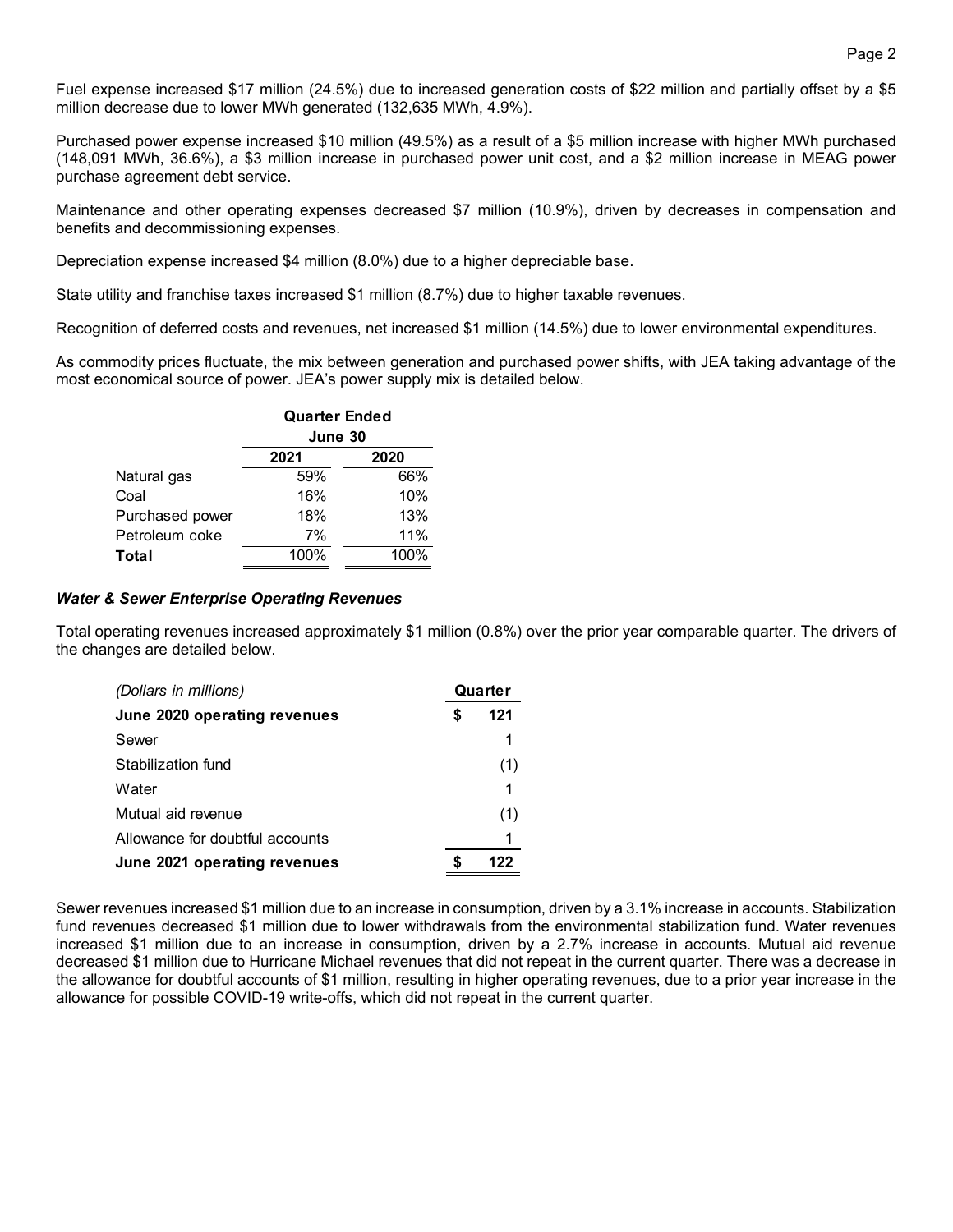Fuel expense increased \$17 million (24.5%) due to increased generation costs of \$22 million and partially offset by a \$5 million decrease due to lower MWh generated (132,635 MWh, 4.9%).

Purchased power expense increased \$10 million (49.5%) as a result of a \$5 million increase with higher MWh purchased (148,091 MWh, 36.6%), a \$3 million increase in purchased power unit cost, and a \$2 million increase in MEAG power purchase agreement debt service.

Maintenance and other operating expenses decreased \$7 million (10.9%), driven by decreases in compensation and benefits and decommissioning expenses.

Depreciation expense increased \$4 million (8.0%) due to a higher depreciable base.

State utility and franchise taxes increased \$1 million (8.7%) due to higher taxable revenues.

Recognition of deferred costs and revenues, net increased \$1 million (14.5%) due to lower environmental expenditures.

As commodity prices fluctuate, the mix between generation and purchased power shifts, with JEA taking advantage of the most economical source of power. JEA's power supply mix is detailed below.

|                 | <b>Quarter Ended</b><br>June 30 |      |  |  |
|-----------------|---------------------------------|------|--|--|
|                 | 2021                            | 2020 |  |  |
| Natural gas     | 59%                             | 66%  |  |  |
| Coal            | 16%                             | 10%  |  |  |
| Purchased power | 18%                             | 13%  |  |  |
| Petroleum coke  | 7%                              | 11%  |  |  |
| Total           | 100%                            | 100% |  |  |

# *Water & Sewer Enterprise Operating Revenues*

Total operating revenues increased approximately \$1 million (0.8%) over the prior year comparable quarter. The drivers of the changes are detailed below.

| (Dollars in millions)           | Quarter |     |
|---------------------------------|---------|-----|
| June 2020 operating revenues    | S       | 121 |
| Sewer                           |         |     |
| Stabilization fund              |         | (1) |
| Water                           |         | 1   |
| Mutual aid revenue              |         | (1) |
| Allowance for doubtful accounts |         |     |
| June 2021 operating revenues    |         | 122 |

Sewer revenues increased \$1 million due to an increase in consumption, driven by a 3.1% increase in accounts. Stabilization fund revenues decreased \$1 million due to lower withdrawals from the environmental stabilization fund. Water revenues increased \$1 million due to an increase in consumption, driven by a 2.7% increase in accounts. Mutual aid revenue decreased \$1 million due to Hurricane Michael revenues that did not repeat in the current quarter. There was a decrease in the allowance for doubtful accounts of \$1 million, resulting in higher operating revenues, due to a prior year increase in the allowance for possible COVID-19 write-offs, which did not repeat in the current quarter.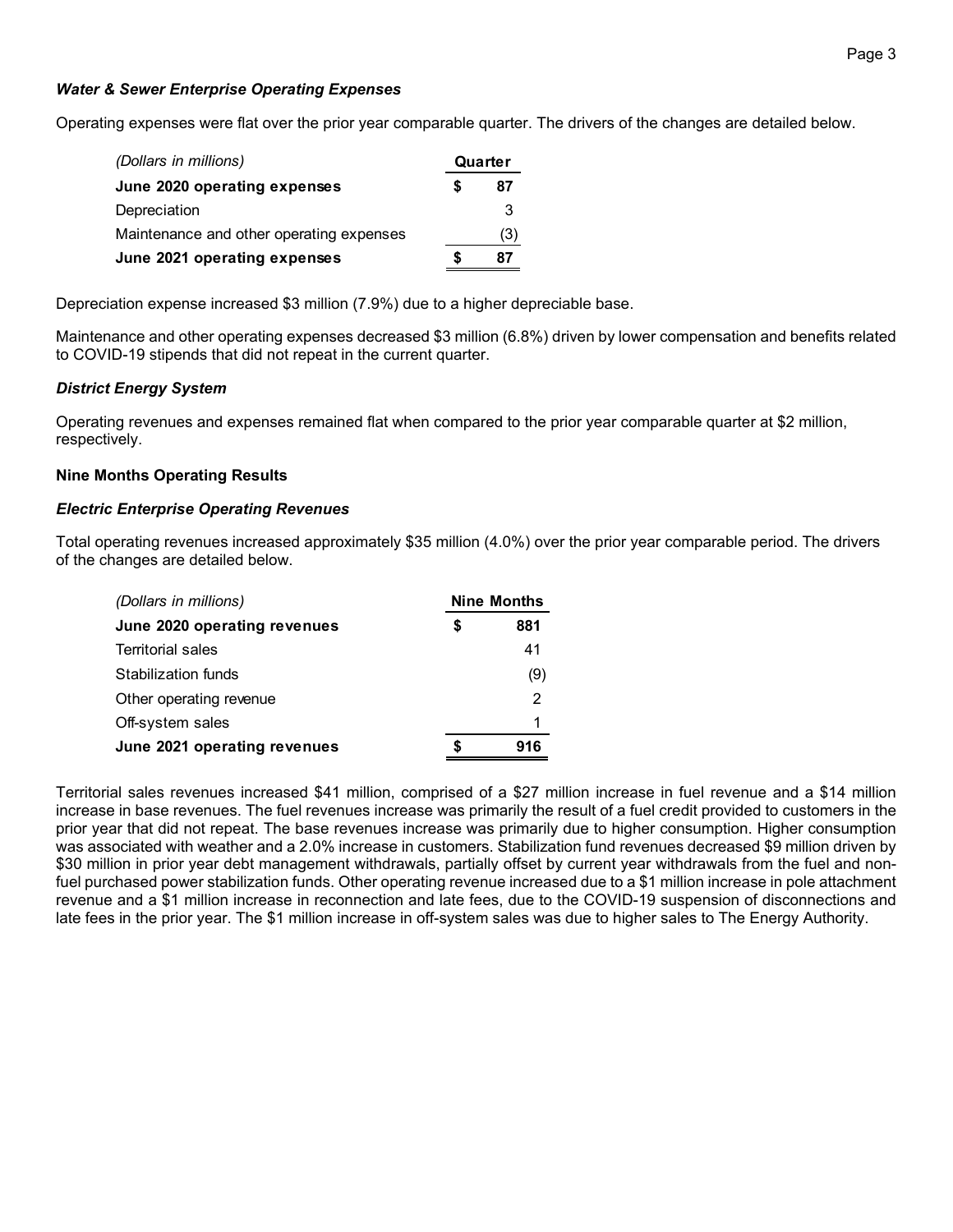# *Water & Sewer Enterprise Operating Expenses*

Operating expenses were flat over the prior year comparable quarter. The drivers of the changes are detailed below.

| (Dollars in millions)                    | Quarter |     |
|------------------------------------------|---------|-----|
| June 2020 operating expenses             |         | 87  |
| Depreciation                             |         | 3   |
| Maintenance and other operating expenses |         | (3) |
| June 2021 operating expenses             |         | 87  |

Depreciation expense increased \$3 million (7.9%) due to a higher depreciable base.

Maintenance and other operating expenses decreased \$3 million (6.8%) driven by lower compensation and benefits related to COVID-19 stipends that did not repeat in the current quarter.

# *District Energy System*

Operating revenues and expenses remained flat when compared to the prior year comparable quarter at \$2 million, respectively.

# **Nine Months Operating Results**

### *Electric Enterprise Operating Revenues*

Total operating revenues increased approximately \$35 million (4.0%) over the prior year comparable period. The drivers of the changes are detailed below.

| (Dollars in millions)        | <b>Nine Months</b> |     |
|------------------------------|--------------------|-----|
| June 2020 operating revenues | S                  | 881 |
| <b>Territorial sales</b>     |                    | 41  |
| Stabilization funds          |                    | (9) |
| Other operating revenue      |                    | 2   |
| Off-system sales             |                    | 1   |
| June 2021 operating revenues |                    | 916 |

Territorial sales revenues increased \$41 million, comprised of a \$27 million increase in fuel revenue and a \$14 million increase in base revenues. The fuel revenues increase was primarily the result of a fuel credit provided to customers in the prior year that did not repeat. The base revenues increase was primarily due to higher consumption. Higher consumption was associated with weather and a 2.0% increase in customers. Stabilization fund revenues decreased \$9 million driven by \$30 million in prior year debt management withdrawals, partially offset by current year withdrawals from the fuel and nonfuel purchased power stabilization funds. Other operating revenue increased due to a \$1 million increase in pole attachment revenue and a \$1 million increase in reconnection and late fees, due to the COVID-19 suspension of disconnections and late fees in the prior year. The \$1 million increase in off-system sales was due to higher sales to The Energy Authority.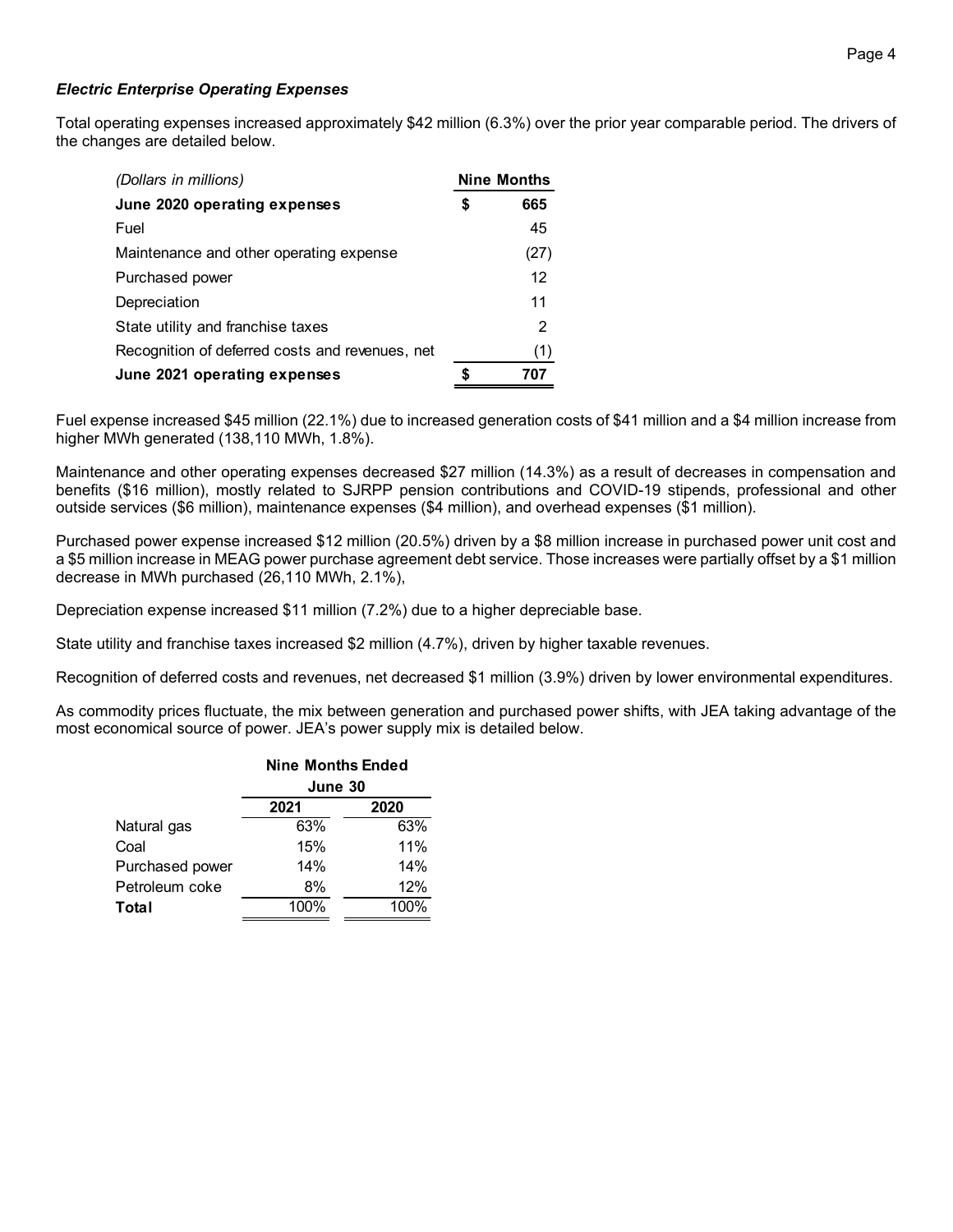# *Electric Enterprise Operating Expenses*

Total operating expenses increased approximately \$42 million (6.3%) over the prior year comparable period. The drivers of the changes are detailed below.

| (Dollars in millions)                           | <b>Nine Months</b> |
|-------------------------------------------------|--------------------|
| June 2020 operating expenses                    | \$<br>665          |
| Fuel                                            | 45                 |
| Maintenance and other operating expense         | (27)               |
| Purchased power                                 | 12                 |
| Depreciation                                    | 11                 |
| State utility and franchise taxes               | 2                  |
| Recognition of deferred costs and revenues, net | (1)                |
| June 2021 operating expenses                    | 707                |

Fuel expense increased \$45 million (22.1%) due to increased generation costs of \$41 million and a \$4 million increase from higher MWh generated (138,110 MWh, 1.8%).

Maintenance and other operating expenses decreased \$27 million (14.3%) as a result of decreases in compensation and benefits (\$16 million), mostly related to SJRPP pension contributions and COVID-19 stipends, professional and other outside services (\$6 million), maintenance expenses (\$4 million), and overhead expenses (\$1 million).

Purchased power expense increased \$12 million (20.5%) driven by a \$8 million increase in purchased power unit cost and a \$5 million increase in MEAG power purchase agreement debt service. Those increases were partially offset by a \$1 million decrease in MWh purchased (26,110 MWh, 2.1%),

Depreciation expense increased \$11 million (7.2%) due to a higher depreciable base.

State utility and franchise taxes increased \$2 million (4.7%), driven by higher taxable revenues.

Recognition of deferred costs and revenues, net decreased \$1 million (3.9%) driven by lower environmental expenditures.

As commodity prices fluctuate, the mix between generation and purchased power shifts, with JEA taking advantage of the most economical source of power. JEA's power supply mix is detailed below.

|                 | <b>Nine Months Ended</b><br>June 30<br>2021<br>2020 |      |  |  |
|-----------------|-----------------------------------------------------|------|--|--|
|                 |                                                     |      |  |  |
| Natural gas     | 63%                                                 | 63%  |  |  |
| Coal            | 15%                                                 | 11%  |  |  |
| Purchased power | 14%                                                 | 14%  |  |  |
| Petroleum coke  | 8%                                                  | 12%  |  |  |
| Total           | 100%                                                | 100% |  |  |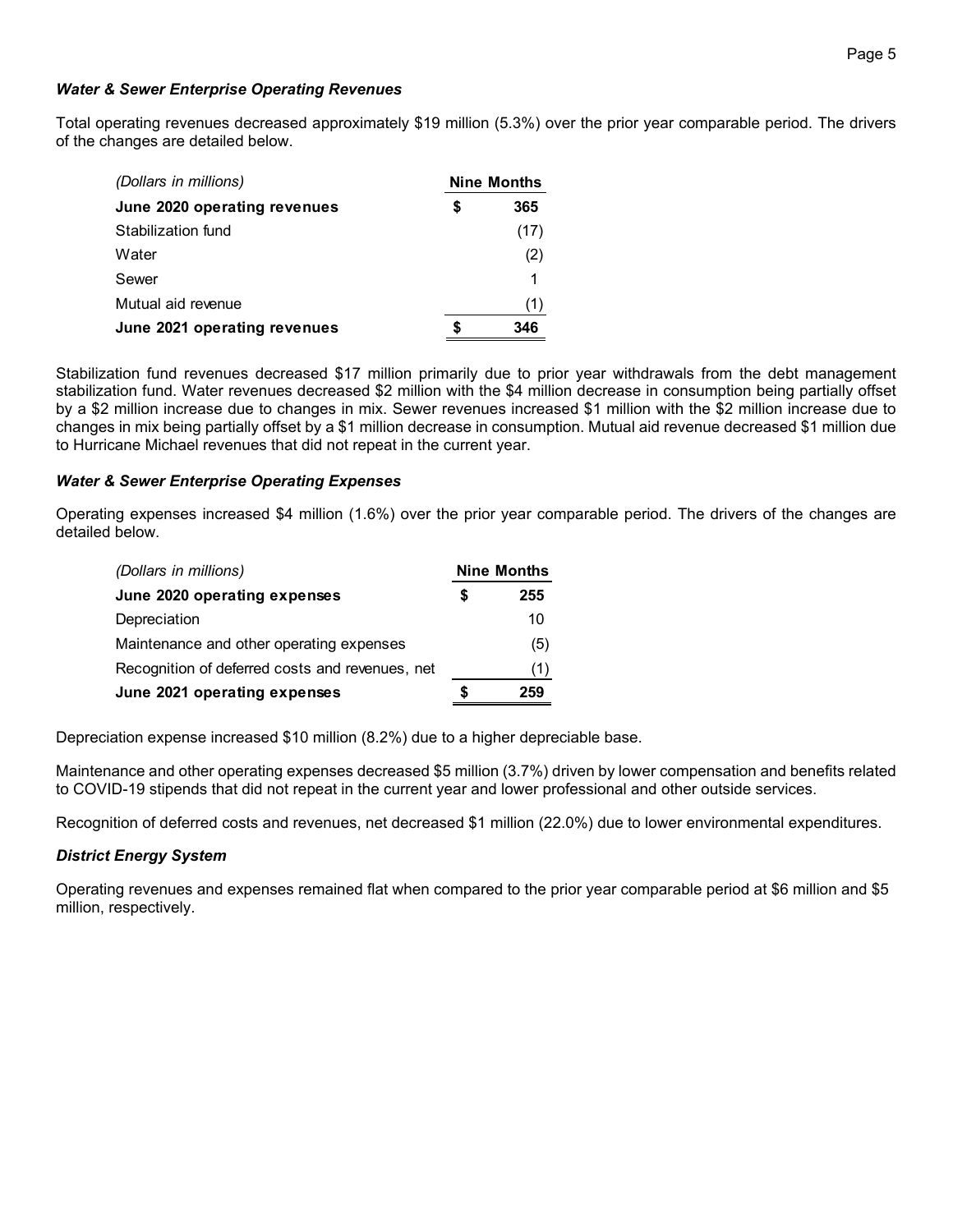# *Water & Sewer Enterprise Operating Revenues*

Total operating revenues decreased approximately \$19 million (5.3%) over the prior year comparable period. The drivers of the changes are detailed below.

| (Dollars in millions)        | <b>Nine Months</b> |      |
|------------------------------|--------------------|------|
| June 2020 operating revenues | S                  | 365  |
| Stabilization fund           |                    | (17) |
| Water                        |                    | (2)  |
| Sewer                        |                    |      |
| Mutual aid revenue           |                    |      |
| June 2021 operating revenues |                    | 346  |

Stabilization fund revenues decreased \$17 million primarily due to prior year withdrawals from the debt management stabilization fund. Water revenues decreased \$2 million with the \$4 million decrease in consumption being partially offset by a \$2 million increase due to changes in mix. Sewer revenues increased \$1 million with the \$2 million increase due to changes in mix being partially offset by a \$1 million decrease in consumption. Mutual aid revenue decreased \$1 million due to Hurricane Michael revenues that did not repeat in the current year.

# *Water & Sewer Enterprise Operating Expenses*

Operating expenses increased \$4 million (1.6%) over the prior year comparable period. The drivers of the changes are detailed below.

| (Dollars in millions)                           | <b>Nine Months</b> |     |
|-------------------------------------------------|--------------------|-----|
| June 2020 operating expenses                    |                    | 255 |
| Depreciation                                    |                    | 10  |
| Maintenance and other operating expenses        |                    | (5) |
| Recognition of deferred costs and revenues, net |                    | (1) |
| June 2021 operating expenses                    |                    | 259 |

Depreciation expense increased \$10 million (8.2%) due to a higher depreciable base.

Maintenance and other operating expenses decreased \$5 million (3.7%) driven by lower compensation and benefits related to COVID-19 stipends that did not repeat in the current year and lower professional and other outside services.

Recognition of deferred costs and revenues, net decreased \$1 million (22.0%) due to lower environmental expenditures.

# *District Energy System*

Operating revenues and expenses remained flat when compared to the prior year comparable period at \$6 million and \$5 million, respectively.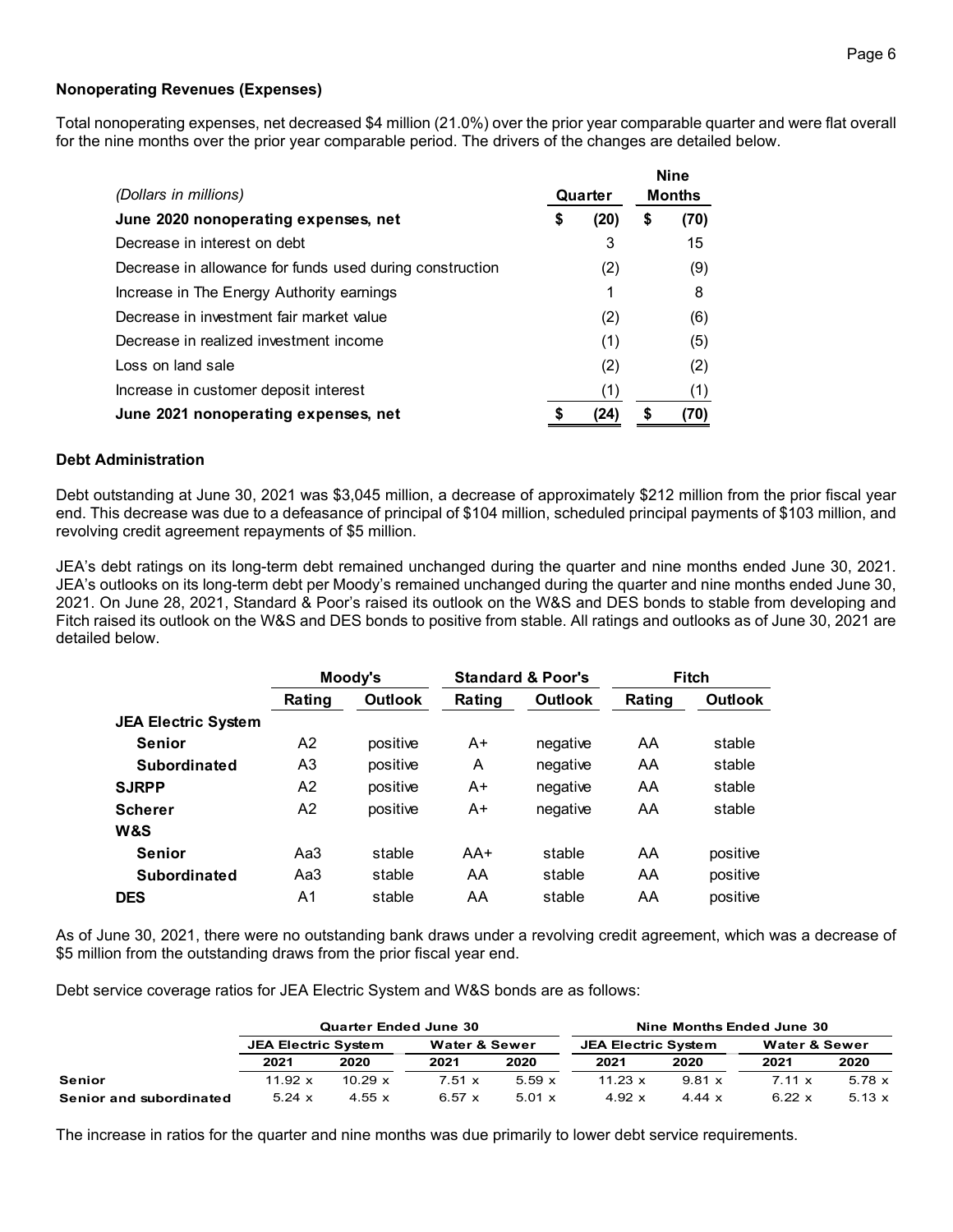## Page 6

### **Nonoperating Revenues (Expenses)**

Total nonoperating expenses, net decreased \$4 million (21.0%) over the prior year comparable quarter and were flat overall for the nine months over the prior year comparable period. The drivers of the changes are detailed below.

| (Dollars in millions)                                    | Quarter |      | <b>Nine</b><br><b>Months</b> |      |
|----------------------------------------------------------|---------|------|------------------------------|------|
| June 2020 nonoperating expenses, net                     | \$      | (20) | \$                           | (70) |
| Decrease in interest on debt                             |         | 3    |                              | 15   |
| Decrease in allowance for funds used during construction |         | (2)  |                              | (9)  |
| Increase in The Energy Authority earnings                |         | 1    |                              | 8    |
| Decrease in investment fair market value                 |         | (2)  |                              | (6)  |
| Decrease in realized investment income                   |         | (1)  |                              | (5)  |
| Loss on land sale                                        |         | (2)  |                              | (2)  |
| Increase in customer deposit interest                    |         | (1)  |                              | (1)  |
| June 2021 nonoperating expenses, net                     |         | (24) | \$                           | (70) |

#### **Debt Administration**

Debt outstanding at June 30, 2021 was \$3,045 million, a decrease of approximately \$212 million from the prior fiscal year end. This decrease was due to a defeasance of principal of \$104 million, scheduled principal payments of \$103 million, and revolving credit agreement repayments of \$5 million.

JEA's debt ratings on its long-term debt remained unchanged during the quarter and nine months ended June 30, 2021. JEA's outlooks on its long-term debt per Moody's remained unchanged during the quarter and nine months ended June 30, 2021. On June 28, 2021, Standard & Poor's raised its outlook on the W&S and DES bonds to stable from developing and Fitch raised its outlook on the W&S and DES bonds to positive from stable. All ratings and outlooks as of June 30, 2021 are detailed below.

|                            | Moody's        |                | <b>Standard &amp; Poor's</b> |          |        | <b>Fitch</b>   |
|----------------------------|----------------|----------------|------------------------------|----------|--------|----------------|
|                            | Rating         | <b>Outlook</b> | Rating                       | Outlook  | Rating | <b>Outlook</b> |
| <b>JEA Electric System</b> |                |                |                              |          |        |                |
| <b>Senior</b>              | A <sub>2</sub> | positive       | A+                           | negative | AA     | stable         |
| <b>Subordinated</b>        | A3             | positive       | A                            | negative | AA     | stable         |
| <b>SJRPP</b>               | A <sub>2</sub> | positive       | A+                           | negative | AA     | stable         |
| <b>Scherer</b>             | A2             | positive       | $A+$                         | negative | AA     | stable         |
| <b>W&amp;S</b>             |                |                |                              |          |        |                |
| <b>Senior</b>              | Aa3            | stable         | $AA+$                        | stable   | AA     | positive       |
| Subordinated               | Aa3            | stable         | AA                           | stable   | AA     | positive       |
| <b>DES</b>                 | Α1             | stable         | AA                           | stable   | AA     | positive       |

As of June 30, 2021, there were no outstanding bank draws under a revolving credit agreement, which was a decrease of \$5 million from the outstanding draws from the prior fiscal year end.

Debt service coverage ratios for JEA Electric System and W&S bonds are as follows:

|                         |                            | <b>Quarter Ended June 30</b> |                          |               |                            | Nine Months Ended June 30 |                          |               |  |  |
|-------------------------|----------------------------|------------------------------|--------------------------|---------------|----------------------------|---------------------------|--------------------------|---------------|--|--|
|                         | <b>JEA Electric System</b> |                              | <b>Water &amp; Sewer</b> |               | <b>JEA Electric System</b> |                           | <b>Water &amp; Sewer</b> |               |  |  |
|                         | 2021                       | 2020                         | 2021                     | 2020          | 2021                       | 2020                      | 2021                     | 2020          |  |  |
| <b>Senior</b>           | 11.92 $x$                  | 10.29 $x$                    | $7.51 \times$            | $5.59 \times$ | 11.23 x                    | $9.81 \times$             | $7.11 \times$            | $5.78 \times$ |  |  |
| Senior and subordinated | $5.24 \times$              | 4.55 $x$                     | 6.57 $x$                 | $5.01 \times$ | 4.92 $x$                   | 4.44 $\times$             | $6.22 \times$            | $5.13 \times$ |  |  |

The increase in ratios for the quarter and nine months was due primarily to lower debt service requirements.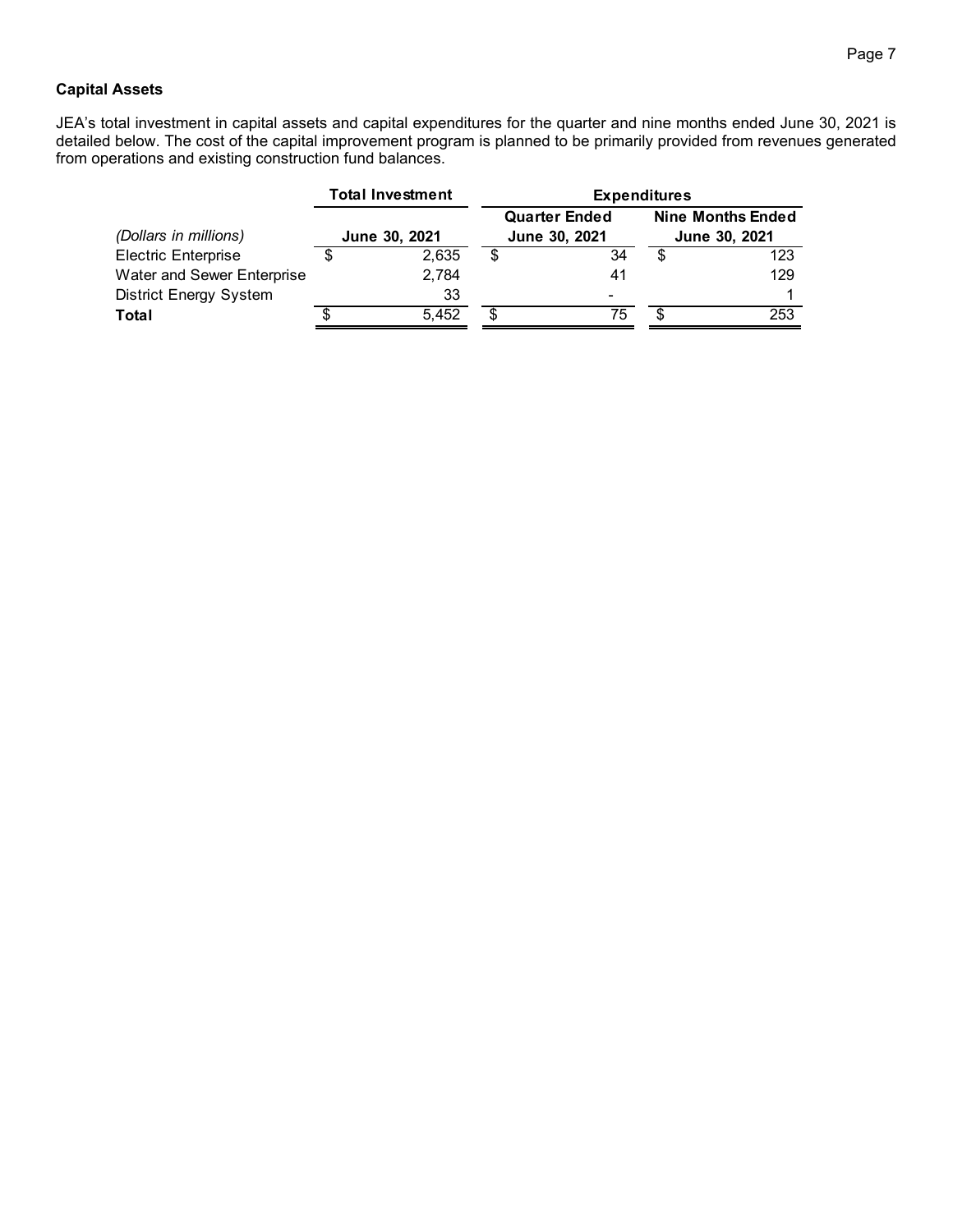# **Capital Assets**

JEA's total investment in capital assets and capital expenditures for the quarter and nine months ended June 30, 2021 is detailed below. The cost of the capital improvement program is planned to be primarily provided from revenues generated from operations and existing construction fund balances.

|                               | <b>Total Investment</b> | <b>Expenditures</b> |                                       |                                           |     |  |  |  |  |
|-------------------------------|-------------------------|---------------------|---------------------------------------|-------------------------------------------|-----|--|--|--|--|
| (Dollars in millions)         | June 30, 2021           |                     | <b>Quarter Ended</b><br>June 30, 2021 | <b>Nine Months Ended</b><br>June 30, 2021 |     |  |  |  |  |
| <b>Electric Enterprise</b>    | 2.635                   | \$                  | 34                                    |                                           | 123 |  |  |  |  |
| Water and Sewer Enterprise    | 2.784                   |                     | 41                                    |                                           | 129 |  |  |  |  |
| <b>District Energy System</b> | 33                      |                     | -                                     |                                           |     |  |  |  |  |
| Total                         | 5,452                   | S                   | 75                                    | S                                         | 253 |  |  |  |  |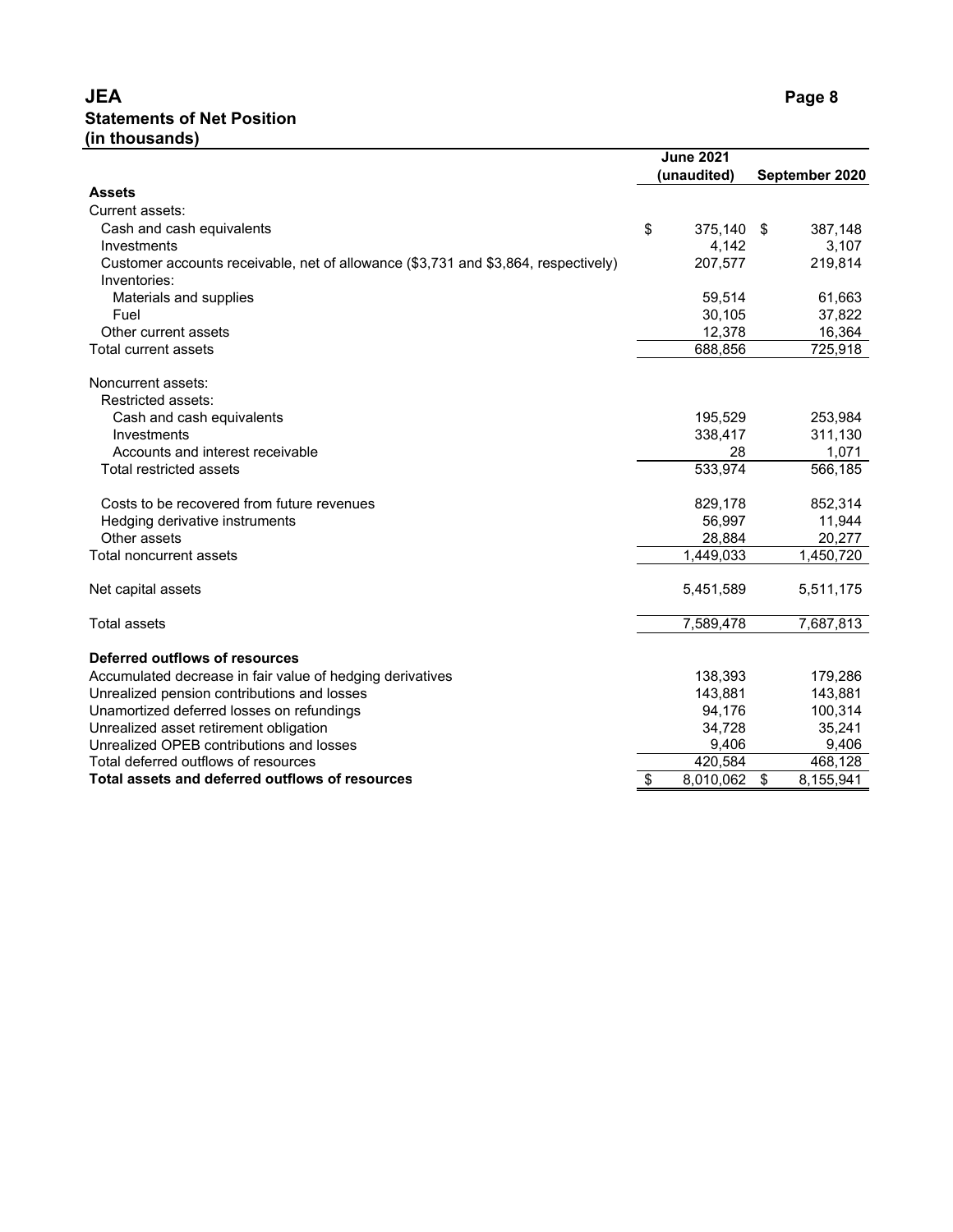# **JEA Page 8 Statements of Net Position (in thousands)**

|                                                                                                    | <b>June 2021</b> |                 |
|----------------------------------------------------------------------------------------------------|------------------|-----------------|
|                                                                                                    | (unaudited)      | September 2020  |
| <b>Assets</b>                                                                                      |                  |                 |
| Current assets:                                                                                    |                  |                 |
| Cash and cash equivalents                                                                          | \$<br>375,140 \$ | 387,148         |
| Investments                                                                                        | 4,142            | 3,107           |
| Customer accounts receivable, net of allowance (\$3,731 and \$3,864, respectively)<br>Inventories: | 207,577          | 219,814         |
| Materials and supplies                                                                             | 59,514           | 61,663          |
| Fuel                                                                                               | 30,105           | 37,822          |
| Other current assets                                                                               | 12,378           | 16,364          |
| <b>Total current assets</b>                                                                        | 688,856          | 725,918         |
| Noncurrent assets:                                                                                 |                  |                 |
| Restricted assets:                                                                                 |                  |                 |
| Cash and cash equivalents                                                                          | 195,529          | 253,984         |
| Investments                                                                                        | 338,417          | 311,130         |
| Accounts and interest receivable                                                                   | 28               | 1,071           |
| Total restricted assets                                                                            | 533,974          | 566,185         |
| Costs to be recovered from future revenues                                                         | 829,178          | 852,314         |
| Hedging derivative instruments                                                                     | 56,997           | 11,944          |
| Other assets                                                                                       | 28,884           | 20,277          |
| Total noncurrent assets                                                                            | 1,449,033        | 1,450,720       |
| Net capital assets                                                                                 | 5,451,589        | 5,511,175       |
| <b>Total assets</b>                                                                                | 7,589,478        | 7,687,813       |
| Deferred outflows of resources                                                                     |                  |                 |
| Accumulated decrease in fair value of hedging derivatives                                          | 138,393          | 179,286         |
| Unrealized pension contributions and losses                                                        | 143,881          | 143,881         |
| Unamortized deferred losses on refundings                                                          | 94,176           | 100,314         |
| Unrealized asset retirement obligation                                                             | 34,728           | 35,241          |
| Unrealized OPEB contributions and losses                                                           | 9,406            | 9,406           |
| Total deferred outflows of resources                                                               | 420,584          | 468,128         |
| Total assets and deferred outflows of resources                                                    | \$<br>8,010,062  | \$<br>8,155,941 |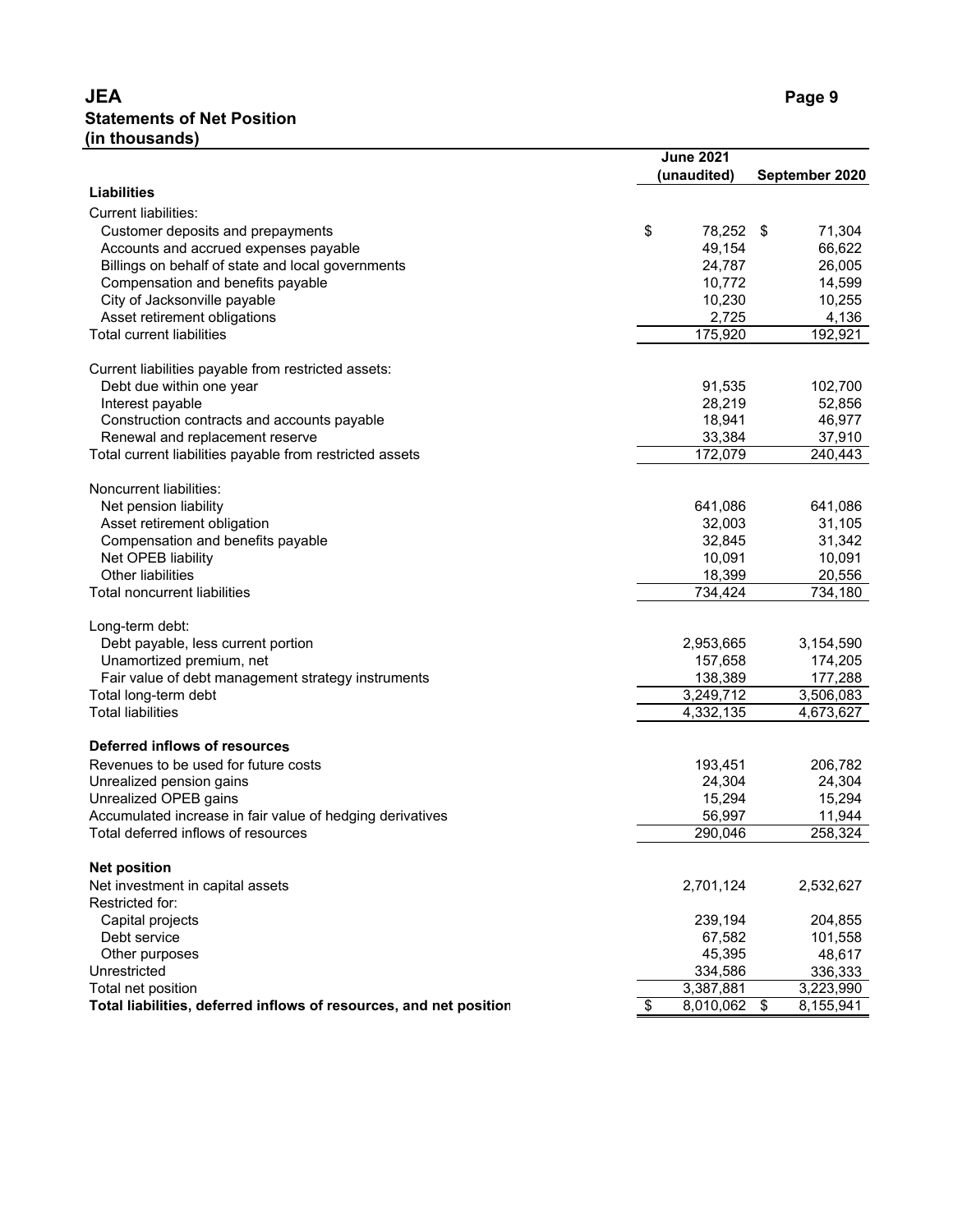# **JEA Page 9 Statements of Net Position (in thousands)**

|                                                                    | <b>June 2021</b> |                 |
|--------------------------------------------------------------------|------------------|-----------------|
|                                                                    | (unaudited)      | September 2020  |
| <b>Liabilities</b>                                                 |                  |                 |
| <b>Current liabilities:</b>                                        |                  |                 |
| Customer deposits and prepayments                                  | \$<br>78,252 \$  | 71,304          |
| Accounts and accrued expenses payable                              | 49,154           | 66,622          |
| Billings on behalf of state and local governments                  | 24,787           | 26,005          |
| Compensation and benefits payable                                  | 10,772           | 14,599          |
| City of Jacksonville payable                                       | 10,230           | 10,255          |
| Asset retirement obligations                                       | 2,725            | 4,136           |
| <b>Total current liabilities</b>                                   | 175,920          | 192,921         |
|                                                                    |                  |                 |
| Current liabilities payable from restricted assets:                |                  |                 |
| Debt due within one year                                           | 91,535           | 102,700         |
| Interest payable                                                   | 28,219           | 52,856          |
| Construction contracts and accounts payable                        | 18,941           | 46,977          |
| Renewal and replacement reserve                                    | 33,384           | 37,910          |
| Total current liabilities payable from restricted assets           | 172,079          | 240,443         |
|                                                                    |                  |                 |
| Noncurrent liabilities:                                            |                  |                 |
| Net pension liability                                              | 641,086          | 641,086         |
| Asset retirement obligation                                        | 32,003           | 31,105          |
| Compensation and benefits payable                                  | 32,845           | 31,342          |
| Net OPEB liability                                                 | 10,091           | 10,091          |
| <b>Other liabilities</b>                                           | 18,399           | 20,556          |
| <b>Total noncurrent liabilities</b>                                | 734,424          | 734,180         |
|                                                                    |                  |                 |
| Long-term debt:                                                    |                  |                 |
| Debt payable, less current portion                                 | 2,953,665        | 3,154,590       |
| Unamortized premium, net                                           | 157,658          | 174,205         |
| Fair value of debt management strategy instruments                 | 138,389          | 177,288         |
| Total long-term debt                                               | 3,249,712        | 3,506,083       |
| <b>Total liabilities</b>                                           | 4,332,135        | 4,673,627       |
|                                                                    |                  |                 |
| Deferred inflows of resources                                      |                  |                 |
| Revenues to be used for future costs                               | 193,451          | 206,782         |
| Unrealized pension gains                                           | 24,304           | 24,304          |
| Unrealized OPEB gains                                              | 15,294           | 15,294          |
| Accumulated increase in fair value of hedging derivatives          | 56,997           | 11,944          |
| Total deferred inflows of resources                                | 290,046          | 258,324         |
| <b>Net position</b>                                                |                  |                 |
| Net investment in capital assets                                   | 2,701,124        | 2,532,627       |
| Restricted for:                                                    |                  |                 |
| Capital projects                                                   | 239,194          | 204,855         |
| Debt service                                                       | 67,582           | 101,558         |
| Other purposes                                                     | 45,395           | 48,617          |
| Unrestricted                                                       | 334,586          | 336,333         |
| Total net position                                                 | 3,387,881        | 3,223,990       |
| Total liabilities, deferred inflows of resources, and net position | \$<br>8,010,062  | \$<br>8,155,941 |
|                                                                    |                  |                 |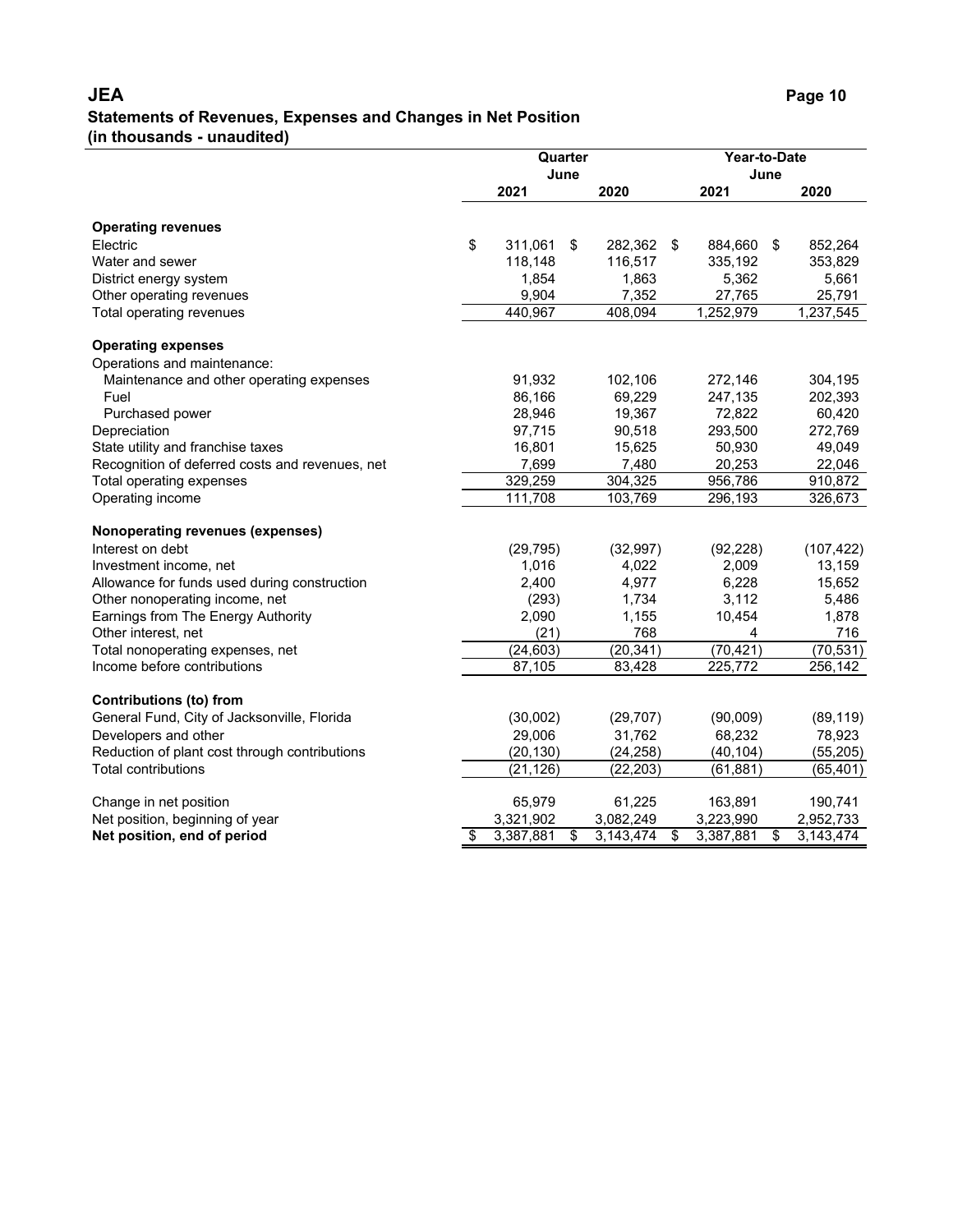# **JEA Page 10 Statements of Revenues, Expenses and Changes in Net Position (in thousands - unaudited)**

|                                                 |                 | Quarter |           | Year-to-Date    |      |                        |
|-------------------------------------------------|-----------------|---------|-----------|-----------------|------|------------------------|
|                                                 | 2021            | June    | 2020      | 2021            | June | 2020                   |
|                                                 |                 |         |           |                 |      |                        |
| <b>Operating revenues</b>                       |                 |         |           |                 |      |                        |
| Electric                                        | \$<br>311,061   | \$      | 282,362   | \$<br>884,660   | \$   | 852,264                |
| Water and sewer                                 | 118,148         |         | 116,517   | 335,192         |      | 353,829                |
| District energy system                          | 1,854           |         | 1,863     | 5,362           |      | 5,661                  |
| Other operating revenues                        | 9,904           |         | 7,352     | 27,765          |      | 25,791                 |
| Total operating revenues                        | 440,967         |         | 408,094   | 1,252,979       |      | 1,237,545              |
| <b>Operating expenses</b>                       |                 |         |           |                 |      |                        |
| Operations and maintenance:                     |                 |         |           |                 |      |                        |
| Maintenance and other operating expenses        | 91,932          |         | 102,106   | 272,146         |      | 304,195                |
| Fuel                                            | 86,166          |         | 69,229    | 247,135         |      | 202,393                |
| Purchased power                                 | 28,946          |         | 19,367    | 72,822          |      | 60,420                 |
| Depreciation                                    | 97,715          |         | 90,518    | 293,500         |      | 272,769                |
| State utility and franchise taxes               | 16,801          |         | 15,625    | 50,930          |      | 49,049                 |
| Recognition of deferred costs and revenues, net | 7,699           |         | 7,480     | 20,253          |      | 22,046                 |
| Total operating expenses                        | 329,259         |         | 304,325   | 956,786         |      | 910,872                |
| Operating income                                | 111,708         |         | 103,769   | 296,193         |      | 326,673                |
| Nonoperating revenues (expenses)                |                 |         |           |                 |      |                        |
| Interest on debt                                | (29, 795)       |         | (32, 997) | (92, 228)       |      | (107, 422)             |
| Investment income, net                          | 1,016           |         | 4,022     | 2,009           |      | 13,159                 |
| Allowance for funds used during construction    | 2,400           |         | 4,977     | 6,228           |      | 15,652                 |
| Other nonoperating income, net                  | (293)           |         | 1,734     | 3,112           |      | 5,486                  |
| Earnings from The Energy Authority              | 2,090           |         | 1,155     | 10,454          |      | 1,878                  |
| Other interest, net                             | (21)            |         | 768       | 4               |      | 716                    |
| Total nonoperating expenses, net                | (24, 603)       |         | (20, 341) | (70, 421)       |      | (70, 531)              |
| Income before contributions                     | 87,105          |         | 83,428    | 225,772         |      | 256,142                |
| <b>Contributions (to) from</b>                  |                 |         |           |                 |      |                        |
| General Fund, City of Jacksonville, Florida     | (30,002)        |         | (29, 707) | (90,009)        |      | (89, 119)              |
| Developers and other                            | 29,006          |         | 31,762    | 68,232          |      | 78,923                 |
| Reduction of plant cost through contributions   | (20, 130)       |         | (24, 258) | (40, 104)       |      | (55, 205)              |
| <b>Total contributions</b>                      | (21, 126)       |         | (22, 203) | (61, 881)       |      | (65, 401)              |
| Change in net position                          | 65,979          |         | 61,225    | 163,891         |      | 190,741                |
| Net position, beginning of year                 | 3,321,902       |         | 3,082,249 | 3,223,990       |      | 2,952,733              |
| Net position, end of period                     | \$<br>3,387,881 | \$      | 3,143,474 | \$<br>3,387,881 | \$   | $\overline{3,}143,474$ |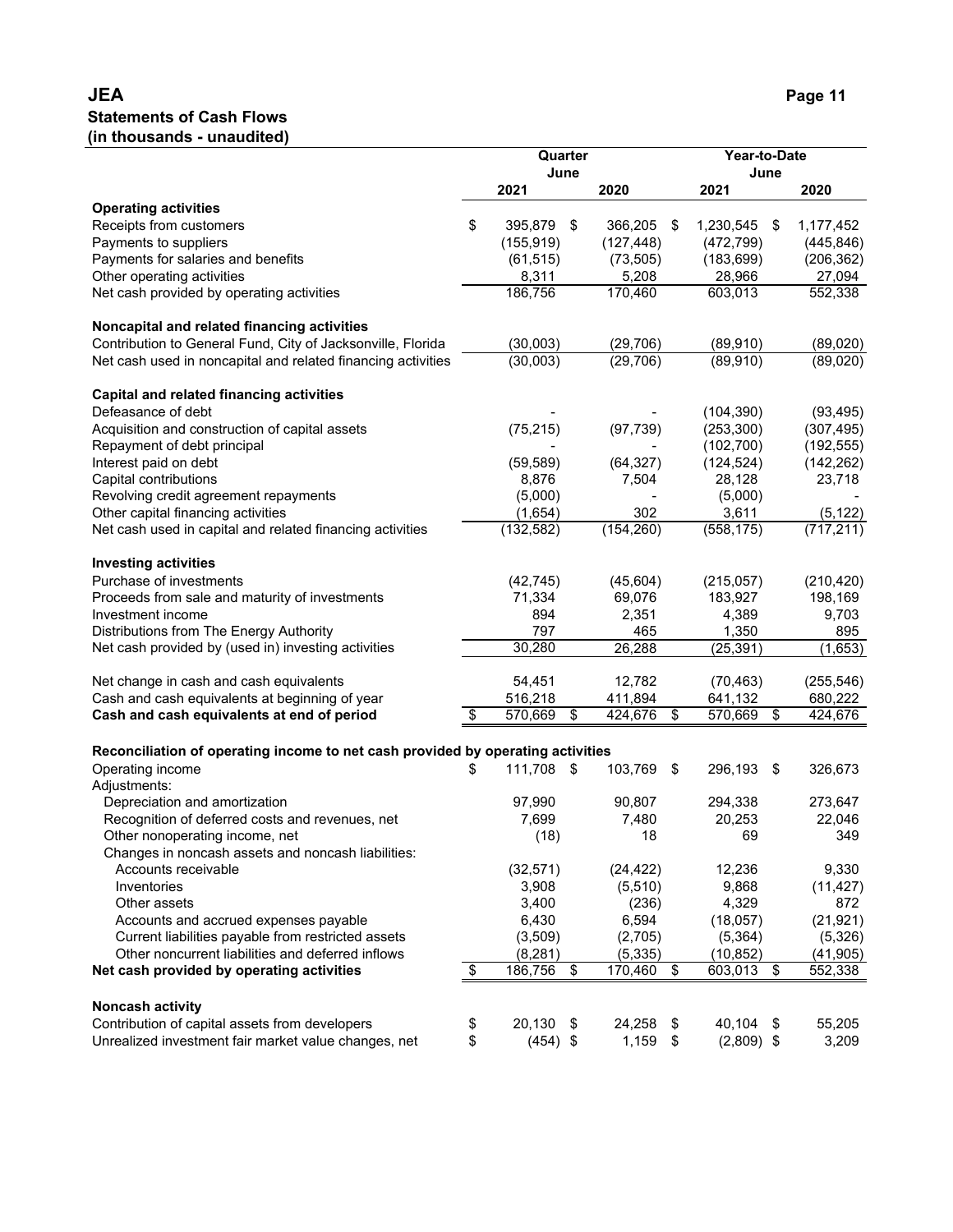# **JEA Page 11 Statements of Cash Flows (in thousands - unaudited)**

|                                                                                 |    | Quarter    |      |            | Year-to-Date       |    |            |
|---------------------------------------------------------------------------------|----|------------|------|------------|--------------------|----|------------|
|                                                                                 |    |            | June |            | June               |    |            |
|                                                                                 |    | 2021       |      | 2020       | 2021               |    | 2020       |
| <b>Operating activities</b>                                                     |    |            |      |            |                    |    |            |
| Receipts from customers                                                         | \$ | 395,879    | \$   | 366,205    | \$<br>1,230,545    | S  | 1,177,452  |
| Payments to suppliers                                                           |    | (155, 919) |      | (127, 448) | (472, 799)         |    | (445, 846) |
| Payments for salaries and benefits                                              |    | (61, 515)  |      | (73, 505)  | (183, 699)         |    | (206, 362) |
| Other operating activities                                                      |    | 8,311      |      | 5,208      | 28,966             |    | 27,094     |
| Net cash provided by operating activities                                       |    | 186,756    |      | 170,460    | 603,013            |    | 552,338    |
| Noncapital and related financing activities                                     |    |            |      |            |                    |    |            |
| Contribution to General Fund, City of Jacksonville, Florida                     |    | (30,003)   |      | (29, 706)  | (89, 910)          |    | (89, 020)  |
| Net cash used in noncapital and related financing activities                    |    | (30,003)   |      | (29, 706)  | (89, 910)          |    | (89,020)   |
| Capital and related financing activities                                        |    |            |      |            |                    |    |            |
| Defeasance of debt                                                              |    |            |      |            | (104, 390)         |    | (93, 495)  |
| Acquisition and construction of capital assets                                  |    | (75, 215)  |      | (97, 739)  | (253, 300)         |    | (307, 495) |
| Repayment of debt principal                                                     |    |            |      |            | (102, 700)         |    | (192, 555) |
| Interest paid on debt                                                           |    | (59, 589)  |      | (64, 327)  | (124, 524)         |    | (142, 262) |
| Capital contributions                                                           |    | 8,876      |      | 7,504      | 28,128             |    | 23,718     |
| Revolving credit agreement repayments                                           |    | (5,000)    |      |            | (5,000)            |    |            |
| Other capital financing activities                                              |    | (1,654)    |      | 302        | 3,611              |    | (5, 122)   |
| Net cash used in capital and related financing activities                       |    | (132, 582) |      | (154, 260) | (558, 175)         |    | (717, 211) |
|                                                                                 |    |            |      |            |                    |    |            |
| <b>Investing activities</b>                                                     |    |            |      |            |                    |    |            |
| Purchase of investments                                                         |    | (42, 745)  |      | (45, 604)  | (215, 057)         |    | (210, 420) |
| Proceeds from sale and maturity of investments                                  |    | 71,334     |      | 69,076     | 183,927            |    | 198,169    |
| Investment income                                                               |    | 894        |      | 2,351      | 4,389              |    | 9,703      |
| Distributions from The Energy Authority                                         |    | 797        |      | 465        | 1,350              |    | 895        |
| Net cash provided by (used in) investing activities                             |    | 30,280     |      | 26,288     | (25, 391)          |    | (1,653)    |
| Net change in cash and cash equivalents                                         |    | 54,451     |      | 12,782     | (70, 463)          |    | (255, 546) |
| Cash and cash equivalents at beginning of year                                  |    | 516,218    |      | 411,894    | 641,132            |    | 680,222    |
| Cash and cash equivalents at end of period                                      | S  | 570,669    | \$   | 424,676    | \$<br>570,669      | \$ | 424,676    |
| Reconciliation of operating income to net cash provided by operating activities |    |            |      |            |                    |    |            |
| Operating income                                                                | S  | 111.708    | \$   | 103,769    | \$<br>296,193      | \$ | 326,673    |
| Adjustments:                                                                    |    |            |      |            |                    |    |            |
| Depreciation and amortization                                                   |    | 97,990     |      | 90,807     | 294,338            |    | 273,647    |
| Recognition of deferred costs and revenues, net                                 |    | 7,699      |      | 7,480      | 20,253             |    | 22,046     |
| Other nonoperating income, net                                                  |    | (18)       |      | 18         | 69                 |    | 349        |
| Changes in noncash assets and noncash liabilities:                              |    |            |      |            |                    |    |            |
| Accounts receivable                                                             |    | (32, 571)  |      | (24, 422)  | 12,236             |    | 9,330      |
| Inventories                                                                     |    | 3,908      |      | (5, 510)   | 9,868              |    | (11, 427)  |
| Other assets                                                                    |    | 3,400      |      | (236)      | 4,329              |    | 872        |
| Accounts and accrued expenses payable                                           |    | 6,430      |      | 6,594      | (18,057)           |    | (21, 921)  |
| Current liabilities payable from restricted assets                              |    | (3,509)    |      | (2,705)    | (5,364)            |    | (5,326)    |
| Other noncurrent liabilities and deferred inflows                               |    | (8, 281)   |      | (5, 335)   | (10, 852)          |    | (41, 905)  |
| Net cash provided by operating activities                                       | \$ | 186,756    | \$   | 170,460    | \$<br>603,013      | \$ | 552,338    |
|                                                                                 |    |            |      |            |                    |    |            |
| Noncash activity                                                                |    |            |      |            |                    |    |            |
| Contribution of capital assets from developers                                  | \$ | 20,130     | \$   | 24,258     | \$<br>40,104       | \$ | 55,205     |
| Unrealized investment fair market value changes, net                            | \$ | $(454)$ \$ |      | 1,159      | \$<br>$(2,809)$ \$ |    | 3,209      |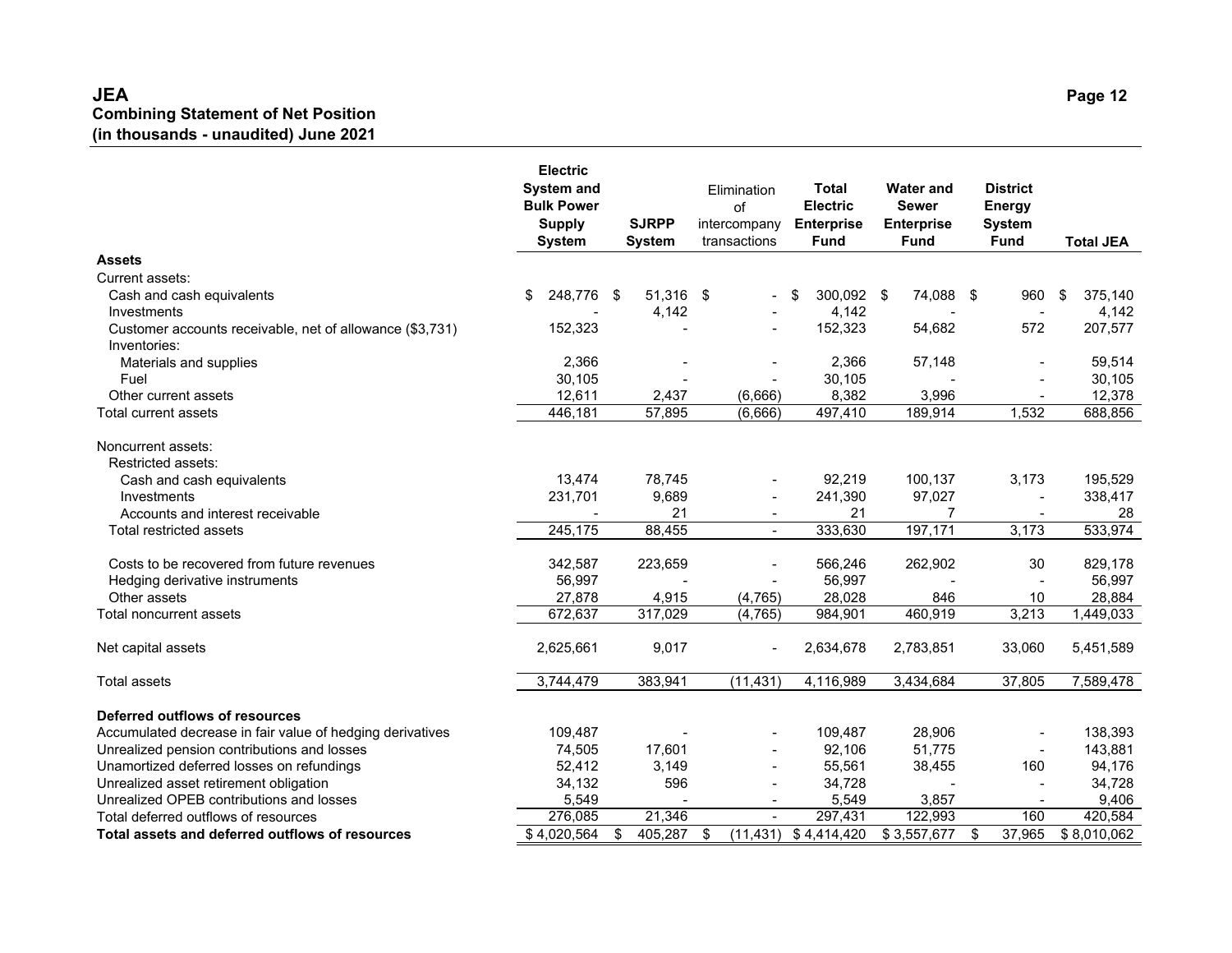#### **JEA Page 12 Combining Statement of Net Position (in thousands - unaudited) June 2021**

|                                                           | <b>Electric</b><br><b>System and</b><br><b>Bulk Power</b><br><b>Supply</b><br><b>System</b> | <b>SJRPP</b><br><b>System</b> | Elimination<br>of<br>intercompany<br>transactions | <b>Total</b><br><b>Electric</b><br><b>Enterprise</b><br><b>Fund</b> | <b>Water and</b><br><b>Sewer</b><br><b>Enterprise</b><br><b>Fund</b> | <b>District</b><br>Energy<br><b>System</b><br><b>Fund</b> | <b>Total JEA</b> |
|-----------------------------------------------------------|---------------------------------------------------------------------------------------------|-------------------------------|---------------------------------------------------|---------------------------------------------------------------------|----------------------------------------------------------------------|-----------------------------------------------------------|------------------|
| <b>Assets</b>                                             |                                                                                             |                               |                                                   |                                                                     |                                                                      |                                                           |                  |
| Current assets:                                           |                                                                                             |                               |                                                   |                                                                     |                                                                      |                                                           |                  |
| Cash and cash equivalents                                 | 248,776<br>\$                                                                               | \$<br>51,316 \$               |                                                   | 300,092 \$<br>-\$                                                   | 74,088 \$                                                            | 960                                                       | 375,140<br>\$    |
| Investments                                               |                                                                                             | 4,142                         |                                                   | 4,142                                                               |                                                                      | $\overline{\phantom{a}}$                                  | 4,142            |
| Customer accounts receivable, net of allowance (\$3,731)  | 152,323                                                                                     |                               |                                                   | 152,323                                                             | 54,682                                                               | 572                                                       | 207,577          |
| Inventories:                                              |                                                                                             |                               |                                                   |                                                                     |                                                                      |                                                           |                  |
| Materials and supplies                                    | 2,366                                                                                       |                               |                                                   | 2,366                                                               | 57,148                                                               |                                                           | 59,514           |
| Fuel                                                      | 30,105                                                                                      |                               |                                                   | 30,105                                                              |                                                                      |                                                           | 30,105           |
| Other current assets                                      | 12,611                                                                                      | 2,437                         | (6,666)                                           | 8,382                                                               | 3,996                                                                |                                                           | 12,378           |
| <b>Total current assets</b>                               | 446,181                                                                                     | 57,895                        | (6,666)                                           | 497,410                                                             | 189,914                                                              | 1,532                                                     | 688,856          |
| Noncurrent assets:                                        |                                                                                             |                               |                                                   |                                                                     |                                                                      |                                                           |                  |
| Restricted assets:                                        |                                                                                             |                               |                                                   |                                                                     |                                                                      |                                                           |                  |
| Cash and cash equivalents                                 | 13,474                                                                                      | 78,745                        |                                                   | 92,219                                                              | 100,137                                                              | 3,173                                                     | 195,529          |
| Investments                                               | 231,701                                                                                     | 9,689                         | $\blacksquare$                                    | 241,390                                                             | 97,027                                                               |                                                           | 338,417          |
| Accounts and interest receivable                          |                                                                                             | 21                            | $\blacksquare$                                    | 21                                                                  | 7                                                                    | $\overline{\phantom{a}}$                                  | 28               |
| Total restricted assets                                   | 245,175                                                                                     | 88,455                        | $\blacksquare$                                    | 333,630                                                             | 197,171                                                              | 3,173                                                     | 533,974          |
| Costs to be recovered from future revenues                | 342,587                                                                                     | 223,659                       |                                                   | 566,246                                                             | 262,902                                                              | 30                                                        | 829,178          |
| Hedging derivative instruments                            | 56,997                                                                                      |                               |                                                   | 56,997                                                              |                                                                      |                                                           | 56,997           |
| Other assets                                              | 27,878                                                                                      | 4,915                         | (4, 765)                                          | 28,028                                                              | 846                                                                  | 10                                                        | 28,884           |
| <b>Total noncurrent assets</b>                            | 672,637                                                                                     | 317,029                       | (4, 765)                                          | 984,901                                                             | 460,919                                                              | 3,213                                                     | 1,449,033        |
| Net capital assets                                        | 2,625,661                                                                                   | 9,017                         | $\blacksquare$                                    | 2,634,678                                                           | 2,783,851                                                            | 33,060                                                    | 5,451,589        |
| <b>Total assets</b>                                       | 3,744,479                                                                                   | 383,941                       | (11, 431)                                         | 4,116,989                                                           | 3,434,684                                                            | 37,805                                                    | 7,589,478        |
| Deferred outflows of resources                            |                                                                                             |                               |                                                   |                                                                     |                                                                      |                                                           |                  |
| Accumulated decrease in fair value of hedging derivatives | 109,487                                                                                     |                               |                                                   | 109,487                                                             | 28,906                                                               |                                                           | 138,393          |
| Unrealized pension contributions and losses               | 74,505                                                                                      | 17,601                        |                                                   | 92,106                                                              | 51,775                                                               | $\sim$                                                    | 143,881          |
| Unamortized deferred losses on refundings                 | 52,412                                                                                      | 3,149                         | $\overline{\phantom{a}}$                          | 55,561                                                              | 38,455                                                               | 160                                                       | 94,176           |
| Unrealized asset retirement obligation                    | 34,132                                                                                      | 596                           | $\blacksquare$                                    | 34,728                                                              |                                                                      |                                                           | 34,728           |
| Unrealized OPEB contributions and losses                  | 5,549                                                                                       | $\sim$                        | $\blacksquare$                                    | 5,549                                                               | 3,857                                                                | $\sim$                                                    | 9,406            |
| Total deferred outflows of resources                      | 276,085                                                                                     | 21,346                        | $\overline{a}$                                    | 297,431                                                             | 122,993                                                              | 160                                                       | 420,584          |
| Total assets and deferred outflows of resources           | \$4,020,564                                                                                 | \$<br>405,287                 | \$<br>(11, 431)                                   | \$4,414,420                                                         | \$3,557,677                                                          | \$<br>37,965                                              | \$8,010,062      |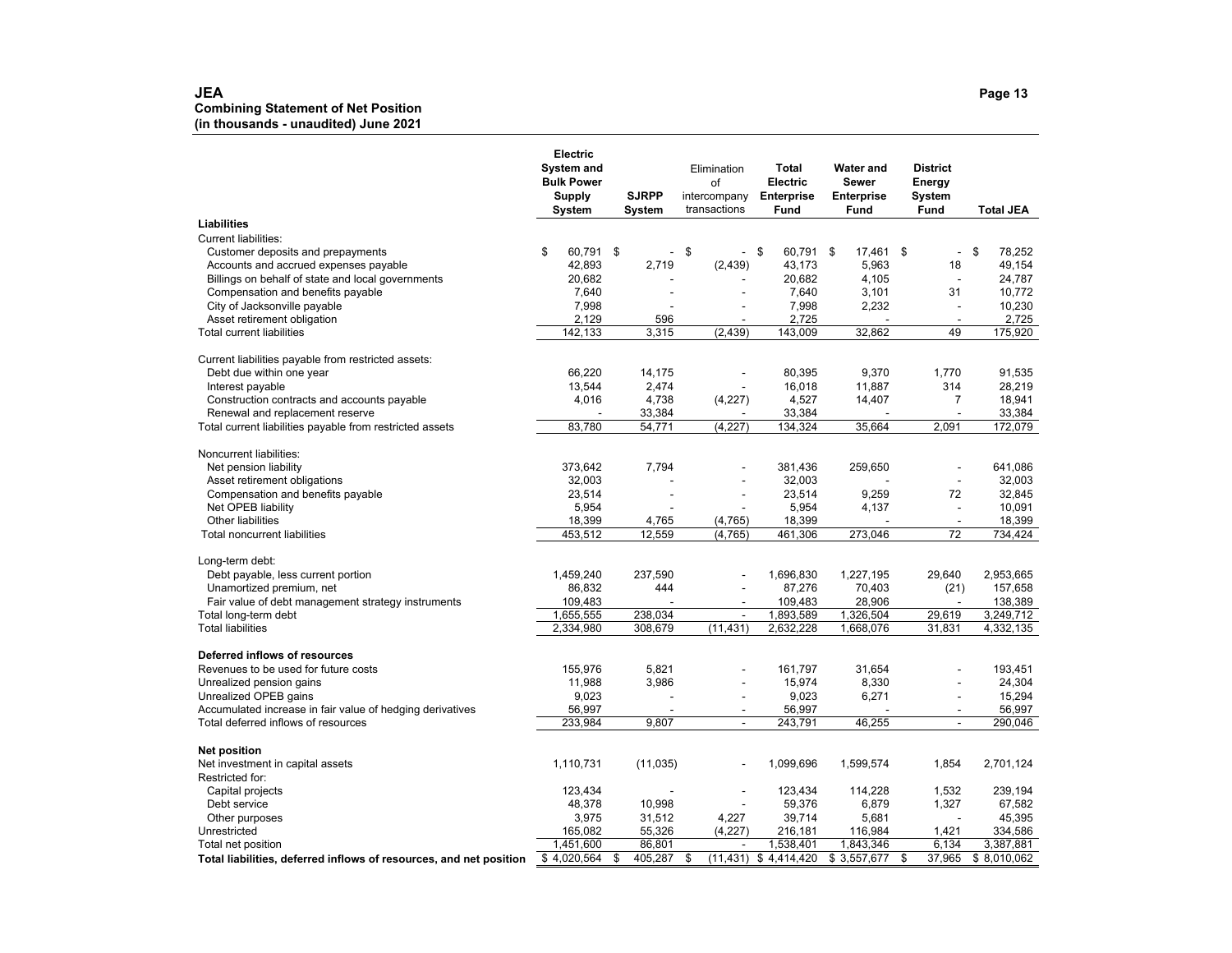#### **JEA Page 13 Combining Statement of Net Position (in thousands - unaudited) June 2021**

|                                                                    | Electric<br><b>System and</b><br><b>Bulk Power</b><br><b>Supply</b> | <b>SJRPP</b>             | Elimination<br>of<br>intercompany | Total<br>Electric<br>Enterprise |     | <b>Water and</b><br>Sewer<br><b>Enterprise</b> | <b>District</b><br>Energy<br>System |                  |
|--------------------------------------------------------------------|---------------------------------------------------------------------|--------------------------|-----------------------------------|---------------------------------|-----|------------------------------------------------|-------------------------------------|------------------|
|                                                                    | System                                                              | System                   | transactions                      | <b>Fund</b>                     |     | Fund                                           | Fund                                | <b>Total JEA</b> |
| <b>Liabilities</b>                                                 |                                                                     |                          |                                   |                                 |     |                                                |                                     |                  |
| <b>Current liabilities:</b>                                        |                                                                     |                          |                                   |                                 |     |                                                |                                     |                  |
| Customer deposits and prepayments                                  | 60,791 \$<br>\$                                                     | $\overline{\phantom{a}}$ | \$<br>$\blacksquare$              | \$<br>60,791                    | -\$ | 17,461 \$                                      | $\overline{\phantom{a}}$            | \$<br>78,252     |
| Accounts and accrued expenses payable                              | 42,893                                                              | 2,719                    | (2, 439)                          | 43,173                          |     | 5,963                                          | 18                                  | 49,154           |
| Billings on behalf of state and local governments                  | 20,682                                                              |                          |                                   | 20.682                          |     | 4.105                                          | $\blacksquare$                      | 24,787           |
| Compensation and benefits payable                                  | 7,640                                                               |                          |                                   | 7,640                           |     | 3,101                                          | 31                                  | 10,772           |
| City of Jacksonville payable                                       | 7,998                                                               |                          |                                   | 7,998                           |     | 2,232                                          | $\overline{a}$                      | 10,230           |
| Asset retirement obligation<br>Total current liabilities           | 2,129                                                               | 596<br>3,315             | ÷<br>(2, 439)                     | 2,725<br>143,009                |     | 32,862                                         | $\overline{a}$<br>49                | 2,725            |
|                                                                    | 142,133                                                             |                          |                                   |                                 |     |                                                |                                     | 175,920          |
| Current liabilities payable from restricted assets:                |                                                                     |                          |                                   |                                 |     |                                                |                                     |                  |
| Debt due within one year                                           | 66,220                                                              | 14,175                   | ÷.                                | 80,395                          |     | 9,370                                          | 1,770                               | 91.535           |
| Interest payable                                                   | 13,544                                                              | 2,474                    |                                   | 16,018                          |     | 11,887                                         | 314                                 | 28,219           |
| Construction contracts and accounts payable                        | 4,016                                                               | 4,738                    | (4,227)                           | 4,527                           |     | 14,407                                         | $\overline{7}$                      | 18,941           |
| Renewal and replacement reserve                                    |                                                                     | 33,384                   |                                   | 33,384                          |     |                                                |                                     | 33,384           |
| Total current liabilities payable from restricted assets           | 83,780                                                              | 54,771                   | (4,227)                           | 134,324                         |     | 35,664                                         | 2,091                               | 172,079          |
| Noncurrent liabilities:                                            |                                                                     |                          |                                   |                                 |     |                                                |                                     |                  |
| Net pension liability                                              | 373,642                                                             | 7,794                    | ÷,                                | 381,436                         |     | 259,650                                        | $\overline{\phantom{a}}$            | 641,086          |
| Asset retirement obligations                                       | 32,003                                                              |                          |                                   | 32,003                          |     |                                                |                                     | 32,003           |
| Compensation and benefits payable                                  | 23,514                                                              |                          | ä,                                | 23,514                          |     | 9,259                                          | 72                                  | 32,845           |
| Net OPEB liability                                                 | 5,954                                                               |                          |                                   | 5,954                           |     | 4,137                                          | $\overline{a}$                      | 10,091           |
| Other liabilities                                                  | 18,399                                                              | 4,765                    | (4, 765)                          | 18,399                          |     |                                                | $\overline{a}$                      | 18,399           |
| <b>Total noncurrent liabilities</b>                                | 453,512                                                             | 12,559                   | (4, 765)                          | 461,306                         |     | 273,046                                        | 72                                  | 734.424          |
| Long-term debt:                                                    |                                                                     |                          |                                   |                                 |     |                                                |                                     |                  |
| Debt payable, less current portion                                 | 1,459,240                                                           | 237,590                  |                                   | 1,696,830                       |     | 1,227,195                                      | 29,640                              | 2,953,665        |
| Unamortized premium, net                                           | 86,832                                                              | 444                      | L,                                | 87,276                          |     | 70,403                                         | (21)                                | 157,658          |
| Fair value of debt management strategy instruments                 | 109,483                                                             |                          | $\blacksquare$                    | 109,483                         |     | 28,906                                         |                                     | 138,389          |
| Total long-term debt                                               | 1,655,555                                                           | 238,034                  | $\overline{a}$                    | 1,893,589                       |     | 1,326,504                                      | 29,619                              | 3,249,712        |
| <b>Total liabilities</b>                                           | 2,334,980                                                           | 308,679                  | (11, 431)                         | 2,632,228                       |     | 1,668,076                                      | 31,831                              | 4,332,135        |
| Deferred inflows of resources                                      |                                                                     |                          |                                   |                                 |     |                                                |                                     |                  |
| Revenues to be used for future costs                               | 155,976                                                             | 5,821                    | $\qquad \qquad \blacksquare$      | 161,797                         |     | 31,654                                         | $\blacksquare$                      | 193,451          |
| Unrealized pension gains                                           | 11,988                                                              | 3,986                    | ÷,                                | 15,974                          |     | 8,330                                          |                                     | 24,304           |
| Unrealized OPEB gains                                              | 9,023                                                               |                          | ä,                                | 9,023                           |     | 6,271                                          | $\blacksquare$                      | 15,294           |
| Accumulated increase in fair value of hedging derivatives          | 56,997                                                              |                          | ÷.                                | 56,997                          |     |                                                |                                     | 56,997           |
| Total deferred inflows of resources                                | 233,984                                                             | 9,807                    | ä,                                | 243,791                         |     | 46,255                                         |                                     | 290,046          |
|                                                                    |                                                                     |                          |                                   |                                 |     |                                                |                                     |                  |
| <b>Net position</b><br>Net investment in capital assets            | 1,110,731                                                           | (11, 035)                | Ĭ.                                | 1,099,696                       |     | 1,599,574                                      | 1,854                               | 2,701,124        |
| Restricted for:                                                    |                                                                     |                          |                                   |                                 |     |                                                |                                     |                  |
| Capital projects                                                   | 123,434                                                             |                          | Ĭ.                                | 123,434                         |     | 114,228                                        | 1,532                               | 239,194          |
| Debt service                                                       | 48,378                                                              | 10,998                   | ÷                                 | 59,376                          |     | 6,879                                          | 1,327                               | 67,582           |
| Other purposes                                                     | 3,975                                                               | 31,512                   | 4,227                             | 39,714                          |     | 5,681                                          |                                     | 45,395           |
| Unrestricted                                                       | 165,082                                                             | 55,326                   | (4, 227)                          | 216,181                         |     | 116,984                                        | 1,421                               | 334,586          |
| Total net position                                                 | 1,451,600                                                           | 86,801                   | ÷.                                | 1,538,401                       |     | 1,843,346                                      | 6,134                               | 3,387,881        |
| Total liabilities, deferred inflows of resources, and net position | \$4.020.564                                                         | \$<br>405,287            | \$                                | $(11,431)$ \$ 4,414,420         |     | \$3,557,677                                    | \$<br>37.965                        | \$8,010,062      |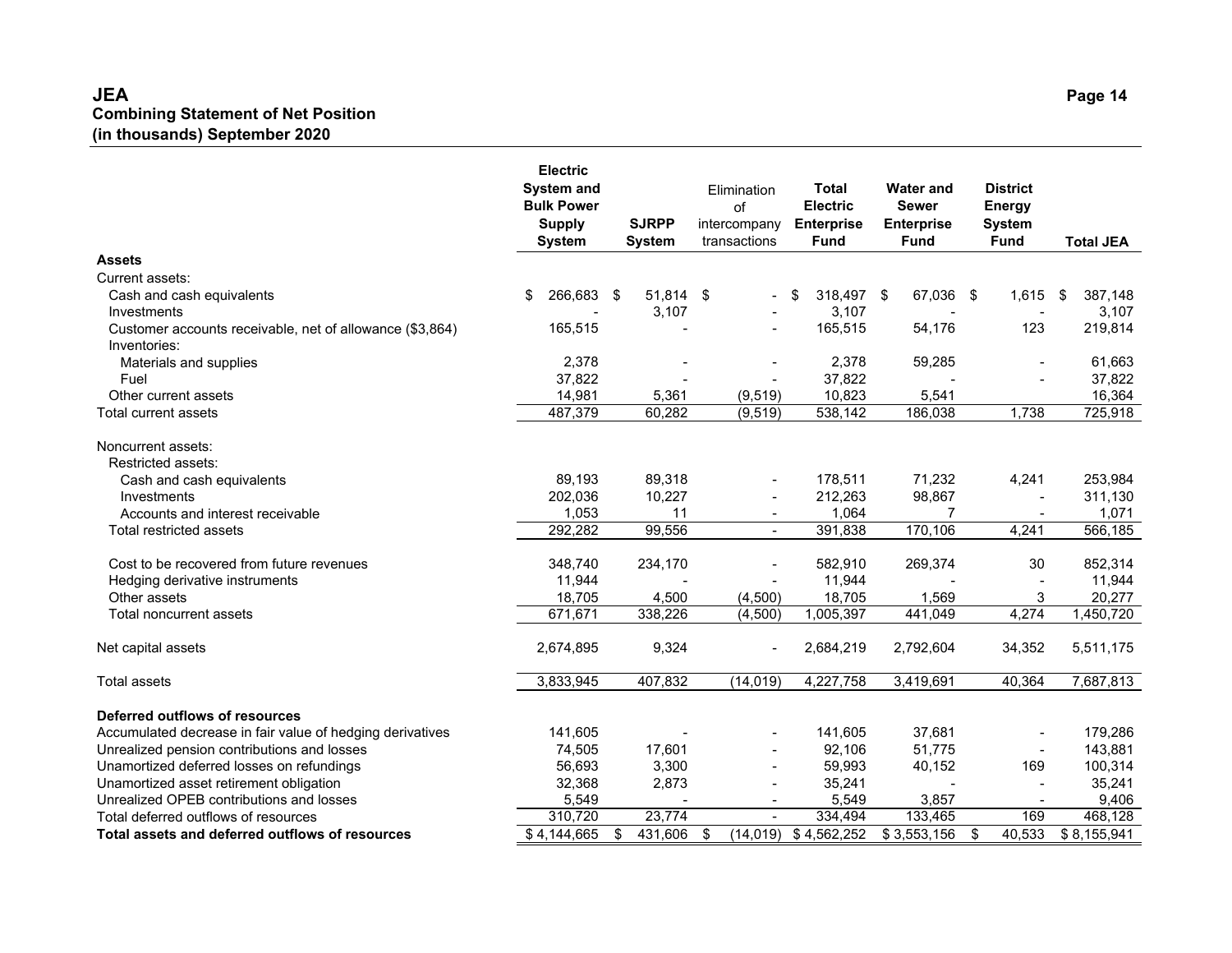#### **JEA Page 14 Combining Statement of Net Position (in thousands) September 2020**

|                                                           | <b>Electric</b><br><b>System and</b><br><b>Bulk Power</b><br><b>Supply</b><br><b>System</b> | <b>SJRPP</b><br><b>System</b> | Elimination<br>of<br>intercompany<br>transactions | <b>Total</b><br><b>Electric</b><br><b>Enterprise</b><br><b>Fund</b> | <b>Water and</b><br><b>Sewer</b><br><b>Enterprise</b><br><b>Fund</b> | <b>District</b><br><b>Energy</b><br><b>System</b><br><b>Fund</b> | <b>Total JEA</b> |
|-----------------------------------------------------------|---------------------------------------------------------------------------------------------|-------------------------------|---------------------------------------------------|---------------------------------------------------------------------|----------------------------------------------------------------------|------------------------------------------------------------------|------------------|
| <b>Assets</b>                                             |                                                                                             |                               |                                                   |                                                                     |                                                                      |                                                                  |                  |
| Current assets:                                           |                                                                                             |                               |                                                   |                                                                     |                                                                      |                                                                  |                  |
| Cash and cash equivalents                                 | 266,683<br>\$                                                                               | \$<br>51,814 \$               |                                                   | \$<br>318,497 \$                                                    | 67,036 \$                                                            | 1,615                                                            | 387,148<br>-\$   |
| Investments                                               |                                                                                             | 3,107                         |                                                   | 3,107                                                               |                                                                      |                                                                  | 3,107            |
| Customer accounts receivable, net of allowance (\$3,864)  | 165,515                                                                                     |                               |                                                   | 165,515                                                             | 54,176                                                               | 123                                                              | 219,814          |
| Inventories:                                              |                                                                                             |                               |                                                   |                                                                     |                                                                      |                                                                  |                  |
| Materials and supplies                                    | 2,378                                                                                       |                               |                                                   | 2,378                                                               | 59,285                                                               |                                                                  | 61,663           |
| Fuel                                                      | 37,822                                                                                      |                               | $\blacksquare$                                    | 37,822                                                              |                                                                      |                                                                  | 37,822           |
| Other current assets                                      | 14,981                                                                                      | 5,361                         | (9, 519)                                          | 10,823                                                              | 5,541                                                                |                                                                  | 16,364           |
| Total current assets                                      | 487,379                                                                                     | 60,282                        | (9, 519)                                          | 538,142                                                             | 186,038                                                              | 1,738                                                            | 725,918          |
| Noncurrent assets:<br>Restricted assets:                  |                                                                                             |                               |                                                   |                                                                     |                                                                      |                                                                  |                  |
| Cash and cash equivalents                                 | 89,193                                                                                      | 89,318                        |                                                   | 178,511                                                             | 71,232                                                               | 4,241                                                            | 253,984          |
| Investments                                               | 202,036                                                                                     | 10,227                        |                                                   | 212,263                                                             | 98,867                                                               |                                                                  | 311,130          |
| Accounts and interest receivable                          | 1,053                                                                                       | 11                            | $\blacksquare$                                    | 1,064                                                               | 7                                                                    | $\blacksquare$                                                   | 1,071            |
| Total restricted assets                                   | 292,282                                                                                     | 99,556                        | $\blacksquare$                                    | 391,838                                                             | 170,106                                                              | 4,241                                                            | 566,185          |
| Cost to be recovered from future revenues                 | 348.740                                                                                     | 234,170                       |                                                   | 582,910                                                             | 269,374                                                              | 30                                                               | 852,314          |
| Hedging derivative instruments                            | 11,944                                                                                      |                               |                                                   | 11,944                                                              |                                                                      |                                                                  | 11,944           |
| Other assets                                              | 18,705                                                                                      | 4,500                         | (4,500)                                           | 18,705                                                              | 1,569                                                                | 3                                                                | 20,277           |
| Total noncurrent assets                                   | 671,671                                                                                     | 338,226                       | (4,500)                                           | 1,005,397                                                           | 441,049                                                              | 4,274                                                            | 1,450,720        |
| Net capital assets                                        | 2,674,895                                                                                   | 9,324                         | $\overline{a}$                                    | 2,684,219                                                           | 2,792,604                                                            | 34,352                                                           | 5,511,175        |
| <b>Total assets</b>                                       | 3,833,945                                                                                   | 407,832                       | (14, 019)                                         | 4,227,758                                                           | 3,419,691                                                            | 40,364                                                           | 7,687,813        |
| Deferred outflows of resources                            |                                                                                             |                               |                                                   |                                                                     |                                                                      |                                                                  |                  |
| Accumulated decrease in fair value of hedging derivatives | 141,605                                                                                     |                               |                                                   | 141,605                                                             | 37,681                                                               |                                                                  | 179,286          |
| Unrealized pension contributions and losses               | 74,505                                                                                      | 17,601                        |                                                   | 92,106                                                              | 51,775                                                               | $\sim$                                                           | 143,881          |
| Unamortized deferred losses on refundings                 | 56,693                                                                                      | 3,300                         | $\blacksquare$                                    | 59,993                                                              | 40,152                                                               | 169                                                              | 100,314          |
| Unamortized asset retirement obligation                   | 32,368                                                                                      | 2,873                         | $\overline{\phantom{a}}$                          | 35,241                                                              |                                                                      |                                                                  | 35,241           |
| Unrealized OPEB contributions and losses                  | 5,549                                                                                       | $\blacksquare$                | $\overline{\phantom{a}}$                          | 5,549                                                               | 3,857                                                                | $\overline{\phantom{a}}$                                         | 9,406            |
| Total deferred outflows of resources                      | 310,720                                                                                     | 23,774                        | $\overline{a}$                                    | 334,494                                                             | 133,465                                                              | 169                                                              | 468,128          |
| Total assets and deferred outflows of resources           | \$4,144,665                                                                                 | 431,606<br>\$                 | (14, 019)<br>\$                                   | \$4,562,252                                                         | \$3,553,156                                                          | 40,533<br>\$                                                     | \$8,155,941      |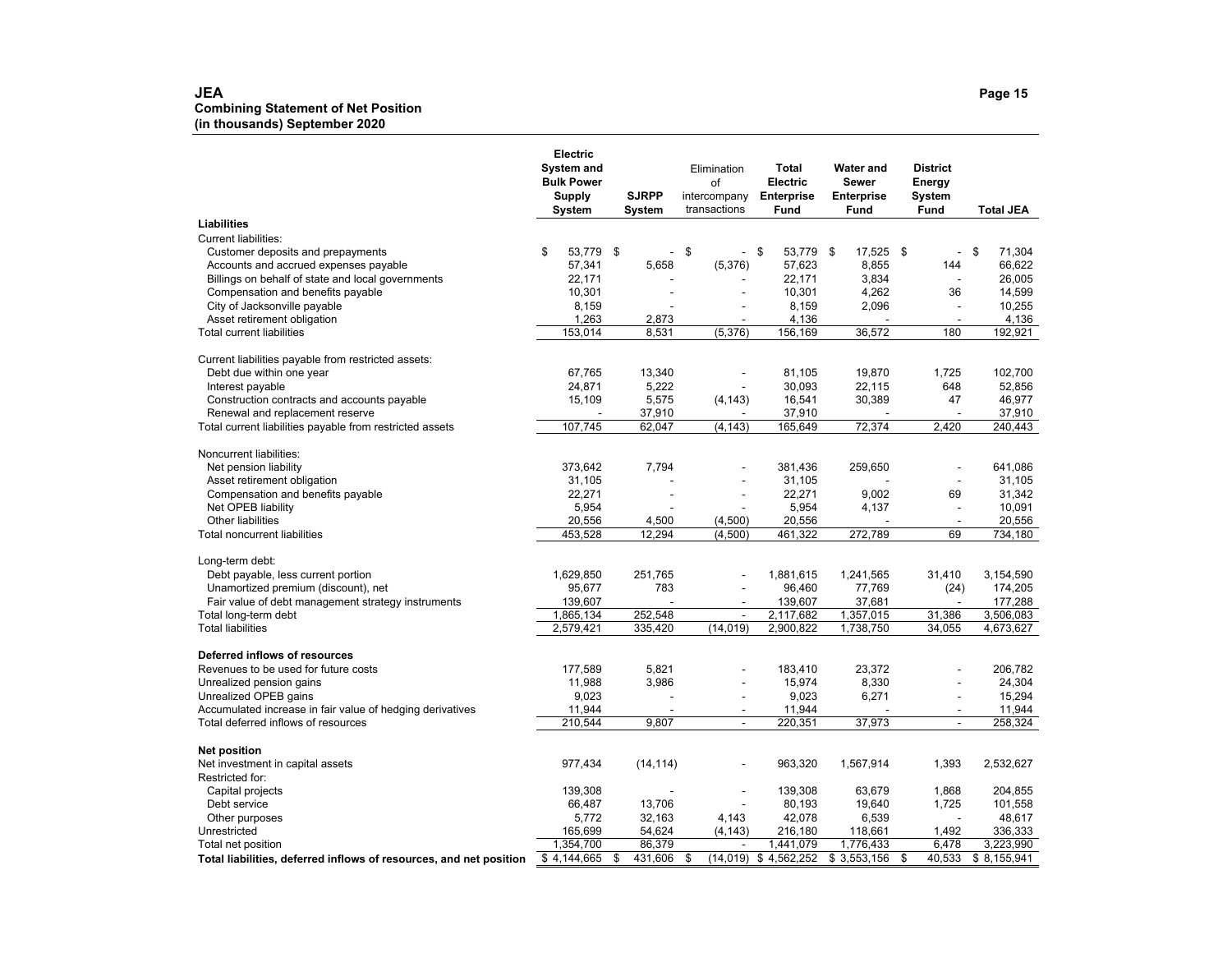#### **JEA Page 15 Combining Statement of Net Position (in thousands) September 2020**

| <b>Liabilities</b><br><b>Current liabilities:</b><br>53,779<br>\$<br>\$<br>\$<br>Customer deposits and prepayments<br>\$<br>\$<br>53,779<br>-\$<br>17,525 \$<br>71,304<br>$\overline{a}$<br>$\blacksquare$<br>$\blacksquare$ |
|------------------------------------------------------------------------------------------------------------------------------------------------------------------------------------------------------------------------------|
|                                                                                                                                                                                                                              |
|                                                                                                                                                                                                                              |
|                                                                                                                                                                                                                              |
| Accounts and accrued expenses payable<br>57,341<br>5,658<br>(5,376)<br>57,623<br>8,855<br>144<br>66,622                                                                                                                      |
| Billings on behalf of state and local governments<br>22,171<br>22,171<br>26,005<br>3,834<br>$\blacksquare$                                                                                                                   |
| Compensation and benefits payable<br>10,301<br>10,301<br>4,262<br>14,599<br>36<br>$\overline{\phantom{a}}$                                                                                                                   |
| City of Jacksonville payable<br>8,159<br>8,159<br>2,096<br>10,255<br>$\blacksquare$                                                                                                                                          |
| Asset retirement obligation<br>1,263<br>2,873<br>4,136<br>4,136                                                                                                                                                              |
| <b>Total current liabilities</b><br>153,014<br>8,531<br>(5,376)<br>156,169<br>36,572<br>180<br>192,921                                                                                                                       |
| Current liabilities payable from restricted assets:                                                                                                                                                                          |
| Debt due within one year<br>67,765<br>13,340<br>19,870<br>102,700<br>81,105<br>1,725<br>$\overline{\phantom{a}}$                                                                                                             |
| Interest payable<br>24,871<br>5,222<br>30,093<br>22,115<br>648<br>52,856                                                                                                                                                     |
| 5,575<br>46,977<br>Construction contracts and accounts payable<br>15,109<br>(4, 143)<br>16,541<br>30,389<br>47                                                                                                               |
| 37,910<br>Renewal and replacement reserve<br>37,910<br>37,910                                                                                                                                                                |
| 107,745<br>62,047<br>(4, 143)<br>165,649<br>72,374<br>2,420<br>240,443<br>Total current liabilities payable from restricted assets                                                                                           |
| Noncurrent liabilities:                                                                                                                                                                                                      |
| 373,642<br>7,794<br>381,436<br>259,650<br>641,086<br>Net pension liability                                                                                                                                                   |
| 31,105<br>31,105<br>31,105<br>Asset retirement obligation                                                                                                                                                                    |
| 22,271<br>31,342<br>Compensation and benefits payable<br>22,271<br>9,002<br>69<br>$\overline{\phantom{a}}$<br>۰.                                                                                                             |
| Net OPEB liability<br>5,954<br>5,954<br>4,137<br>10,091<br>$\overline{a}$                                                                                                                                                    |
| Other liabilities<br>20,556<br>4,500<br>(4,500)<br>20,556<br>20,556                                                                                                                                                          |
| 272,789<br>69<br>453,528<br>12,294<br>(4,500)<br>461,322<br>734,180<br>Total noncurrent liabilities                                                                                                                          |
|                                                                                                                                                                                                                              |
| Long-term debt:                                                                                                                                                                                                              |
| Debt payable, less current portion<br>1,629,850<br>251,765<br>1,881,615<br>31,410<br>3,154,590<br>1,241,565                                                                                                                  |
| Unamortized premium (discount), net<br>95,677<br>783<br>96,460<br>174,205<br>77,769<br>(24)<br>$\overline{a}$                                                                                                                |
| 177,288<br>Fair value of debt management strategy instruments<br>139,607<br>139,607<br>37,681                                                                                                                                |
| 1,865,134<br>252,548<br>2,117,682<br>1,357,015<br>31,386<br>3,506,083<br>Total long-term debt<br>$\overline{a}$                                                                                                              |
| <b>Total liabilities</b><br>2,579,421<br>335,420<br>(14, 019)<br>2,900,822<br>1,738,750<br>34,055<br>4,673,627                                                                                                               |
| Deferred inflows of resources                                                                                                                                                                                                |
| 177,589<br>5,821<br>Revenues to be used for future costs<br>183,410<br>23,372<br>206,782<br>$\overline{a}$                                                                                                                   |
| 3,986<br>Unrealized pension gains<br>11,988<br>15,974<br>8,330<br>24,304                                                                                                                                                     |
| Unrealized OPEB gains<br>9,023<br>9,023<br>6,271<br>15,294<br>$\overline{a}$<br>÷,                                                                                                                                           |
| Accumulated increase in fair value of hedging derivatives<br>11,944<br>11,944<br>11,944                                                                                                                                      |
| 210,544<br>9,807<br>220,351<br>37,973<br>258,324<br>Total deferred inflows of resources<br>÷,<br>$\overline{a}$                                                                                                              |
| <b>Net position</b>                                                                                                                                                                                                          |
| Net investment in capital assets<br>977,434<br>(14, 114)<br>963,320<br>1,567,914<br>1,393<br>2,532,627<br>$\overline{a}$                                                                                                     |
| Restricted for:                                                                                                                                                                                                              |
| 139,308<br>139,308<br>63,679<br>1,868<br>204,855<br>Capital projects<br>$\overline{\phantom{a}}$                                                                                                                             |
| 66,487<br>13,706<br>80,193<br>19,640<br>1.725<br>101,558<br>Debt service                                                                                                                                                     |
| 32,163<br>42,078<br>6,539<br>48,617<br>Other purposes<br>5,772<br>4,143<br>$\overline{a}$                                                                                                                                    |
| Unrestricted<br>165,699<br>54,624<br>(4, 143)<br>216,180<br>118,661<br>1,492<br>336,333                                                                                                                                      |
| 86,379<br>1,354,700<br>1,441,079<br>1,776,433<br>6,478<br>3,223,990<br>Total net position                                                                                                                                    |
| $(14,019)$ \$ 4,562,252<br>\$3,553,156<br>40.533<br>\$4,144,665<br>\$<br>431,606<br>\$<br>\$<br>\$8,155,941<br>Total liabilities, deferred inflows of resources, and net position                                            |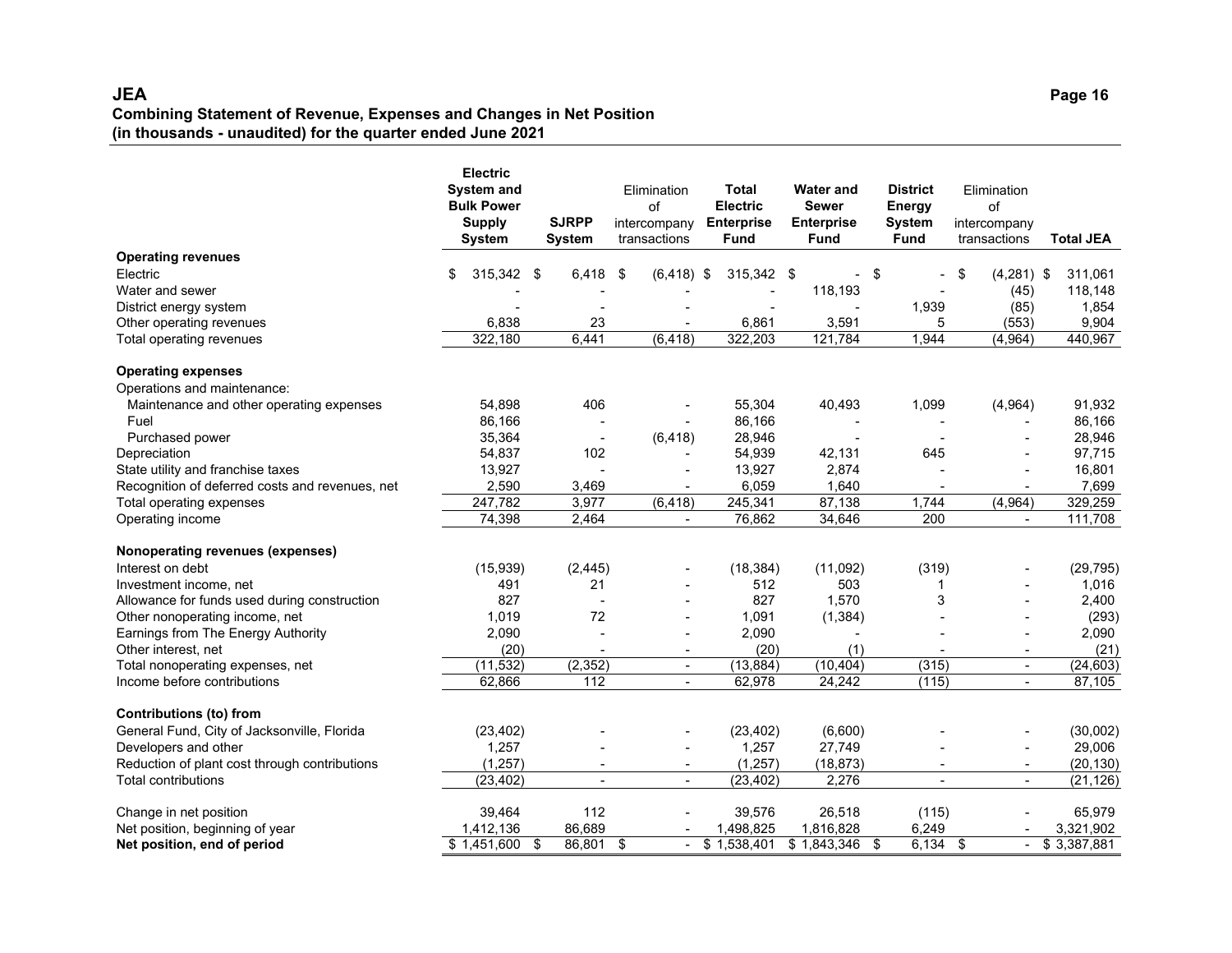#### **JEA Page 16 Combining Statement of Revenue, Expenses and Changes in Net Position (in thousands - unaudited) for the quarter ended June 2021**

|                                                  | <b>Electric</b><br>System and<br><b>Bulk Power</b><br><b>Supply</b><br>System |      | <b>SJRPP</b><br>System          | Elimination<br>of<br>intercompany<br>transactions | <b>Total</b><br><b>Electric</b><br><b>Enterprise</b><br><b>Fund</b> | <b>Water and</b><br><b>Sewer</b><br><b>Enterprise</b><br><b>Fund</b> | <b>District</b><br>Energy<br><b>System</b><br><b>Fund</b> | Elimination<br>of<br>intercompany<br>transactions |                          | <b>Total JEA</b> |
|--------------------------------------------------|-------------------------------------------------------------------------------|------|---------------------------------|---------------------------------------------------|---------------------------------------------------------------------|----------------------------------------------------------------------|-----------------------------------------------------------|---------------------------------------------------|--------------------------|------------------|
| <b>Operating revenues</b>                        |                                                                               |      |                                 |                                                   |                                                                     |                                                                      |                                                           |                                                   |                          |                  |
| Electric                                         | \$<br>315,342                                                                 | \$   | 6,418                           | \$<br>$(6, 418)$ \$                               | 315,342 \$                                                          | $\blacksquare$                                                       | -\$                                                       | \$                                                | $(4,281)$ \$             | 311,061          |
| Water and sewer                                  |                                                                               |      |                                 |                                                   |                                                                     | 118,193                                                              |                                                           |                                                   | (45)                     | 118,148          |
| District energy system                           |                                                                               |      |                                 |                                                   |                                                                     |                                                                      | 1,939                                                     |                                                   | (85)                     | 1,854            |
| Other operating revenues                         | 6,838<br>322,180                                                              |      | 23<br>6,441                     | (6, 418)                                          | 6,861<br>322,203                                                    | 3,591<br>121,784                                                     | 5<br>1,944                                                |                                                   | (553)                    | 9,904            |
| Total operating revenues                         |                                                                               |      |                                 |                                                   |                                                                     |                                                                      |                                                           |                                                   | (4, 964)                 | 440,967          |
| <b>Operating expenses</b>                        |                                                                               |      |                                 |                                                   |                                                                     |                                                                      |                                                           |                                                   |                          |                  |
| Operations and maintenance:                      | 54,898                                                                        |      | 406                             |                                                   |                                                                     |                                                                      |                                                           |                                                   |                          |                  |
| Maintenance and other operating expenses<br>Fuel | 86,166                                                                        |      |                                 |                                                   | 55,304<br>86,166                                                    | 40,493                                                               | 1,099                                                     |                                                   | (4,964)                  | 91,932<br>86,166 |
| Purchased power                                  | 35,364                                                                        |      |                                 | (6, 418)                                          | 28,946                                                              | $\blacksquare$                                                       | $\blacksquare$                                            |                                                   |                          | 28,946           |
| Depreciation                                     | 54,837                                                                        |      | $\overline{\phantom{a}}$<br>102 |                                                   | 54,939                                                              | 42,131                                                               | 645                                                       |                                                   |                          | 97,715           |
| State utility and franchise taxes                | 13,927                                                                        |      |                                 |                                                   | 13,927                                                              | 2,874                                                                |                                                           |                                                   |                          | 16,801           |
| Recognition of deferred costs and revenues, net  | 2,590                                                                         |      | 3,469                           |                                                   | 6,059                                                               | 1,640                                                                |                                                           |                                                   |                          | 7,699            |
| Total operating expenses                         | 247,782                                                                       |      | 3,977                           | (6, 418)                                          | 245,341                                                             | 87,138                                                               | 1,744                                                     |                                                   | (4,964)                  | 329,259          |
| Operating income                                 | 74,398                                                                        |      | 2,464                           | $\blacksquare$                                    | 76,862                                                              | 34,646                                                               | 200                                                       |                                                   | $\blacksquare$           | 111,708          |
| Nonoperating revenues (expenses)                 |                                                                               |      |                                 |                                                   |                                                                     |                                                                      |                                                           |                                                   |                          |                  |
| Interest on debt                                 | (15, 939)                                                                     |      | (2, 445)                        |                                                   | (18, 384)                                                           | (11,092)                                                             | (319)                                                     |                                                   |                          | (29, 795)        |
| Investment income, net                           | 491                                                                           |      | 21                              |                                                   | 512                                                                 | 503                                                                  |                                                           |                                                   |                          | 1,016            |
| Allowance for funds used during construction     | 827                                                                           |      |                                 |                                                   | 827                                                                 | 1,570                                                                | 3                                                         |                                                   |                          | 2,400            |
| Other nonoperating income, net                   | 1,019                                                                         |      | 72                              |                                                   | 1,091                                                               | (1, 384)                                                             |                                                           |                                                   |                          | (293)            |
| Earnings from The Energy Authority               | 2,090                                                                         |      |                                 |                                                   | 2,090                                                               |                                                                      |                                                           |                                                   |                          | 2,090            |
| Other interest, net                              |                                                                               | (20) | $\blacksquare$                  | $\overline{\phantom{a}}$                          | (20)                                                                | (1)                                                                  | $\blacksquare$                                            |                                                   | $\overline{\phantom{a}}$ | (21)             |
| Total nonoperating expenses, net                 | (11, 532)                                                                     |      | (2, 352)                        | $\overline{\phantom{a}}$                          | (13, 884)                                                           | (10, 404)                                                            | (315)                                                     |                                                   | $\overline{\phantom{a}}$ | (24, 603)        |
| Income before contributions                      | 62,866                                                                        |      | 112                             | $\blacksquare$                                    | 62,978                                                              | 24,242                                                               | (115)                                                     |                                                   | $\blacksquare$           | 87,105           |
| <b>Contributions (to) from</b>                   |                                                                               |      |                                 |                                                   |                                                                     |                                                                      |                                                           |                                                   |                          |                  |
| General Fund, City of Jacksonville, Florida      | (23, 402)                                                                     |      |                                 |                                                   | (23, 402)                                                           | (6,600)                                                              |                                                           |                                                   |                          | (30,002)         |
| Developers and other                             | 1,257                                                                         |      |                                 |                                                   | 1,257                                                               | 27,749                                                               |                                                           |                                                   |                          | 29,006           |
| Reduction of plant cost through contributions    | (1, 257)                                                                      |      |                                 |                                                   | (1, 257)                                                            | (18, 873)                                                            |                                                           |                                                   |                          | (20, 130)        |
| <b>Total contributions</b>                       | (23, 402)                                                                     |      |                                 | $\blacksquare$                                    | (23, 402)                                                           | 2,276                                                                | $\mathbf{r}$                                              |                                                   | $\sim$                   | (21, 126)        |
|                                                  |                                                                               |      |                                 |                                                   |                                                                     |                                                                      |                                                           |                                                   |                          |                  |
| Change in net position                           | 39,464                                                                        |      | 112                             |                                                   | 39,576                                                              | 26,518                                                               | (115)                                                     |                                                   |                          | 65,979           |
| Net position, beginning of year                  | 1,412,136                                                                     |      | 86,689                          |                                                   | 1,498,825                                                           | 1,816,828                                                            | 6,249                                                     |                                                   |                          | 3,321,902        |
| Net position, end of period                      | \$1,451,600                                                                   | \$   | 86,801                          | \$<br>$\blacksquare$                              | \$1,538,401                                                         | \$1,843,346                                                          | 6,134<br>\$                                               | \$                                                |                          | \$3,387,881      |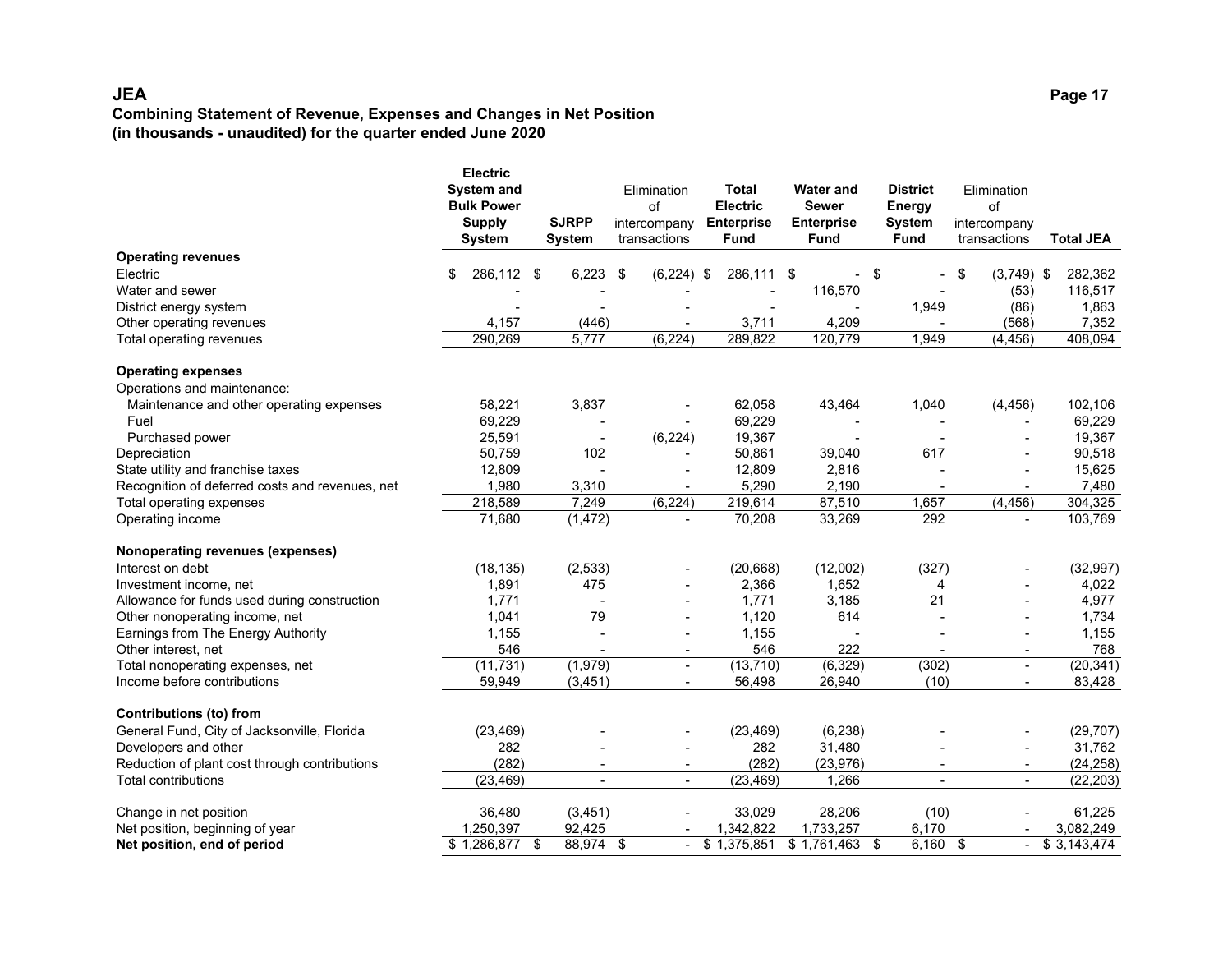#### **JEA Page 17 Combining Statement of Revenue, Expenses and Changes in Net Position (in thousands - unaudited) for the quarter ended June 2020**

|                                                          | <b>Electric</b><br>System and<br><b>Bulk Power</b><br><b>Supply</b><br><b>System</b> | <b>SJRPP</b><br><b>System</b> | Elimination<br>of<br>intercompany<br>transactions | <b>Total</b><br><b>Electric</b><br><b>Enterprise</b><br><b>Fund</b> | <b>Water and</b><br><b>Sewer</b><br><b>Enterprise</b><br><b>Fund</b> | <b>District</b><br>Energy<br><b>System</b><br><b>Fund</b> | Elimination<br>of<br>intercompany<br>transactions | <b>Total JEA</b> |
|----------------------------------------------------------|--------------------------------------------------------------------------------------|-------------------------------|---------------------------------------------------|---------------------------------------------------------------------|----------------------------------------------------------------------|-----------------------------------------------------------|---------------------------------------------------|------------------|
| <b>Operating revenues</b>                                |                                                                                      |                               |                                                   |                                                                     |                                                                      |                                                           |                                                   |                  |
| Electric                                                 | \$<br>286,112<br>\$                                                                  | 6,223                         | \$<br>$(6,224)$ \$                                | 286,111 \$                                                          | $\blacksquare$                                                       | - \$                                                      | \$<br>$(3,749)$ \$                                | 282,362          |
| Water and sewer                                          |                                                                                      |                               |                                                   |                                                                     | 116,570                                                              |                                                           | (53)                                              | 116,517          |
| District energy system                                   |                                                                                      |                               |                                                   |                                                                     |                                                                      | 1,949                                                     | (86)                                              | 1,863            |
| Other operating revenues                                 | 4,157<br>290,269                                                                     | (446)<br>5,777                | (6, 224)                                          | 3,711<br>289,822                                                    | 4,209<br>120.779                                                     | 1,949                                                     | (568)                                             | 7,352            |
| Total operating revenues                                 |                                                                                      |                               |                                                   |                                                                     |                                                                      |                                                           | (4, 456)                                          | 408,094          |
| <b>Operating expenses</b><br>Operations and maintenance: |                                                                                      |                               |                                                   |                                                                     |                                                                      |                                                           |                                                   |                  |
| Maintenance and other operating expenses                 | 58,221                                                                               | 3,837                         |                                                   | 62,058                                                              | 43,464                                                               | 1,040                                                     | (4, 456)                                          | 102,106          |
| Fuel                                                     | 69,229                                                                               |                               |                                                   | 69,229                                                              |                                                                      |                                                           |                                                   | 69,229           |
| Purchased power                                          | 25,591                                                                               | $\blacksquare$                | (6, 224)                                          | 19,367                                                              | $\overline{a}$                                                       | $\overline{\phantom{a}}$                                  |                                                   | 19,367           |
| Depreciation                                             | 50,759                                                                               | 102                           |                                                   | 50,861                                                              | 39,040                                                               | 617                                                       |                                                   | 90,518           |
| State utility and franchise taxes                        | 12,809                                                                               |                               |                                                   | 12,809                                                              | 2,816                                                                |                                                           |                                                   | 15,625           |
| Recognition of deferred costs and revenues, net          | 1,980                                                                                | 3,310                         |                                                   | 5,290                                                               | 2,190                                                                |                                                           |                                                   | 7,480            |
| Total operating expenses                                 | 218,589                                                                              | 7,249                         | (6, 224)                                          | 219,614                                                             | 87,510                                                               | 1,657                                                     | (4, 456)                                          | 304,325          |
| Operating income                                         | 71,680                                                                               | (1, 472)                      | $\overline{\phantom{a}}$                          | 70,208                                                              | 33,269                                                               | 292                                                       | $\blacksquare$                                    | 103,769          |
| Nonoperating revenues (expenses)                         |                                                                                      |                               |                                                   |                                                                     |                                                                      |                                                           |                                                   |                  |
| Interest on debt                                         | (18, 135)                                                                            | (2, 533)                      |                                                   | (20, 668)                                                           | (12,002)                                                             | (327)                                                     |                                                   | (32, 997)        |
| Investment income, net                                   | 1,891                                                                                | 475                           |                                                   | 2,366                                                               | 1,652                                                                | 4                                                         |                                                   | 4,022            |
| Allowance for funds used during construction             | 1,771                                                                                |                               |                                                   | 1,771                                                               | 3,185                                                                | 21                                                        |                                                   | 4,977            |
| Other nonoperating income, net                           | 1,041                                                                                | 79                            |                                                   | 1,120                                                               | 614                                                                  |                                                           |                                                   | 1,734            |
| Earnings from The Energy Authority                       | 1,155                                                                                |                               | $\blacksquare$                                    | 1,155                                                               |                                                                      |                                                           | $\blacksquare$                                    | 1,155            |
| Other interest, net                                      | 546                                                                                  |                               | $\overline{\phantom{a}}$                          | 546                                                                 | 222                                                                  | $\overline{\phantom{a}}$                                  | $\blacksquare$                                    | 768              |
| Total nonoperating expenses, net                         | (11, 731)                                                                            | (1,979)                       | $\overline{\phantom{a}}$                          | (13, 710)                                                           | (6, 329)                                                             | (302)                                                     | $\overline{\phantom{a}}$                          | (20, 341)        |
| Income before contributions                              | 59,949                                                                               | (3, 451)                      | $\mathbf{r}$                                      | 56,498                                                              | 26,940                                                               | (10)                                                      | $\blacksquare$                                    | 83,428           |
| <b>Contributions (to) from</b>                           |                                                                                      |                               |                                                   |                                                                     |                                                                      |                                                           |                                                   |                  |
| General Fund, City of Jacksonville, Florida              | (23, 469)                                                                            |                               |                                                   | (23, 469)                                                           | (6, 238)                                                             |                                                           |                                                   | (29, 707)        |
| Developers and other                                     | 282                                                                                  |                               |                                                   | 282                                                                 | 31,480                                                               |                                                           |                                                   | 31,762           |
| Reduction of plant cost through contributions            | (282)                                                                                |                               |                                                   | (282)                                                               | (23, 976)                                                            |                                                           | $\overline{\phantom{a}}$                          | (24, 258)        |
| <b>Total contributions</b>                               | (23, 469)                                                                            |                               | $\sim$                                            | (23, 469)                                                           | 1,266                                                                | $\overline{a}$                                            | $\blacksquare$                                    | (22, 203)        |
| Change in net position                                   | 36,480                                                                               | (3,451)                       |                                                   | 33,029                                                              | 28,206                                                               | (10)                                                      |                                                   | 61,225           |
| Net position, beginning of year                          | 1,250,397                                                                            | 92,425                        |                                                   | 1,342,822                                                           | 1,733,257                                                            | 6,170                                                     |                                                   | 3,082,249        |
|                                                          |                                                                                      |                               |                                                   |                                                                     |                                                                      |                                                           |                                                   |                  |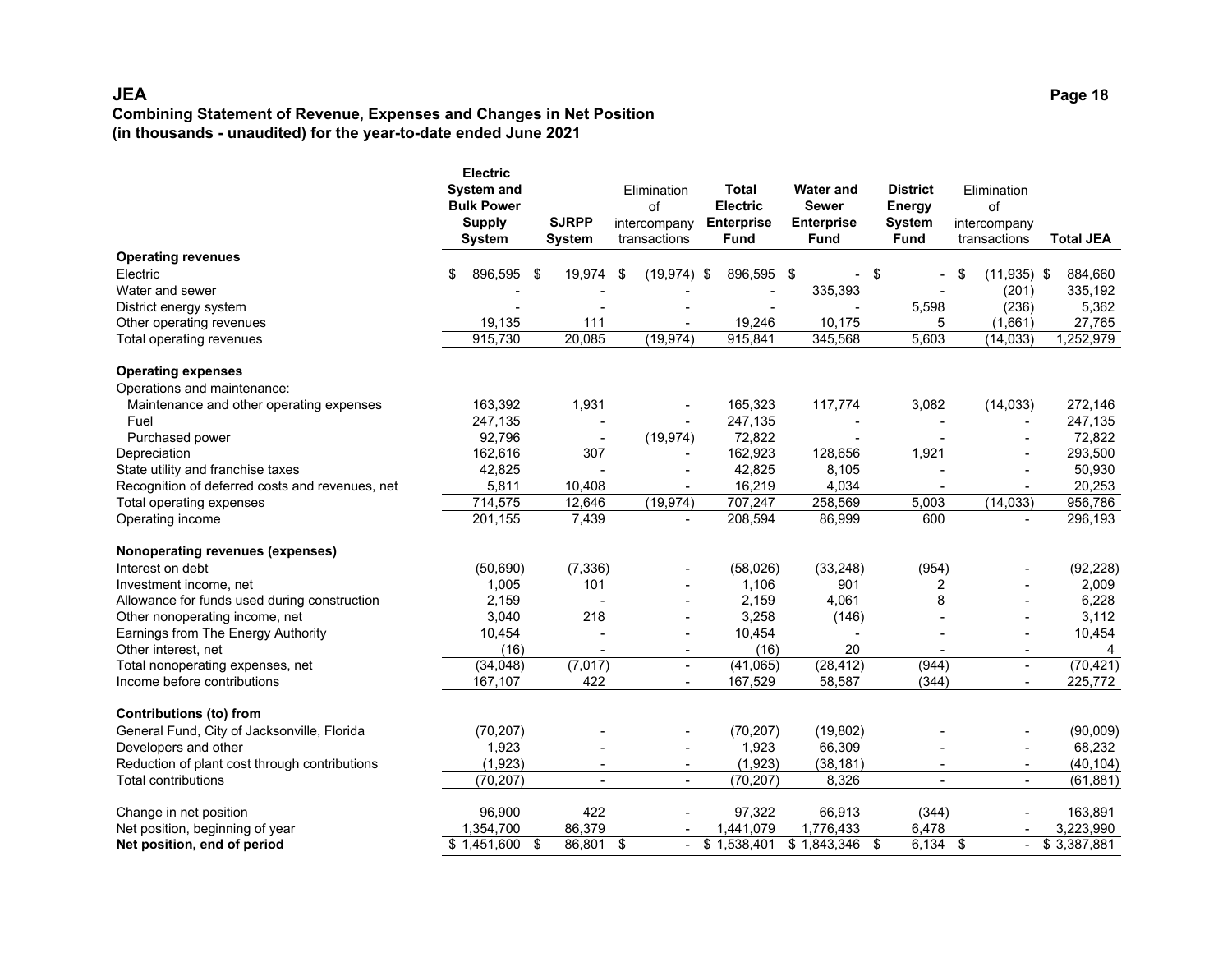#### **JEA Page 18 Combining Statement of Revenue, Expenses and Changes in Net Position (in thousands - unaudited) for the year-to-date ended June 2021**

|                                                 | <b>Electric</b><br>System and |                | Elimination              | Total             |            | <b>Water and</b>  |     | <b>District</b>          | Elimination              |                  |
|-------------------------------------------------|-------------------------------|----------------|--------------------------|-------------------|------------|-------------------|-----|--------------------------|--------------------------|------------------|
|                                                 | <b>Bulk Power</b>             |                | of                       | <b>Electric</b>   |            | <b>Sewer</b>      |     | <b>Energy</b>            | of                       |                  |
|                                                 | <b>Supply</b>                 | <b>SJRPP</b>   | intercompany             | <b>Enterprise</b> |            | <b>Enterprise</b> |     | <b>System</b>            | intercompany             |                  |
|                                                 | <b>System</b>                 | <b>System</b>  | transactions             | <b>Fund</b>       |            | <b>Fund</b>       |     | <b>Fund</b>              | transactions             | <b>Total JEA</b> |
| <b>Operating revenues</b>                       |                               |                |                          |                   |            |                   |     |                          |                          |                  |
| Electric                                        | \$<br>896,595                 | \$<br>19,974   | \$<br>$(19,974)$ \$      |                   | 896,595 \$ | $\blacksquare$    | -\$ |                          | \$<br>$(11,935)$ \$      | 884,660          |
| Water and sewer                                 |                               |                |                          |                   |            | 335,393           |     |                          | (201)                    | 335,192          |
| District energy system                          |                               |                |                          |                   |            |                   |     | 5,598                    | (236)                    | 5,362            |
| Other operating revenues                        | 19,135                        | 111            |                          |                   | 19,246     | 10,175            |     | 5                        | (1,661)                  | 27,765           |
| Total operating revenues                        | 915,730                       | 20,085         | (19, 974)                |                   | 915,841    | 345,568           |     | 5,603                    | (14, 033)                | 1,252,979        |
| <b>Operating expenses</b>                       |                               |                |                          |                   |            |                   |     |                          |                          |                  |
| Operations and maintenance:                     |                               |                |                          |                   |            |                   |     |                          |                          |                  |
| Maintenance and other operating expenses        | 163,392                       | 1,931          |                          |                   | 165,323    | 117,774           |     | 3,082                    | (14, 033)                | 272,146          |
| Fuel                                            | 247,135                       |                |                          |                   | 247,135    |                   |     |                          |                          | 247,135          |
| Purchased power                                 | 92,796                        | $\blacksquare$ | (19, 974)                |                   | 72,822     | $\blacksquare$    |     |                          |                          | 72,822           |
| Depreciation                                    | 162,616                       | 307            |                          |                   | 162,923    | 128,656           |     | 1,921                    |                          | 293,500          |
| State utility and franchise taxes               | 42,825                        |                |                          |                   | 42,825     | 8,105             |     |                          |                          | 50,930           |
| Recognition of deferred costs and revenues, net | 5,811                         | 10,408         |                          |                   | 16,219     | 4,034             |     |                          |                          | 20,253           |
| Total operating expenses                        | 714,575                       | 12,646         | (19, 974)                |                   | 707,247    | 258,569           |     | 5,003                    | (14, 033)                | 956,786          |
| Operating income                                | 201,155                       | 7,439          | $\overline{\phantom{a}}$ |                   | 208,594    | 86,999            |     | 600                      | $\overline{\phantom{a}}$ | 296,193          |
| Nonoperating revenues (expenses)                |                               |                |                          |                   |            |                   |     |                          |                          |                  |
| Interest on debt                                | (50, 690)                     | (7, 336)       |                          |                   | (58,026)   | (33, 248)         |     | (954)                    |                          | (92, 228)        |
| Investment income, net                          | 1,005                         | 101            |                          |                   | 1,106      | 901               |     | 2                        | $\blacksquare$           | 2,009            |
| Allowance for funds used during construction    | 2,159                         |                |                          |                   | 2,159      | 4,061             |     | 8                        |                          | 6,228            |
| Other nonoperating income, net                  | 3,040                         | 218            |                          |                   | 3,258      | (146)             |     |                          | $\overline{\phantom{a}}$ | 3,112            |
| Earnings from The Energy Authority              | 10,454                        |                |                          |                   | 10,454     |                   |     |                          | $\blacksquare$           | 10,454           |
| Other interest, net                             | (16)                          | $\blacksquare$ | $\blacksquare$           |                   | (16)       | 20                |     | $\overline{\phantom{a}}$ | $\blacksquare$           | 4                |
| Total nonoperating expenses, net                | (34, 048)                     | (7,017)        | $\overline{\phantom{a}}$ |                   | (41,065)   | (28, 412)         |     | (944)                    | $\overline{\phantom{a}}$ | (70, 421)        |
| Income before contributions                     | 167,107                       | 422            | $\blacksquare$           |                   | 167,529    | 58,587            |     | (344)                    | $\blacksquare$           | 225,772          |
| <b>Contributions (to) from</b>                  |                               |                |                          |                   |            |                   |     |                          |                          |                  |
| General Fund, City of Jacksonville, Florida     | (70, 207)                     |                |                          |                   | (70, 207)  | (19, 802)         |     |                          |                          | (90,009)         |
| Developers and other                            | 1,923                         |                |                          |                   | 1,923      | 66,309            |     |                          |                          | 68,232           |
| Reduction of plant cost through contributions   | (1,923)                       |                | $\blacksquare$           |                   | (1,923)    | (38, 181)         |     |                          | $\blacksquare$           | (40, 104)        |
| <b>Total contributions</b>                      | (70, 207)                     |                | $\blacksquare$           |                   | (70, 207)  | 8,326             |     | $\mathbf{r}$             | $\blacksquare$           | (61, 881)        |
| Change in net position                          | 96,900                        | 422            |                          |                   | 97,322     | 66,913            |     | (344)                    |                          | 163,891          |
| Net position, beginning of year                 | 1,354,700                     | 86,379         |                          |                   | 1,441,079  | 1,776,433         |     | 6,478                    |                          | 3,223,990        |
| Net position, end of period                     | \$1,451,600                   | \$<br>86,801   | \$<br>$\omega$ .         | \$1,538,401       |            | \$1,843,346       | \$  | 6,134                    | \$<br>$\blacksquare$     | \$3,387,881      |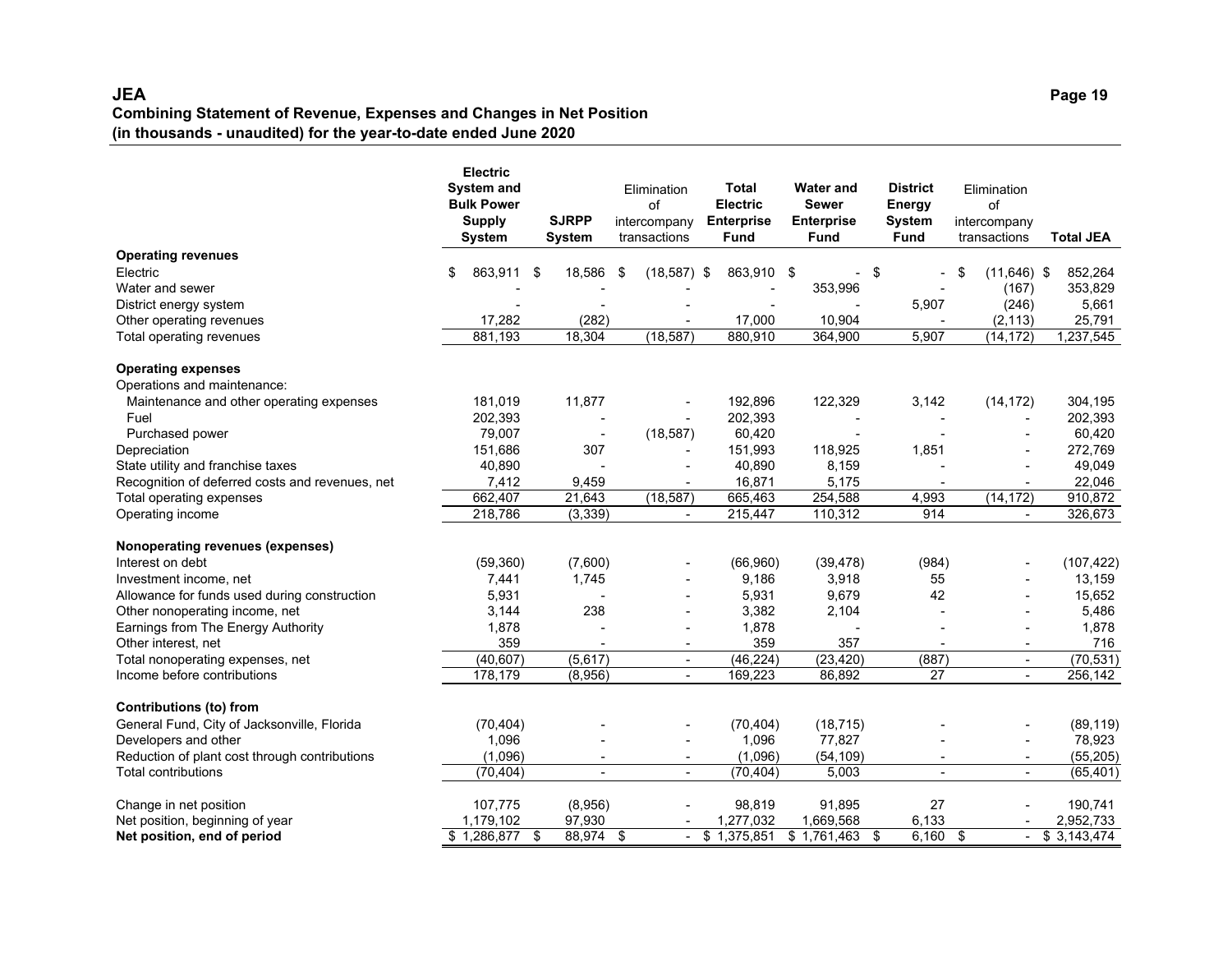#### **JEA Page 19 Combining Statement of Revenue, Expenses and Changes in Net Position (in thousands - unaudited) for the year-to-date ended June 2020**

|                                                 | <b>Electric</b><br><b>System and</b><br><b>Bulk Power</b><br><b>Supply</b><br><b>System</b> | <b>SJRPP</b><br><b>System</b> | Elimination<br>of<br>intercompany<br>transactions | Total<br><b>Electric</b><br><b>Enterprise</b><br><b>Fund</b> | <b>Water and</b><br><b>Sewer</b><br><b>Enterprise</b><br><b>Fund</b> | <b>District</b><br><b>Energy</b><br><b>System</b><br><b>Fund</b> | Elimination<br>of<br>intercompany<br>transactions | <b>Total JEA</b> |
|-------------------------------------------------|---------------------------------------------------------------------------------------------|-------------------------------|---------------------------------------------------|--------------------------------------------------------------|----------------------------------------------------------------------|------------------------------------------------------------------|---------------------------------------------------|------------------|
| <b>Operating revenues</b>                       |                                                                                             |                               |                                                   |                                                              |                                                                      |                                                                  |                                                   |                  |
| Electric                                        | \$<br>863,911                                                                               | \$<br>18,586                  | \$<br>$(18,587)$ \$                               | 863,910 \$                                                   | $\sim$                                                               | -\$                                                              | $(11, 646)$ \$<br>\$                              | 852,264          |
| Water and sewer                                 |                                                                                             |                               |                                                   |                                                              | 353,996                                                              |                                                                  | (167)                                             | 353,829          |
| District energy system                          |                                                                                             |                               |                                                   |                                                              |                                                                      | 5,907                                                            | (246)                                             | 5,661            |
| Other operating revenues                        | 17,282                                                                                      | (282)                         |                                                   | 17,000                                                       | 10,904                                                               |                                                                  | (2, 113)                                          | 25,791           |
| Total operating revenues                        | 881,193                                                                                     | 18,304                        | (18, 587)                                         | 880,910                                                      | 364,900                                                              | 5,907                                                            | (14, 172)                                         | 1,237,545        |
| <b>Operating expenses</b>                       |                                                                                             |                               |                                                   |                                                              |                                                                      |                                                                  |                                                   |                  |
| Operations and maintenance:                     |                                                                                             |                               |                                                   |                                                              |                                                                      |                                                                  |                                                   |                  |
| Maintenance and other operating expenses        | 181,019                                                                                     | 11,877                        |                                                   | 192,896                                                      | 122,329                                                              | 3,142                                                            | (14, 172)                                         | 304,195          |
| Fuel                                            | 202,393                                                                                     |                               |                                                   | 202,393                                                      |                                                                      |                                                                  |                                                   | 202,393          |
| Purchased power                                 | 79,007                                                                                      |                               | (18, 587)                                         | 60,420                                                       |                                                                      |                                                                  |                                                   | 60,420           |
| Depreciation                                    | 151,686                                                                                     | 307                           | $\blacksquare$                                    | 151,993                                                      | 118,925                                                              | 1,851                                                            | $\overline{\phantom{a}}$                          | 272,769          |
| State utility and franchise taxes               | 40,890                                                                                      |                               |                                                   | 40,890                                                       | 8,159                                                                |                                                                  |                                                   | 49,049           |
| Recognition of deferred costs and revenues, net | 7,412                                                                                       | 9,459                         | $\blacksquare$                                    | 16,871                                                       | 5,175                                                                |                                                                  |                                                   | 22,046           |
| Total operating expenses                        | 662,407                                                                                     | 21,643                        | (18, 587)                                         | 665,463                                                      | 254,588                                                              | 4,993                                                            | (14, 172)                                         | 910,872          |
| Operating income                                | 218,786                                                                                     | (3, 339)                      | $\overline{\phantom{a}}$                          | 215,447                                                      | 110,312                                                              | 914                                                              | $\blacksquare$                                    | 326,673          |
| Nonoperating revenues (expenses)                |                                                                                             |                               |                                                   |                                                              |                                                                      |                                                                  |                                                   |                  |
| Interest on debt                                | (59, 360)                                                                                   | (7,600)                       |                                                   | (66,960)                                                     | (39, 478)                                                            | (984)                                                            |                                                   | (107, 422)       |
| Investment income, net                          | 7,441                                                                                       | 1,745                         |                                                   | 9,186                                                        | 3,918                                                                | 55                                                               |                                                   | 13,159           |
| Allowance for funds used during construction    | 5,931                                                                                       |                               |                                                   | 5,931                                                        | 9,679                                                                | 42                                                               |                                                   | 15,652           |
| Other nonoperating income, net                  | 3,144                                                                                       | 238                           |                                                   | 3,382                                                        | 2,104                                                                |                                                                  |                                                   | 5,486            |
| Earnings from The Energy Authority              | 1,878                                                                                       |                               |                                                   | 1,878                                                        |                                                                      |                                                                  | $\blacksquare$                                    | 1,878            |
| Other interest, net                             | 359                                                                                         | $\blacksquare$                | $\overline{\phantom{a}}$                          | 359                                                          | 357                                                                  | $\blacksquare$                                                   | $\overline{\phantom{a}}$                          | 716              |
| Total nonoperating expenses, net                | (40, 607)                                                                                   | (5,617)                       | $\overline{\phantom{a}}$                          | (46, 224)                                                    | (23, 420)                                                            | (887)                                                            | $\overline{\phantom{a}}$                          | (70, 531)        |
| Income before contributions                     | 178,179                                                                                     | (8,956)                       | $\blacksquare$                                    | 169,223                                                      | 86,892                                                               | $\overline{27}$                                                  | $\blacksquare$                                    | 256,142          |
| <b>Contributions (to) from</b>                  |                                                                                             |                               |                                                   |                                                              |                                                                      |                                                                  |                                                   |                  |
| General Fund, City of Jacksonville, Florida     | (70, 404)                                                                                   |                               |                                                   | (70, 404)                                                    | (18, 715)                                                            |                                                                  |                                                   | (89, 119)        |
| Developers and other                            | 1,096                                                                                       |                               |                                                   | 1,096                                                        | 77,827                                                               |                                                                  |                                                   | 78,923           |
| Reduction of plant cost through contributions   | (1,096)                                                                                     |                               |                                                   | (1,096)                                                      | (54, 109)                                                            |                                                                  |                                                   | (55, 205)        |
| <b>Total contributions</b>                      | (70, 404)                                                                                   | $\blacksquare$                | $\blacksquare$                                    | (70, 404)                                                    | 5,003                                                                | $\blacksquare$                                                   | $\blacksquare$                                    | (65, 401)        |
| Change in net position                          | 107,775                                                                                     | (8,956)                       |                                                   | 98,819                                                       | 91,895                                                               | 27                                                               |                                                   | 190,741          |
| Net position, beginning of year                 | 1,179,102                                                                                   | 97,930                        |                                                   | 1,277,032                                                    | 1,669,568                                                            | 6,133                                                            |                                                   | 2,952,733        |
| Net position, end of period                     | $$1,286,877$ \;                                                                             | 88,974 \$                     | $\sim$                                            | \$1,375,851                                                  | $$1,761,463$ \$                                                      | $6,160$ \$                                                       | $\overline{\phantom{a}}$                          | \$3,143,474      |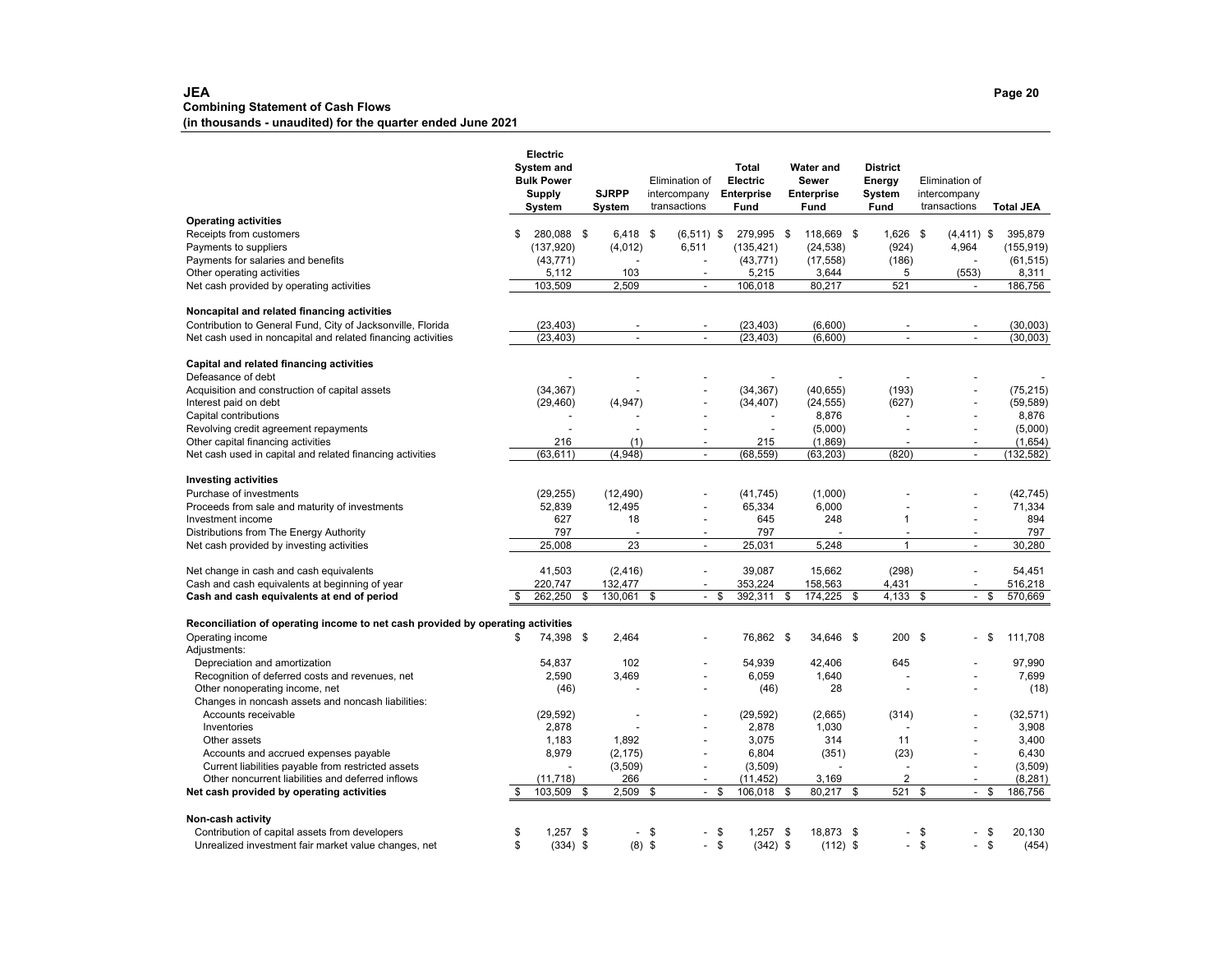#### **JEA Page 20 Combining Statement of Cash Flows (in thousands - unaudited) for the quarter ended June 2021**

|                                                                                  | Electric<br>System and<br><b>Bulk Power</b><br>Supply<br>System |          | <b>SJRPP</b><br>System   | Elimination of<br>intercompany<br>transactions | Total<br>Electric<br><b>Enterprise</b><br>Fund | <b>Water and</b><br><b>Sewer</b><br><b>Enterprise</b><br>Fund | <b>District</b><br>Energy<br>System<br>Fund | Elimination of<br>intercompany<br>transactions | <b>Total JEA</b> |
|----------------------------------------------------------------------------------|-----------------------------------------------------------------|----------|--------------------------|------------------------------------------------|------------------------------------------------|---------------------------------------------------------------|---------------------------------------------|------------------------------------------------|------------------|
| <b>Operating activities</b>                                                      |                                                                 |          |                          |                                                |                                                |                                                               |                                             |                                                |                  |
| Receipts from customers                                                          | \$<br>280,088 \$                                                |          | $6,418$ \$               | $(6,511)$ \$                                   | 279,995 \$                                     | 118,669 \$                                                    | 1,626                                       | \$<br>$(4, 411)$ \$                            | 395,879          |
| Payments to suppliers                                                            | (137, 920)                                                      |          | (4.012)                  | 6,511                                          | (135, 421)                                     | (24, 538)                                                     | (924)                                       | 4,964                                          | (155, 919)       |
| Payments for salaries and benefits                                               | (43, 771)                                                       |          |                          |                                                | (43, 771)                                      | (17, 558)                                                     | (186)                                       |                                                | (61, 515)        |
| Other operating activities                                                       | 5,112                                                           |          | 103                      |                                                | 5,215                                          | 3,644                                                         | 5                                           | (553)                                          | 8,311            |
| Net cash provided by operating activities                                        | 103,509                                                         |          | 2.509                    | $\mathcal{L}$                                  | 106,018                                        | 80,217                                                        | 521                                         | $\sim$                                         | 186,756          |
| Noncapital and related financing activities                                      |                                                                 |          |                          |                                                |                                                |                                                               |                                             |                                                |                  |
| Contribution to General Fund, City of Jacksonville, Florida                      | (23, 403)                                                       |          |                          |                                                | (23, 403)                                      | (6,600)                                                       |                                             |                                                | (30,003)         |
| Net cash used in noncapital and related financing activities                     | (23, 403)                                                       |          | $\overline{a}$           | $\sim$                                         | (23, 403)                                      | (6,600)                                                       | $\overline{a}$                              | $\sim$                                         | (30,003)         |
| Capital and related financing activities                                         |                                                                 |          |                          |                                                |                                                |                                                               |                                             |                                                |                  |
| Defeasance of debt                                                               | $\overline{\phantom{a}}$                                        |          |                          |                                                |                                                |                                                               |                                             |                                                |                  |
| Acquisition and construction of capital assets                                   | (34, 367)                                                       |          |                          |                                                | (34, 367)                                      | (40, 655)                                                     | (193)                                       |                                                | (75, 215)        |
| Interest paid on debt                                                            | (29, 460)                                                       |          | (4, 947)                 |                                                | (34, 407)                                      | (24, 555)                                                     | (627)                                       |                                                | (59, 589)        |
| Capital contributions                                                            |                                                                 |          |                          |                                                | $\overline{\phantom{a}}$                       | 8,876                                                         |                                             |                                                | 8,876            |
| Revolving credit agreement repayments                                            |                                                                 |          |                          |                                                | $\overline{\phantom{a}}$                       | (5,000)                                                       |                                             | $\overline{a}$                                 | (5,000)          |
| Other capital financing activities                                               | 216                                                             |          | (1)                      |                                                | 215                                            | (1,869)                                                       |                                             |                                                | (1,654)          |
| Net cash used in capital and related financing activities                        | (63, 611)                                                       |          | (4,948)                  | $\overline{\phantom{a}}$                       | (68, 559)                                      | (63, 203)                                                     | (820)                                       | $\blacksquare$                                 | (132, 582)       |
| <b>Investing activities</b>                                                      |                                                                 |          |                          |                                                |                                                |                                                               |                                             |                                                |                  |
| Purchase of investments                                                          | (29, 255)                                                       |          | (12, 490)                |                                                | (41, 745)                                      | (1,000)                                                       |                                             |                                                | (42, 745)        |
| Proceeds from sale and maturity of investments                                   | 52,839                                                          |          | 12.495                   |                                                | 65,334                                         | 6,000                                                         |                                             |                                                | 71,334           |
| Investment income                                                                | 627                                                             |          | 18                       |                                                | 645                                            | 248                                                           | $\mathbf{1}$                                |                                                | 894              |
| Distributions from The Energy Authority                                          | 797                                                             |          |                          |                                                | 797                                            |                                                               |                                             |                                                | 797              |
| Net cash provided by investing activities                                        | 25,008                                                          |          | 23                       | $\overline{\phantom{a}}$                       | 25,031                                         | 5,248                                                         | $\overline{1}$                              | $\overline{a}$                                 | 30,280           |
| Net change in cash and cash equivalents                                          | 41.503                                                          |          | (2, 416)                 | $\overline{a}$                                 | 39.087                                         | 15,662                                                        | (298)                                       | $\overline{a}$                                 | 54.451           |
| Cash and cash equivalents at beginning of year                                   | 220,747                                                         |          | 132,477                  |                                                | 353,224                                        | 158,563                                                       | 4,431                                       |                                                | 516,218          |
| Cash and cash equivalents at end of period                                       | \$<br>262,250                                                   | \$       | 130,061                  | \$<br>$\blacksquare$                           | \$<br>392,311                                  | \$<br>174,225                                                 | \$<br>4,133                                 | \$<br>$\blacksquare$                           | \$<br>570,669    |
| Reconciliation of operating income to net cash provided by operating activities  |                                                                 |          |                          |                                                |                                                |                                                               |                                             |                                                |                  |
| Operating income                                                                 | \$<br>74,398 \$                                                 |          | 2,464                    |                                                | 76,862 \$                                      | 34,646 \$                                                     | 200                                         | \$                                             | \$<br>111,708    |
| Adjustments:                                                                     |                                                                 |          | 102                      |                                                | 54.939                                         |                                                               |                                             |                                                |                  |
| Depreciation and amortization<br>Recognition of deferred costs and revenues, net | 54,837<br>2,590                                                 |          | 3,469                    |                                                | 6,059                                          | 42,406<br>1,640                                               | 645                                         |                                                | 97,990<br>7,699  |
| Other nonoperating income, net                                                   | (46)                                                            |          |                          |                                                | (46)                                           | 28                                                            |                                             |                                                | (18)             |
| Changes in noncash assets and noncash liabilities:                               |                                                                 |          |                          |                                                |                                                |                                                               |                                             |                                                |                  |
| Accounts receivable                                                              | (29, 592)                                                       |          |                          |                                                | (29, 592)                                      | (2,665)                                                       | (314)                                       |                                                | (32, 571)        |
| Inventories                                                                      | 2,878                                                           |          |                          |                                                | 2,878                                          | 1,030                                                         | $\overline{a}$                              |                                                | 3,908            |
| Other assets                                                                     | 1,183                                                           |          | 1.892                    |                                                | 3,075                                          | 314                                                           | 11                                          |                                                | 3.400            |
| Accounts and accrued expenses payable                                            | 8,979                                                           |          | (2, 175)                 |                                                | 6,804                                          | (351)                                                         | (23)                                        |                                                | 6,430            |
| Current liabilities payable from restricted assets                               |                                                                 |          | (3,509)                  | $\overline{\phantom{a}}$                       | (3,509)                                        |                                                               | $\overline{a}$                              |                                                | (3, 509)         |
| Other noncurrent liabilities and deferred inflows                                | (11, 718)                                                       |          | 266                      |                                                | (11, 452)                                      | 3,169                                                         | $\overline{2}$                              |                                                | (8, 281)         |
| Net cash provided by operating activities                                        | 103,509                                                         | <b>S</b> | 2,509                    | \$<br>$\mathcal{L}^{\pm}$                      | \$<br>106,018                                  | \$<br>80,217 \$                                               | 521                                         | \$<br>$\mathcal{L}$                            | \$<br>186,756    |
| Non-cash activity                                                                |                                                                 |          |                          |                                                |                                                |                                                               |                                             |                                                |                  |
| Contribution of capital assets from developers                                   | \$<br>1.257                                                     | \$       | $\overline{\phantom{a}}$ | \$<br>- \$                                     | 1.257                                          | \$<br>18,873 \$                                               |                                             | \$                                             | \$<br>20.130     |
| Unrealized investment fair market value changes, net                             | \$<br>$(334)$ \$                                                |          | $(8)$ \$                 | $\mathcal{L}^{\mathcal{A}}$                    | \$<br>$(342)$ \$                               | $(112)$ \$                                                    | $\mathbf{r}$                                | \$<br>$\overline{a}$                           | \$<br>(454)      |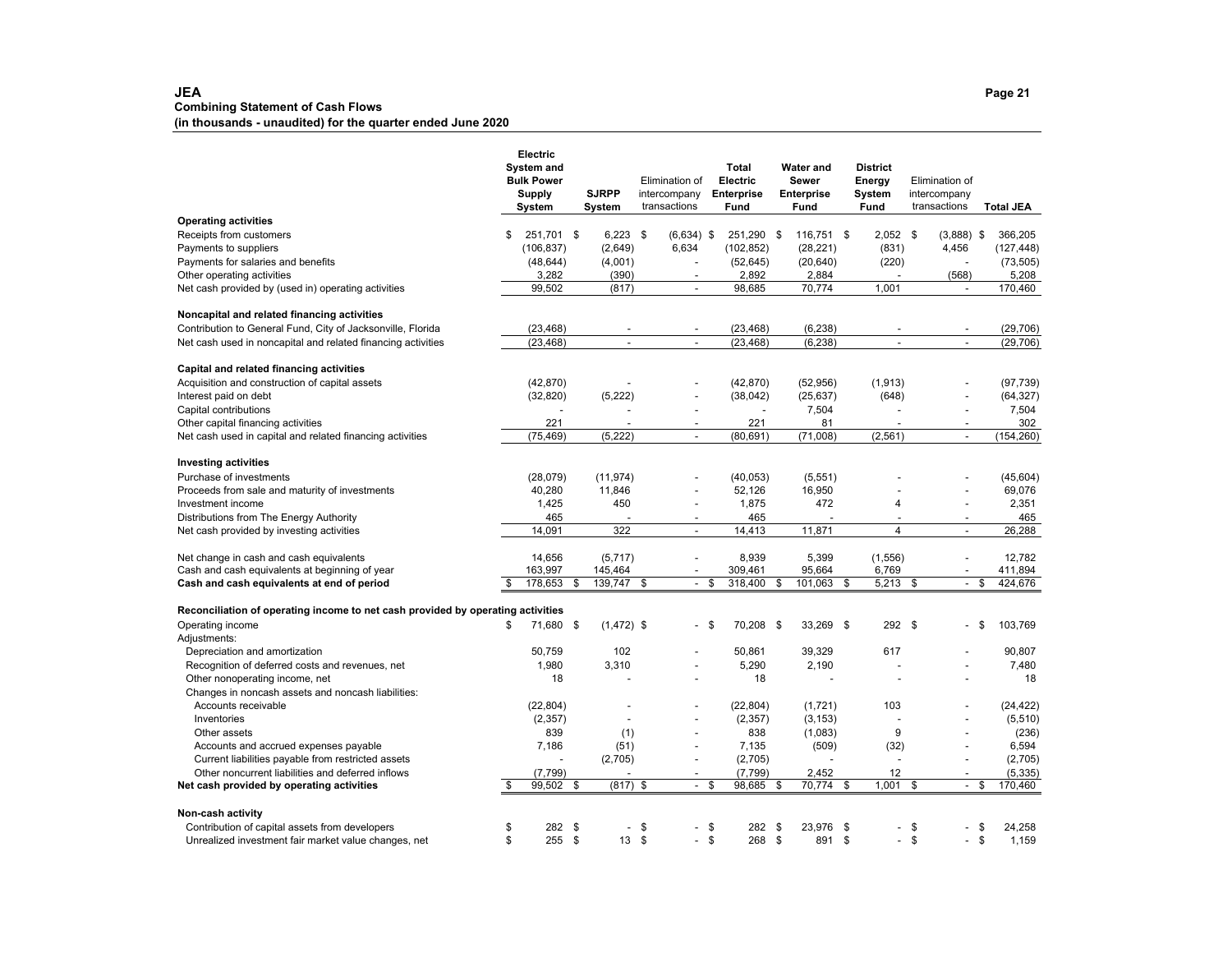#### **JEA Page 21 Combining Statement of Cash Flows (in thousands - unaudited) for the quarter ended June 2020**

|                                                                                 | Electric<br><b>System and</b><br><b>Bulk Power</b><br><b>Supply</b><br>System | <b>SJRPP</b><br>System         | Elimination of<br>intercompany<br>transactions |      | Total<br>Electric<br><b>Enterprise</b><br>Fund | <b>Water and</b><br>Sewer<br><b>Enterprise</b><br>Fund |      | <b>District</b><br>Energy<br>System<br>Fund | Elimination of<br>intercompany<br>transactions |      | <b>Total JEA</b>      |
|---------------------------------------------------------------------------------|-------------------------------------------------------------------------------|--------------------------------|------------------------------------------------|------|------------------------------------------------|--------------------------------------------------------|------|---------------------------------------------|------------------------------------------------|------|-----------------------|
| <b>Operating activities</b>                                                     |                                                                               |                                |                                                |      |                                                |                                                        |      |                                             |                                                |      |                       |
| Receipts from customers                                                         | \$<br>251,701 \$                                                              | $6,223$ \$                     | $(6,634)$ \$                                   |      | 251,290 \$                                     | 116,751 \$                                             |      | $2.052$ \$                                  | $(3,888)$ \$                                   |      | 366,205               |
| Payments to suppliers                                                           | (106, 837)                                                                    | (2,649)                        | 6,634                                          |      | (102, 852)                                     | (28, 221)                                              |      | (831)                                       | 4,456                                          |      | (127, 448)            |
| Payments for salaries and benefits                                              | (48, 644)                                                                     | (4,001)                        |                                                |      | (52, 645)                                      | (20, 640)                                              |      | (220)                                       |                                                |      | (73, 505)             |
| Other operating activities                                                      | 3,282                                                                         | (390)                          | $\overline{\phantom{a}}$                       |      | 2,892                                          | 2,884                                                  |      |                                             | (568)                                          |      | 5,208                 |
| Net cash provided by (used in) operating activities                             | 99,502                                                                        | (817)                          | $\overline{\phantom{a}}$                       |      | 98,685                                         | 70,774                                                 |      | 1,001                                       |                                                |      | 170,460               |
| Noncapital and related financing activities                                     |                                                                               |                                |                                                |      |                                                |                                                        |      |                                             |                                                |      |                       |
| Contribution to General Fund, City of Jacksonville, Florida                     | (23, 468)                                                                     |                                |                                                |      | (23, 468)                                      | (6, 238)                                               |      |                                             |                                                |      | (29, 706)             |
| Net cash used in noncapital and related financing activities                    | (23, 468)                                                                     | $\blacksquare$                 | $\overline{\phantom{a}}$                       |      | (23, 468)                                      | (6, 238)                                               |      | $\overline{\phantom{a}}$                    | $\blacksquare$                                 |      | (29, 706)             |
| Capital and related financing activities                                        |                                                                               |                                |                                                |      |                                                |                                                        |      |                                             |                                                |      |                       |
| Acquisition and construction of capital assets                                  | (42, 870)                                                                     |                                |                                                |      | (42, 870)                                      | (52, 956)                                              |      | (1, 913)                                    |                                                |      | (97, 739)             |
| Interest paid on debt                                                           | (32, 820)                                                                     | (5, 222)                       |                                                |      | (38, 042)                                      | (25, 637)                                              |      | (648)                                       |                                                |      | (64, 327)             |
| Capital contributions                                                           |                                                                               |                                |                                                |      | $\overline{\phantom{a}}$                       | 7,504                                                  |      |                                             |                                                |      | 7,504                 |
| Other capital financing activities                                              | 221                                                                           |                                |                                                |      | 221                                            | 81                                                     |      |                                             |                                                |      | 302                   |
| Net cash used in capital and related financing activities                       | (75, 469)                                                                     | (5, 222)                       | $\overline{\phantom{a}}$                       |      | (80, 691)                                      | (71,008)                                               |      | (2, 561)                                    | $\blacksquare$                                 |      | (154, 260)            |
| <b>Investing activities</b>                                                     |                                                                               |                                |                                                |      |                                                |                                                        |      |                                             |                                                |      |                       |
| Purchase of investments                                                         | (28, 079)                                                                     | (11, 974)                      |                                                |      | (40, 053)                                      | (5, 551)                                               |      |                                             |                                                |      | (45,604)              |
| Proceeds from sale and maturity of investments                                  | 40,280                                                                        | 11,846                         | $\overline{\phantom{a}}$                       |      | 52,126                                         | 16,950                                                 |      |                                             | $\overline{\phantom{a}}$                       |      | 69,076                |
| Investment income                                                               | 1,425                                                                         | 450                            |                                                |      | 1,875                                          | 472                                                    |      | $\overline{4}$                              |                                                |      | 2,351                 |
| Distributions from The Energy Authority                                         | 465                                                                           |                                |                                                |      | 465                                            |                                                        |      |                                             |                                                |      | 465                   |
| Net cash provided by investing activities                                       | 14,091                                                                        | 322                            | $\blacksquare$                                 |      | 14,413                                         | 11,871                                                 |      | $\overline{4}$                              | $\blacksquare$                                 |      | 26,288                |
| Net change in cash and cash equivalents                                         | 14,656                                                                        | (5,717)                        |                                                |      | 8,939                                          | 5,399                                                  |      | (1, 556)                                    |                                                |      | 12,782                |
| Cash and cash equivalents at beginning of year                                  | 163,997                                                                       | 145,464                        |                                                |      | 309,461                                        | 95,664                                                 |      | 6,769                                       |                                                |      | 411,894               |
| Cash and cash equivalents at end of period                                      | 178,653 \$                                                                    | 139,747                        | \$<br>$\blacksquare$                           | \$   | 318,400                                        | \$<br>101,063                                          | \$   | $5,213$ \$                                  | $\overline{\phantom{a}}$                       | \$   | 424,676               |
| Reconciliation of operating income to net cash provided by operating activities |                                                                               |                                |                                                |      |                                                |                                                        |      |                                             |                                                |      |                       |
| Operating income                                                                | \$<br>71,680 \$                                                               | $(1, 472)$ \$                  | - \$                                           |      | 70,208 \$                                      | 33,269 \$                                              |      | 292                                         | \$                                             | - \$ | 103,769               |
| Adjustments:                                                                    |                                                                               |                                |                                                |      |                                                |                                                        |      |                                             |                                                |      |                       |
| Depreciation and amortization                                                   | 50,759                                                                        | 102                            |                                                |      | 50,861                                         | 39,329                                                 |      | 617                                         |                                                |      | 90,807                |
| Recognition of deferred costs and revenues, net                                 | 1,980                                                                         | 3,310                          |                                                |      | 5,290                                          | 2,190                                                  |      |                                             |                                                |      | 7,480                 |
| Other nonoperating income, net                                                  | 18                                                                            |                                |                                                |      | 18                                             |                                                        |      |                                             |                                                |      | 18                    |
| Changes in noncash assets and noncash liabilities:<br>Accounts receivable       |                                                                               |                                |                                                |      |                                                |                                                        |      | 103                                         |                                                |      |                       |
| Inventories                                                                     | (22, 804)                                                                     | $\overline{a}$                 |                                                |      | (22, 804)                                      | (1,721)                                                |      |                                             |                                                |      | (24, 422)<br>(5, 510) |
| Other assets                                                                    | (2, 357)<br>839                                                               |                                | $\overline{\phantom{a}}$                       |      | (2, 357)<br>838                                | (3, 153)<br>(1,083)                                    |      | 9                                           |                                                |      | (236)                 |
| Accounts and accrued expenses payable                                           | 7,186                                                                         | (1)<br>(51)                    |                                                |      | 7,135                                          | (509)                                                  |      | (32)                                        |                                                |      | 6,594                 |
| Current liabilities payable from restricted assets                              |                                                                               | (2,705)                        | $\overline{\phantom{a}}$                       |      | (2,705)                                        |                                                        |      |                                             | $\blacksquare$                                 |      | (2,705)               |
| Other noncurrent liabilities and deferred inflows                               | (7, 799)                                                                      |                                |                                                |      | (7, 799)                                       | 2,452                                                  |      | 12                                          |                                                |      | (5, 335)              |
| Net cash provided by operating activities                                       | \$<br>99,502                                                                  | \$<br>(817)                    | \$<br>$\overline{\phantom{a}}$                 | \$   | 98,685                                         | \$<br>70,774                                           | \$   | 1,001                                       | \$<br>$\blacksquare$                           | \$   | 170,460               |
| Non-cash activity                                                               |                                                                               |                                |                                                |      |                                                |                                                        |      |                                             |                                                |      |                       |
| Contribution of capital assets from developers                                  | \$<br>282                                                                     | \$<br>$\overline{\phantom{a}}$ | \$                                             | - \$ | 282                                            | \$<br>23,976                                           | - \$ | $\blacksquare$                              | \$                                             | \$   | 24,258                |
| Unrealized investment fair market value changes, net                            | \$<br>255                                                                     | \$<br>13                       | \$<br>$\overline{\phantom{a}}$                 | \$   | 268                                            | \$<br>891 \$                                           |      | $\overline{a}$                              | \$<br>$\overline{\phantom{a}}$                 | \$   | 1,159                 |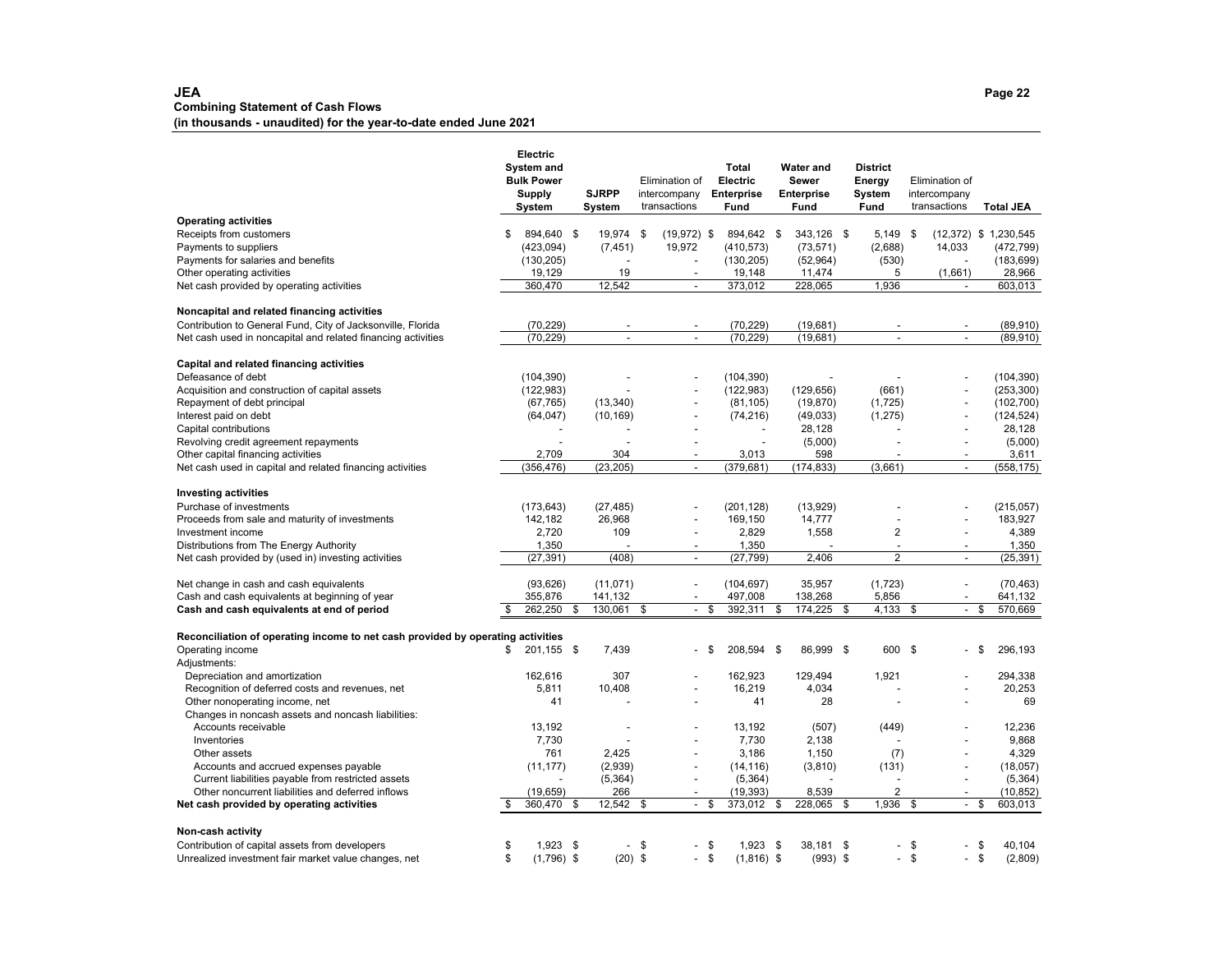#### **JEA Page 22 Combining Statement of Cash Flows (in thousands - unaudited) for the year-to-date ended June 2021**

|                                                                                 | Electric<br>System and<br><b>Bulk Power</b><br><b>Supply</b><br>System |              | <b>SJRPP</b><br>System |           | Elimination of<br>intercompany<br>transactions |      | Total<br>Electric<br><b>Enterprise</b><br><b>Fund</b> | <b>Sewer</b><br><b>Enterprise</b><br>Fund | <b>Water and</b> | <b>District</b><br>Energy<br>System<br>Fund |          | Elimination of<br>intercompany<br>transactions |      | <b>Total JEA</b>        |
|---------------------------------------------------------------------------------|------------------------------------------------------------------------|--------------|------------------------|-----------|------------------------------------------------|------|-------------------------------------------------------|-------------------------------------------|------------------|---------------------------------------------|----------|------------------------------------------------|------|-------------------------|
| <b>Operating activities</b>                                                     |                                                                        |              |                        |           |                                                |      |                                                       |                                           |                  |                                             |          |                                                |      |                         |
| Receipts from customers                                                         | \$                                                                     | 894,640 \$   | 19,974 \$              |           | $(19,972)$ \$                                  |      | 894,642 \$                                            |                                           | 343,126 \$       | $5,149$ \$                                  |          |                                                |      | $(12,372)$ \$ 1,230,545 |
| Payments to suppliers                                                           | (423, 094)                                                             |              | (7, 451)               |           | 19,972                                         |      | (410, 573)                                            |                                           | (73, 571)        | (2,688)                                     |          | 14,033                                         |      | (472, 799)              |
| Payments for salaries and benefits                                              | (130, 205)                                                             |              |                        |           |                                                |      | (130, 205)                                            |                                           | (52, 964)        | (530)                                       |          |                                                |      | (183, 699)              |
| Other operating activities                                                      | 19,129                                                                 |              | 19                     |           | $\overline{\phantom{a}}$                       |      | 19,148                                                |                                           | 11,474           | 5                                           |          | (1,661)                                        |      | 28,966                  |
| Net cash provided by operating activities                                       | 360,470                                                                |              | 12,542                 |           | $\overline{\phantom{a}}$                       |      | 373,012                                               |                                           | 228,065          | 1,936                                       |          |                                                |      | 603,013                 |
| Noncapital and related financing activities                                     |                                                                        |              |                        |           |                                                |      |                                                       |                                           |                  |                                             |          |                                                |      |                         |
| Contribution to General Fund, City of Jacksonville, Florida                     | (70, 229)                                                              |              | $\overline{a}$         |           | $\overline{\phantom{a}}$                       |      | (70, 229)                                             |                                           | (19,681)         | $\overline{\phantom{a}}$                    |          | $\blacksquare$                                 |      | (89, 910)               |
| Net cash used in noncapital and related financing activities                    | (70, 229)                                                              |              | $\overline{a}$         |           |                                                |      | (70, 229)                                             |                                           | (19,681)         | $\overline{a}$                              |          |                                                |      | (89, 910)               |
| Capital and related financing activities                                        |                                                                        |              |                        |           |                                                |      |                                                       |                                           |                  |                                             |          |                                                |      |                         |
| Defeasance of debt                                                              | (104, 390)                                                             |              | ÷,                     |           |                                                |      | (104, 390)                                            |                                           |                  |                                             |          |                                                |      | (104, 390)              |
| Acquisition and construction of capital assets                                  | (122, 983)                                                             |              |                        |           |                                                |      | (122, 983)                                            |                                           | (129, 656)       | (661)                                       |          |                                                |      | (253, 300)              |
| Repayment of debt principal                                                     | (67, 765)                                                              |              | (13, 340)              |           |                                                |      | (81, 105)                                             |                                           | (19, 870)        | (1,725)                                     |          |                                                |      | (102, 700)              |
| Interest paid on debt                                                           | (64, 047)                                                              |              | (10, 169)              |           |                                                |      | (74, 216)                                             |                                           | (49, 033)        | (1, 275)                                    |          |                                                |      | (124, 524)              |
| Capital contributions                                                           |                                                                        |              |                        |           |                                                |      |                                                       |                                           | 28,128           |                                             |          |                                                |      | 28,128                  |
| Revolving credit agreement repayments                                           |                                                                        |              |                        |           |                                                |      |                                                       |                                           | (5,000)          |                                             |          | $\overline{\phantom{a}}$                       |      | (5,000)                 |
| Other capital financing activities                                              | 2,709                                                                  |              | 304                    |           | $\overline{\phantom{a}}$                       |      | 3,013                                                 |                                           | 598              |                                             |          | $\overline{\phantom{a}}$                       |      | 3,611                   |
| Net cash used in capital and related financing activities                       | (356, 476)                                                             |              | (23, 205)              |           | $\blacksquare$                                 |      | (379, 681)                                            |                                           | (174, 833)       | (3,661)                                     |          | $\overline{a}$                                 |      | (558, 175)              |
| <b>Investing activities</b>                                                     |                                                                        |              |                        |           |                                                |      |                                                       |                                           |                  |                                             |          |                                                |      |                         |
| Purchase of investments                                                         | (173, 643)                                                             |              | (27, 485)              |           |                                                |      | (201, 128)                                            |                                           | (13,929)         |                                             |          |                                                |      | (215, 057)              |
| Proceeds from sale and maturity of investments                                  | 142,182                                                                |              | 26,968                 |           |                                                |      | 169,150                                               |                                           | 14,777           |                                             |          |                                                |      | 183,927                 |
| Investment income                                                               | 2,720                                                                  |              | 109                    |           |                                                |      | 2,829                                                 |                                           | 1,558            | $\overline{2}$                              |          |                                                |      | 4,389                   |
| Distributions from The Energy Authority                                         | 1,350                                                                  |              |                        |           | $\overline{\phantom{a}}$                       |      | 1,350                                                 |                                           |                  | $\overline{a}$                              |          | $\overline{\phantom{a}}$                       |      | 1,350                   |
| Net cash provided by (used in) investing activities                             | (27, 391)                                                              |              | (408)                  |           | $\blacksquare$                                 |      | (27, 799)                                             |                                           | 2,406            | $\overline{2}$                              |          | $\blacksquare$                                 |      | (25, 391)               |
| Net change in cash and cash equivalents                                         | (93, 626)                                                              |              | (11, 071)              |           |                                                |      | (104, 697)                                            |                                           | 35,957           | (1,723)                                     |          | $\blacksquare$                                 |      | (70, 463)               |
| Cash and cash equivalents at beginning of year                                  | 355,876                                                                |              | 141,132                |           |                                                |      | 497,008                                               |                                           | 138,268          | 5,856                                       |          |                                                |      | 641,132                 |
| Cash and cash equivalents at end of period                                      | 262,250<br>\$                                                          | \$           | 130,061                | \$        | $\sim$                                         | \$   | 392,311                                               | \$                                        | 174,225          | \$<br>4,133                                 | \$       | $\overline{a}$                                 | \$   | 570,669                 |
| Reconciliation of operating income to net cash provided by operating activities |                                                                        |              |                        |           |                                                |      |                                                       |                                           |                  |                                             |          |                                                |      |                         |
| Operating income<br>Adjustments:                                                | \$                                                                     | 201,155 \$   | 7,439                  |           | - \$                                           |      | 208,594 \$                                            |                                           | 86,999 \$        | 600                                         | - \$     |                                                | - \$ | 296,193                 |
| Depreciation and amortization                                                   | 162.616                                                                |              | 307                    |           |                                                |      | 162.923                                               |                                           | 129.494          | 1,921                                       |          |                                                |      | 294.338                 |
| Recognition of deferred costs and revenues, net                                 | 5,811                                                                  |              | 10,408                 |           | $\blacksquare$                                 |      | 16,219                                                |                                           | 4,034            |                                             |          | $\overline{\phantom{a}}$                       |      | 20,253                  |
| Other nonoperating income, net                                                  |                                                                        | 41           |                        |           |                                                |      | 41                                                    |                                           | 28               |                                             |          | $\overline{a}$                                 |      | 69                      |
| Changes in noncash assets and noncash liabilities:                              |                                                                        |              |                        |           |                                                |      |                                                       |                                           |                  |                                             |          |                                                |      |                         |
| Accounts receivable                                                             | 13,192                                                                 |              |                        |           |                                                |      | 13,192                                                |                                           | (507)            | (449)                                       |          |                                                |      | 12,236                  |
| Inventories                                                                     | 7,730                                                                  |              |                        |           |                                                |      | 7,730                                                 |                                           | 2,138            | ÷,                                          |          |                                                |      | 9,868                   |
| Other assets                                                                    |                                                                        | 761          | 2,425                  |           |                                                |      | 3,186                                                 |                                           | 1,150            | (7)                                         |          |                                                |      | 4,329                   |
| Accounts and accrued expenses payable                                           | (11, 177)                                                              |              | (2,939)                |           |                                                |      | (14, 116)                                             |                                           | (3,810)          | (131)                                       |          | $\overline{a}$                                 |      | (18,057)                |
| Current liabilities payable from restricted assets                              |                                                                        |              | (5, 364)               |           | $\blacksquare$                                 |      | (5, 364)                                              |                                           |                  | $\overline{\phantom{a}}$                    |          | $\overline{\phantom{a}}$                       |      | (5, 364)                |
| Other noncurrent liabilities and deferred inflows                               | (19, 659)                                                              |              | 266                    |           |                                                |      | (19, 393)                                             |                                           | 8,539            | $\overline{2}$                              |          |                                                |      | (10, 852)               |
| Net cash provided by operating activities                                       | 360,470                                                                | -S           | 12,542                 | \$        | $\overline{\phantom{a}}$                       | - \$ | 373,012                                               | \$                                        | 228,065          | \$<br>1,936                                 | \$       | $\blacksquare$                                 | -\$  | 603,013                 |
| Non-cash activity                                                               |                                                                        |              |                        |           |                                                |      |                                                       |                                           |                  |                                             |          |                                                |      |                         |
| Contribution of capital assets from developers                                  | \$                                                                     | $1,923$ \$   | $\blacksquare$         | \$        |                                                | \$   | $1,923$ \$                                            |                                           | 38,181 \$        | $\overline{a}$                              | \$       |                                                | \$   | 40,104                  |
| Unrealized investment fair market value changes, net                            | \$                                                                     | $(1,796)$ \$ |                        | $(20)$ \$ | $\overline{a}$                                 | \$   | $(1,816)$ \$                                          |                                           | $(993)$ \$       | $\overline{\phantom{0}}$                    | <b>S</b> |                                                | \$   | (2,809)                 |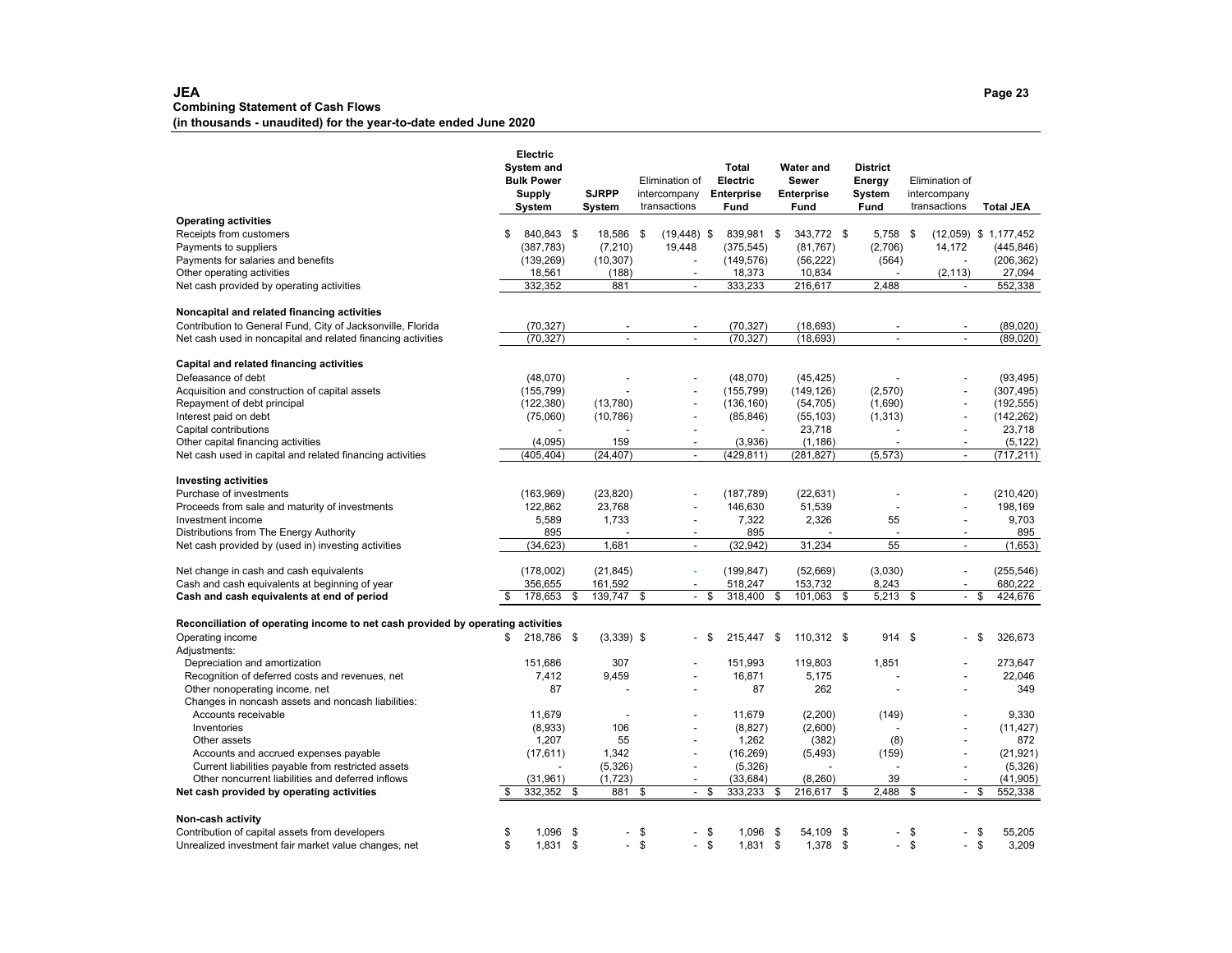#### **JEA Page 23 Combining Statement of Cash Flows (in thousands - unaudited) for the year-to-date ended June 2020**

|                                                                                 | Electric<br>System and<br><b>Bulk Power</b><br>Supply<br>System |     | <b>SJRPP</b><br>System |          | Elimination of<br>intercompany<br>transactions |                  | Total<br><b>Electric</b><br><b>Enterprise</b><br>Fund | <b>Water and</b><br><b>Sewer</b><br><b>Enterprise</b><br>Fund |            | <b>District</b><br>Energy<br>System<br>Fund |                    | Elimination of<br>intercompany<br>transactions |                | <b>Total JEA</b> |
|---------------------------------------------------------------------------------|-----------------------------------------------------------------|-----|------------------------|----------|------------------------------------------------|------------------|-------------------------------------------------------|---------------------------------------------------------------|------------|---------------------------------------------|--------------------|------------------------------------------------|----------------|------------------|
| <b>Operating activities</b>                                                     |                                                                 |     |                        |          |                                                |                  |                                                       |                                                               |            |                                             |                    |                                                |                |                  |
| Receipts from customers                                                         | \$<br>840,843 \$                                                |     | 18.586                 | -\$      | $(19, 448)$ \$                                 |                  | 839,981                                               | \$<br>343,772 \$                                              |            | 5,758                                       | -\$                | $(12,059)$ \$ 1,177,452                        |                |                  |
| Payments to suppliers                                                           | (387, 783)                                                      |     | (7, 210)               |          | 19,448                                         |                  | (375, 545)                                            | (81, 767)                                                     |            | (2,706)                                     |                    | 14,172                                         |                | (445, 846)       |
| Payments for salaries and benefits                                              | (139, 269)                                                      |     | (10, 307)              |          |                                                |                  | (149, 576)                                            | (56, 222)                                                     |            | (564)                                       |                    |                                                |                | (206, 362)       |
| Other operating activities                                                      | 18,561                                                          |     | (188)                  |          |                                                |                  | 18,373                                                | 10,834                                                        |            |                                             |                    | (2, 113)                                       |                | 27,094           |
| Net cash provided by operating activities                                       | 332,352                                                         |     | 881                    |          | $\overline{\phantom{a}}$                       |                  | 333,233                                               | 216,617                                                       |            | 2,488                                       |                    | $\overline{\phantom{a}}$                       |                | 552,338          |
| Noncapital and related financing activities                                     |                                                                 |     |                        |          |                                                |                  |                                                       |                                                               |            |                                             |                    |                                                |                |                  |
| Contribution to General Fund, City of Jacksonville, Florida                     | (70, 327)                                                       |     |                        |          |                                                |                  | (70, 327)                                             | (18, 693)                                                     |            |                                             |                    |                                                |                | (89, 020)        |
| Net cash used in noncapital and related financing activities                    | (70, 327)                                                       |     | $\blacksquare$         |          | $\overline{a}$                                 |                  | (70, 327)                                             | (18, 693)                                                     |            | $\overline{a}$                              |                    | $\overline{a}$                                 |                | (89, 020)        |
| Capital and related financing activities                                        |                                                                 |     |                        |          |                                                |                  |                                                       |                                                               |            |                                             |                    |                                                |                |                  |
| Defeasance of debt                                                              | (48,070)                                                        |     |                        |          |                                                |                  | (48,070)                                              | (45, 425)                                                     |            |                                             |                    |                                                |                | (93, 495)        |
| Acquisition and construction of capital assets                                  | (155, 799)                                                      |     |                        |          |                                                |                  | (155, 799)                                            | (149, 126)                                                    |            | (2,570)                                     |                    |                                                |                | (307, 495)       |
| Repayment of debt principal                                                     | (122, 380)                                                      |     | (13,780)               |          |                                                |                  | (136, 160)                                            | (54, 705)                                                     |            | (1,690)                                     |                    |                                                |                | (192, 555)       |
| Interest paid on debt                                                           | (75,060)                                                        |     | (10, 786)              |          | $\overline{\phantom{a}}$                       |                  | (85, 846)                                             | (55, 103)                                                     |            | (1, 313)                                    |                    |                                                |                | (142, 262)       |
| Capital contributions                                                           |                                                                 |     |                        |          |                                                |                  |                                                       | 23,718                                                        |            |                                             |                    | $\overline{a}$                                 |                | 23,718           |
| Other capital financing activities                                              | (4,095)                                                         |     | 159                    |          |                                                |                  | (3,936)                                               | (1, 186)                                                      |            |                                             |                    |                                                |                | (5, 122)         |
| Net cash used in capital and related financing activities                       | (405, 404)                                                      |     | (24, 407)              |          | $\blacksquare$                                 |                  | (429, 811)                                            | (281, 827)                                                    |            | (5, 573)                                    |                    | $\blacksquare$                                 |                | (717, 211)       |
| <b>Investing activities</b>                                                     |                                                                 |     |                        |          |                                                |                  |                                                       |                                                               |            |                                             |                    |                                                |                |                  |
| Purchase of investments                                                         | (163, 969)                                                      |     | (23, 820)              |          |                                                |                  | (187, 789)                                            | (22, 631)                                                     |            |                                             |                    |                                                |                | (210, 420)       |
| Proceeds from sale and maturity of investments                                  | 122,862                                                         |     | 23,768                 |          |                                                |                  | 146,630                                               | 51,539                                                        |            |                                             |                    |                                                |                | 198,169          |
| Investment income                                                               | 5,589                                                           |     | 1,733                  |          | $\overline{\phantom{a}}$                       |                  | 7,322                                                 | 2,326                                                         |            | 55                                          |                    | $\blacksquare$                                 |                | 9,703            |
| Distributions from The Energy Authority                                         | 895                                                             |     |                        |          |                                                |                  | 895                                                   |                                                               |            |                                             |                    |                                                |                | 895              |
| Net cash provided by (used in) investing activities                             | (34, 623)                                                       |     | 1.681                  |          | $\blacksquare$                                 |                  | (32, 942)                                             | 31,234                                                        |            | 55                                          |                    | $\blacksquare$                                 |                | (1,653)          |
| Net change in cash and cash equivalents                                         | (178,002)                                                       |     | (21, 845)              |          |                                                |                  | (199, 847)                                            | (52, 669)                                                     |            | (3,030)                                     |                    | $\overline{\phantom{a}}$                       |                | (255, 546)       |
| Cash and cash equivalents at beginning of year                                  | 356,655                                                         |     | 161,592                |          |                                                |                  | 518,247                                               | 153,732                                                       |            | 8,243                                       |                    |                                                |                | 680,222          |
| Cash and cash equivalents at end of period                                      | \$<br>178,653                                                   | -\$ | 139,747                | \$       | $\overline{\phantom{a}}$                       | \$               | 318,400                                               | \$<br>101,063                                                 | \$         | 5,213                                       | \$                 | $\overline{\phantom{a}}$                       | \$             | 424,676          |
| Reconciliation of operating income to net cash provided by operating activities |                                                                 |     |                        |          |                                                |                  |                                                       |                                                               |            |                                             |                    |                                                |                |                  |
| Operating income<br>Adjustments:                                                | \$<br>218,786 \$                                                |     | $(3,339)$ \$           |          |                                                | - \$             | 215.447                                               | \$<br>110,312 \$                                              |            | 914                                         | -\$                |                                                | - \$           | 326,673          |
| Depreciation and amortization                                                   | 151.686                                                         |     | 307                    |          |                                                |                  | 151.993                                               | 119.803                                                       |            | 1.851                                       |                    |                                                |                | 273.647          |
| Recognition of deferred costs and revenues, net                                 | 7,412                                                           |     | 9,459                  |          |                                                |                  | 16,871                                                | 5,175                                                         |            |                                             |                    |                                                |                | 22,046           |
| Other nonoperating income, net                                                  | 87                                                              |     |                        |          |                                                |                  | 87                                                    | 262                                                           |            |                                             |                    |                                                |                | 349              |
| Changes in noncash assets and noncash liabilities:                              |                                                                 |     |                        |          |                                                |                  |                                                       |                                                               |            |                                             |                    |                                                |                |                  |
| Accounts receivable                                                             | 11,679                                                          |     |                        |          |                                                |                  | 11,679                                                | (2,200)                                                       |            | (149)                                       |                    |                                                |                | 9,330            |
| Inventories                                                                     | (8,933)                                                         |     | 106                    |          | $\overline{a}$                                 |                  | (8, 827)                                              | (2,600)                                                       |            |                                             |                    |                                                |                | (11, 427)        |
| Other assets                                                                    | 1,207                                                           |     | 55                     |          |                                                |                  | 1,262                                                 | (382)                                                         |            | (8)                                         |                    |                                                |                | 872              |
| Accounts and accrued expenses payable                                           | (17, 611)                                                       |     | 1,342                  |          |                                                |                  | (16, 269)                                             | (5, 493)                                                      |            | (159)                                       |                    |                                                |                | (21, 921)        |
| Current liabilities payable from restricted assets                              |                                                                 |     | (5,326)                |          | $\overline{\phantom{a}}$                       |                  | (5,326)                                               |                                                               |            |                                             |                    |                                                |                | (5,326)          |
| Other noncurrent liabilities and deferred inflows                               | (31, 961)                                                       |     | (1,723)                |          |                                                |                  | (33, 684)                                             | (8, 260)                                                      |            | 39                                          |                    |                                                |                | (41, 905)        |
| Net cash provided by operating activities                                       | 332,352                                                         | \$  | 881                    | \$       | $\blacksquare$                                 | \$               | 333,233                                               | \$<br>216,617                                                 | \$         | 2,488                                       | \$                 | $\mathcal{L}^{\mathcal{A}}$                    | $\mathfrak{s}$ | 552,338          |
| Non-cash activity                                                               |                                                                 |     |                        |          |                                                |                  |                                                       |                                                               |            |                                             |                    |                                                |                |                  |
| Contribution of capital assets from developers                                  | \$<br>1,096                                                     | \$  | $\overline{a}$         | \$<br>\$ |                                                | - \$<br><b>S</b> | 1,096                                                 | \$<br>54,109                                                  | $^{\circ}$ |                                             | \$<br>$\mathbf{s}$ |                                                | \$             | 55,205           |
| Unrealized investment fair market value changes, net                            | \$<br>1.831                                                     | \$  |                        |          |                                                |                  | 1.831                                                 | \$<br>$1.378$ \$                                              |            | $\mathbf{r}$                                |                    |                                                | \$             | 3,209            |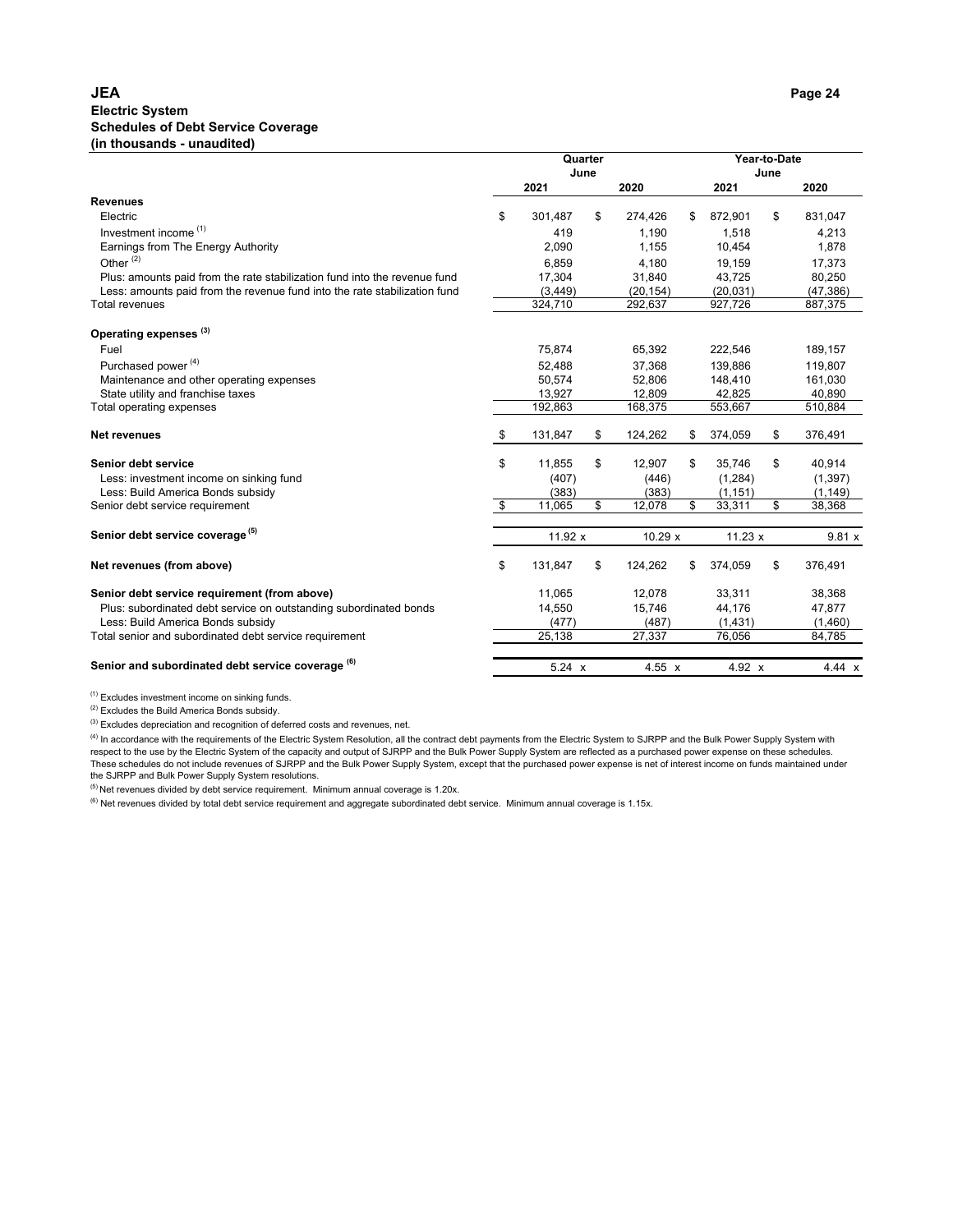|                                                                           | Quarter       |               | Year-to-Date |           |      |               |  |
|---------------------------------------------------------------------------|---------------|---------------|--------------|-----------|------|---------------|--|
|                                                                           | June          |               |              |           | June |               |  |
|                                                                           | 2021          | 2020          |              | 2021      |      | 2020          |  |
| <b>Revenues</b>                                                           |               |               |              |           |      |               |  |
| Electric                                                                  | \$<br>301,487 | \$<br>274,426 | S            | 872,901   | \$   | 831,047       |  |
| Investment income <sup>(1)</sup>                                          | 419           | 1.190         |              | 1,518     |      | 4,213         |  |
| Earnings from The Energy Authority                                        | 2,090         | 1,155         |              | 10,454    |      | 1,878         |  |
| Other $(2)$                                                               | 6,859         | 4,180         |              | 19.159    |      | 17,373        |  |
| Plus: amounts paid from the rate stabilization fund into the revenue fund | 17,304        | 31,840        |              | 43.725    |      | 80,250        |  |
| Less: amounts paid from the revenue fund into the rate stabilization fund | (3, 449)      | (20, 154)     |              | (20, 031) |      | (47, 386)     |  |
| <b>Total revenues</b>                                                     | 324,710       | 292,637       |              | 927,726   |      | 887,375       |  |
| Operating expenses <sup>(3)</sup>                                         |               |               |              |           |      |               |  |
| Fuel                                                                      | 75,874        | 65,392        |              | 222,546   |      | 189,157       |  |
| Purchased power <sup>(4)</sup>                                            | 52,488        | 37,368        |              | 139,886   |      | 119,807       |  |
| Maintenance and other operating expenses                                  | 50,574        | 52,806        |              | 148,410   |      | 161,030       |  |
| State utility and franchise taxes                                         | 13,927        | 12,809        |              | 42,825    |      | 40,890        |  |
| Total operating expenses                                                  | 192,863       | 168,375       |              | 553,667   |      | 510,884       |  |
| <b>Net revenues</b>                                                       | \$<br>131,847 | \$<br>124,262 | \$           | 374,059   | \$   | 376,491       |  |
| Senior debt service                                                       | \$<br>11,855  | \$<br>12,907  | \$           | 35,746    | \$   | 40,914        |  |
| Less: investment income on sinking fund                                   | (407)         | (446)         |              | (1, 284)  |      | (1, 397)      |  |
| Less: Build America Bonds subsidy                                         | (383)         | (383)         |              | (1, 151)  |      | (1, 149)      |  |
| Senior debt service requirement                                           | \$<br>11,065  | \$<br>12,078  | \$           | 33,311    | \$   | 38,368        |  |
| Senior debt service coverage <sup>(5)</sup>                               | 11.92 x       | 10.29x        |              | 11.23 x   |      | 9.81x         |  |
|                                                                           |               |               |              |           |      |               |  |
| Net revenues (from above)                                                 | \$<br>131,847 | \$<br>124,262 | \$           | 374,059   | \$   | 376,491       |  |
| Senior debt service requirement (from above)                              | 11,065        | 12,078        |              | 33,311    |      | 38,368        |  |
| Plus: subordinated debt service on outstanding subordinated bonds         | 14,550        | 15,746        |              | 44,176    |      | 47,877        |  |
| Less: Build America Bonds subsidy                                         | (477)         | (487)         |              | (1,431)   |      | (1,460)       |  |
| Total senior and subordinated debt service requirement                    | 25,138        | 27,337        |              | 76,056    |      | 84,785        |  |
| Senior and subordinated debt service coverage (6)                         | 5.24 x        | 4.55x         |              | 4.92 x    |      | $4.44 \times$ |  |

 $(1)$  Excludes investment income on sinking funds.

 $(2)$  Excludes the Build America Bonds subsidy.

 $(3)$  Excludes depreciation and recognition of deferred costs and revenues, net.

<sup>(4)</sup> In accordance with the requirements of the Electric System Resolution, all the contract debt payments from the Electric System to SJRPP and the Bulk Power Supply System with respect to the use by the Electric System of the capacity and output of SJRPP and the Bulk Power Supply System are reflected as a purchased power expense on these schedules. These schedules do not include revenues of SJRPP and the Bulk Power Supply System, except that the purchased power expense is net of interest income on funds maintained under the SJRPP and Bulk Power Supply System resolutions.

 $<sup>(5)</sup>$  Net revenues divided by debt service requirement. Minimum annual coverage is 1.20x.</sup>

 $^{(6)}$  Net revenues divided by total debt service requirement and aggregate subordinated debt service. Minimum annual coverage is 1.15x.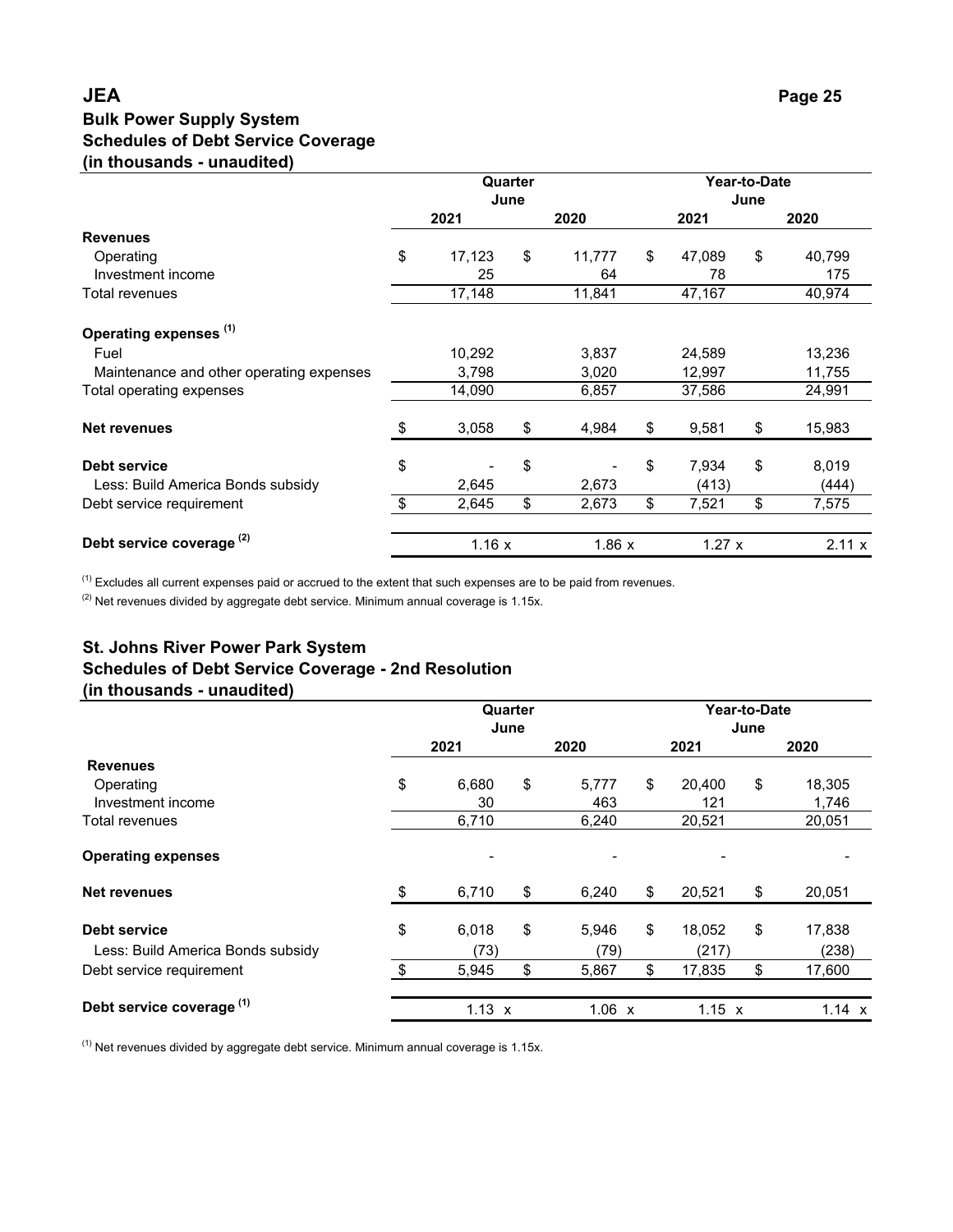# **JEA Bulk Power Supply System Schedules of Debt Service Coverage (in thousands - unaudited)**

|                                          | Quarter |        |      |        |    | Year-to-Date |      |        |  |  |  |
|------------------------------------------|---------|--------|------|--------|----|--------------|------|--------|--|--|--|
|                                          |         |        | June |        |    |              | June |        |  |  |  |
|                                          |         | 2021   |      | 2020   |    | 2021         |      | 2020   |  |  |  |
| <b>Revenues</b>                          |         |        |      |        |    |              |      |        |  |  |  |
| Operating                                | \$      | 17,123 | \$   | 11,777 | \$ | 47,089       | \$   | 40,799 |  |  |  |
| Investment income                        |         | 25     |      | 64     |    | 78           |      | 175    |  |  |  |
| Total revenues                           |         | 17,148 |      | 11,841 |    | 47,167       |      | 40,974 |  |  |  |
| Operating expenses (1)                   |         |        |      |        |    |              |      |        |  |  |  |
| Fuel                                     |         | 10,292 |      | 3,837  |    | 24,589       |      | 13,236 |  |  |  |
| Maintenance and other operating expenses |         | 3,798  |      | 3,020  |    | 12,997       |      | 11,755 |  |  |  |
| Total operating expenses                 |         | 14,090 |      | 6,857  |    | 37,586       |      | 24,991 |  |  |  |
| <b>Net revenues</b>                      | \$      | 3,058  | \$   | 4,984  | \$ | 9,581        | \$   | 15,983 |  |  |  |
| Debt service                             | \$      |        | \$   |        | \$ | 7,934        | \$   | 8,019  |  |  |  |
| Less: Build America Bonds subsidy        |         | 2,645  |      | 2,673  |    | (413)        |      | (444)  |  |  |  |
| Debt service requirement                 | \$      | 2,645  | \$   | 2,673  | \$ | 7,521        | \$   | 7,575  |  |  |  |
| Debt service coverage <sup>(2)</sup>     |         | 1.16x  |      | 1.86x  |    | 1.27x        |      | 2.11 x |  |  |  |

 $<sup>(1)</sup>$  Excludes all current expenses paid or accrued to the extent that such expenses are to be paid from revenues.</sup>

 $(2)$  Net revenues divided by aggregate debt service. Minimum annual coverage is 1.15x.

# **St. Johns River Power Park System Schedules of Debt Service Coverage - 2nd Resolution (in thousands - unaudited)**

|                                      |               | Quarter |               | Year-to-Date  |      |               |  |  |  |
|--------------------------------------|---------------|---------|---------------|---------------|------|---------------|--|--|--|
|                                      |               | June    |               |               | June |               |  |  |  |
|                                      | 2021          |         | 2020          | 2021          |      | 2020          |  |  |  |
| <b>Revenues</b>                      |               |         |               |               |      |               |  |  |  |
| Operating                            | \$<br>6,680   | \$      | 5,777         | \$<br>20,400  | \$   | 18,305        |  |  |  |
| Investment income                    | 30            |         | 463           | 121           |      | 1,746         |  |  |  |
| Total revenues                       | 6,710         |         | 6,240         | 20,521        |      | 20,051        |  |  |  |
| <b>Operating expenses</b>            |               |         |               |               |      |               |  |  |  |
| <b>Net revenues</b>                  | \$<br>6,710   | \$      | 6,240         | \$<br>20,521  | \$   | 20,051        |  |  |  |
| Debt service                         | \$<br>6,018   | \$      | 5,946         | \$<br>18,052  | \$   | 17,838        |  |  |  |
| Less: Build America Bonds subsidy    | (73)          |         | (79)          | (217)         |      | (238)         |  |  |  |
| Debt service requirement             | \$<br>5,945   | \$      | 5,867         | \$<br>17,835  | \$   | 17,600        |  |  |  |
| Debt service coverage <sup>(1)</sup> | $1.13 \times$ |         | $1.06 \times$ | $1.15 \times$ |      | $1.14 \times$ |  |  |  |

 $(1)$  Net revenues divided by aggregate debt service. Minimum annual coverage is 1.15x.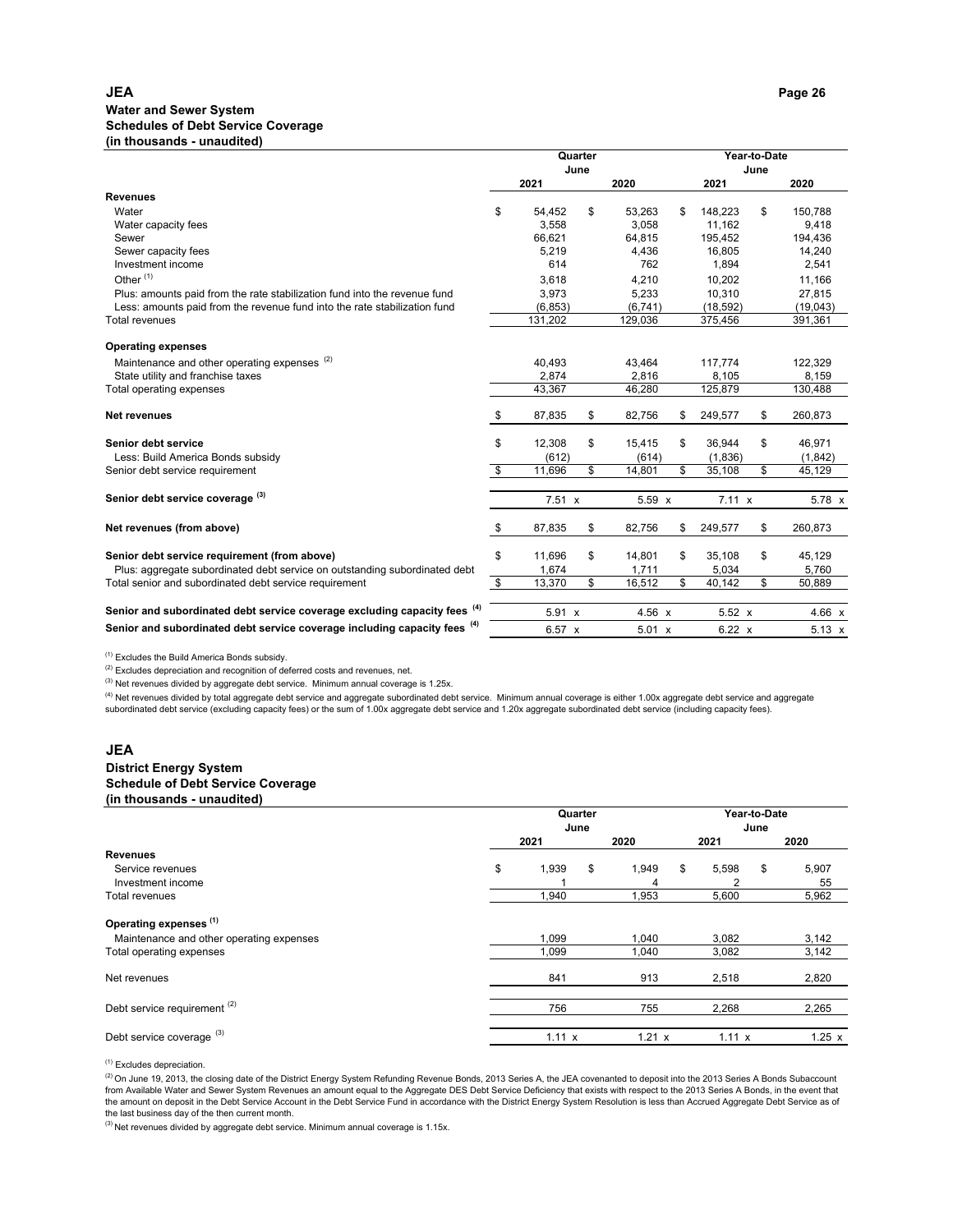#### **JEA Water and Sewer System (in thousands - unaudited) Schedules of Debt Service Coverage**

|                                                                            |               | Quarter<br>June |               |               | Year-to-Date<br>June |               |
|----------------------------------------------------------------------------|---------------|-----------------|---------------|---------------|----------------------|---------------|
|                                                                            | 2021          |                 | 2020          | 2021          |                      | 2020          |
| <b>Revenues</b>                                                            |               |                 |               |               |                      |               |
| Water                                                                      | \$<br>54,452  | \$              | 53,263        | \$<br>148.223 | \$                   | 150,788       |
| Water capacity fees                                                        | 3,558         |                 | 3,058         | 11.162        |                      | 9,418         |
| Sewer                                                                      | 66,621        |                 | 64,815        | 195,452       |                      | 194,436       |
| Sewer capacity fees                                                        | 5,219         |                 | 4,436         | 16,805        |                      | 14,240        |
| Investment income                                                          | 614           |                 | 762           | 1,894         |                      | 2,541         |
| Other <sup>(1)</sup>                                                       | 3,618         |                 | 4.210         | 10,202        |                      | 11,166        |
| Plus: amounts paid from the rate stabilization fund into the revenue fund  | 3,973         |                 | 5,233         | 10,310        |                      | 27,815        |
| Less: amounts paid from the revenue fund into the rate stabilization fund  | (6, 853)      |                 | (6, 741)      | (18, 592)     |                      | (19, 043)     |
| Total revenues                                                             | 131,202       |                 | 129,036       | 375,456       |                      | 391,361       |
| <b>Operating expenses</b>                                                  |               |                 |               |               |                      |               |
| Maintenance and other operating expenses (2)                               | 40,493        |                 | 43.464        | 117,774       |                      | 122,329       |
| State utility and franchise taxes                                          | 2,874         |                 | 2,816         | 8,105         |                      | 8,159         |
| Total operating expenses                                                   | 43,367        |                 | 46,280        | 125,879       |                      | 130,488       |
| <b>Net revenues</b>                                                        | \$<br>87,835  | \$              | 82,756        | \$<br>249,577 | \$                   | 260,873       |
| Senior debt service                                                        | \$<br>12.308  | \$              | 15.415        | \$<br>36.944  | \$                   | 46,971        |
| Less: Build America Bonds subsidy                                          | (612)         |                 | (614)         | (1,836)       |                      | (1, 842)      |
| Senior debt service requirement                                            | \$<br>11,696  | \$              | 14,801        | \$<br>35,108  | \$                   | 45,129        |
| Senior debt service coverage (3)                                           | 7.51 x        |                 | 5.59 x        | $7.11 \times$ |                      | 5.78 x        |
| Net revenues (from above)                                                  | \$<br>87,835  | \$              | 82,756        | \$<br>249,577 | \$                   | 260,873       |
| Senior debt service requirement (from above)                               | \$<br>11,696  | \$              | 14,801        | \$<br>35,108  | \$                   | 45,129        |
| Plus: aggregate subordinated debt service on outstanding subordinated debt | 1,674         |                 | 1,711         | 5,034         |                      | 5,760         |
| Total senior and subordinated debt service requirement                     | \$<br>13,370  | \$              | 16.512        | \$<br>40,142  | \$                   | 50,889        |
| Senior and subordinated debt service coverage excluding capacity fees (4)  | 5.91 x        |                 | $4.56 \times$ | $5.52 \times$ |                      | $4.66 \times$ |
| Senior and subordinated debt service coverage including capacity fees (4)  | $6.57 \times$ |                 | 5.01 x        | $6.22 \times$ |                      | $5.13 \times$ |
|                                                                            |               |                 |               |               |                      |               |

(1) Excludes the Build America Bonds subsidy.

<sup>(2)</sup> Excludes depreciation and recognition of deferred costs and revenues, net.

(3) Net revenues divided by aggregate debt service. Minimum annual coverage is 1.25x.

<sup>(4)</sup> Net revenues divided by total aggregate debt service and aggregate subordinated debt service. Minimum annual coverage is either 1.00x aggregate debt service and aggregate<br>subordinated debt service (excluding capacit

#### **JEA District Energy System (in thousands - unaudited) Schedule of Debt Service Coverage**

|                                          |             | Quarter<br>June |        |               | Year-to-Date<br>June |       |
|------------------------------------------|-------------|-----------------|--------|---------------|----------------------|-------|
|                                          | 2021        |                 | 2020   | 2021          |                      | 2020  |
| <b>Revenues</b>                          |             |                 |        |               |                      |       |
| Service revenues                         | \$<br>1,939 | \$              | 1,949  | \$<br>5,598   | \$                   | 5,907 |
| Investment income                        |             |                 | 4      | 2             |                      | 55    |
| Total revenues                           | 1,940       |                 | 1,953  | 5,600         |                      | 5,962 |
| Operating expenses (1)                   |             |                 |        |               |                      |       |
| Maintenance and other operating expenses | 1.099       |                 | 1.040  | 3,082         |                      | 3,142 |
| Total operating expenses                 | 1,099       |                 | 1,040  | 3,082         |                      | 3,142 |
| Net revenues                             | 841         |                 | 913    | 2,518         |                      | 2,820 |
| Debt service requirement <sup>(2)</sup>  | 756         |                 | 755    | 2,268         |                      | 2,265 |
| Debt service coverage (3)                | 1.11 x      |                 | 1.21 x | $1.11 \times$ |                      | 1.25x |

(1) Excludes depreciation.

<sup>(2)</sup> On June 19, 2013, the closing date of the District Energy System Refunding Revenue Bonds, 2013 Series A, the JEA covenanted to deposit into the 2013 Series A Bonds Subaccount<br>from Available Water and Sewer System Rev the last business day of the then current month.

 $^{(3)}$  Net revenues divided by aggregate debt service. Minimum annual coverage is 1.15x.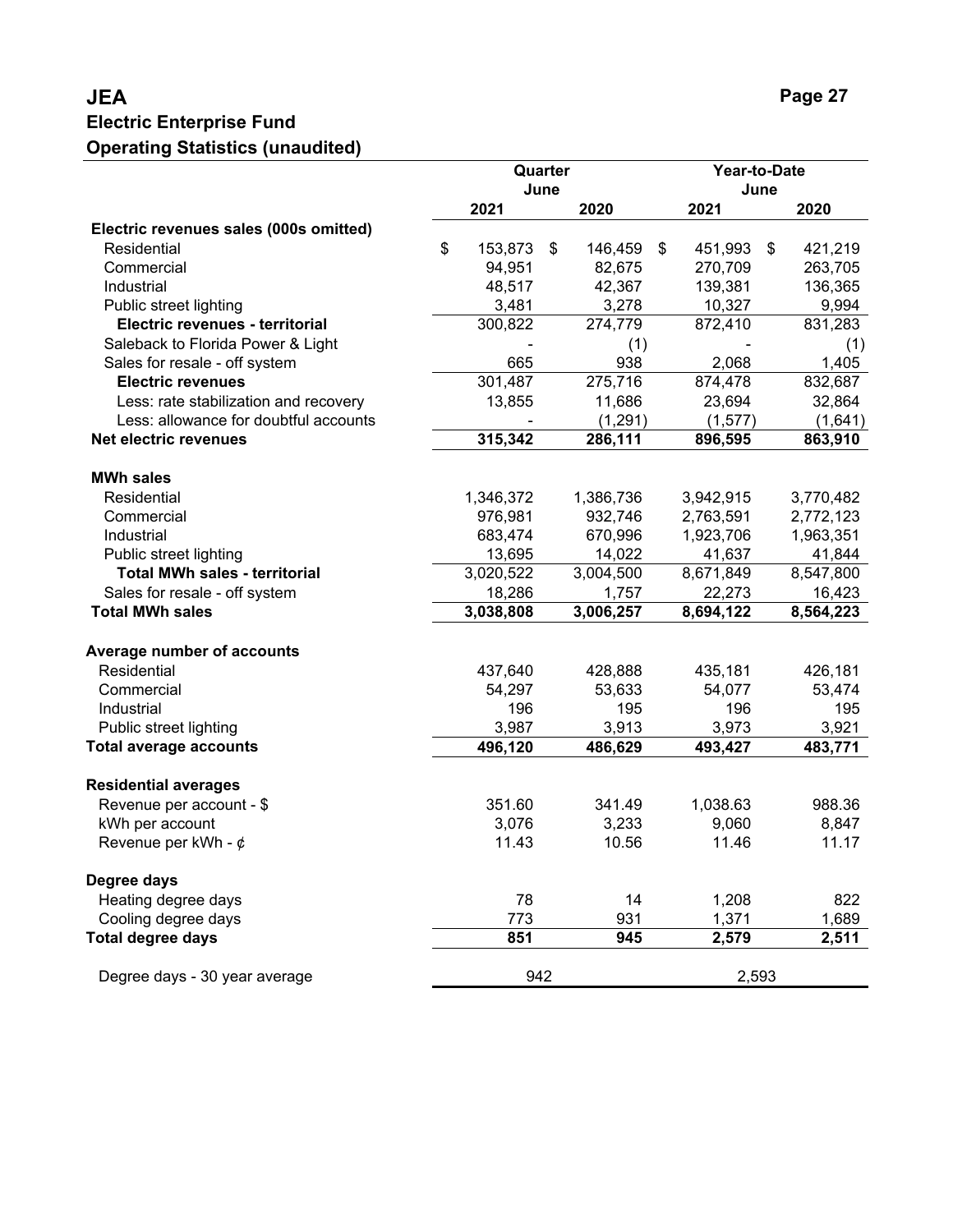# **JEA Page 27 Electric Enterprise Fund Operating Statistics (unaudited)**

|                                        | Quarter |           |      |           |    |                    | Year-to-Date |           |  |  |
|----------------------------------------|---------|-----------|------|-----------|----|--------------------|--------------|-----------|--|--|
|                                        |         |           | June |           |    |                    | June         |           |  |  |
|                                        |         | 2021      |      | 2020      |    | 2021               |              | 2020      |  |  |
| Electric revenues sales (000s omitted) |         |           |      |           |    |                    |              |           |  |  |
| Residential                            | \$      | 153,873   | \$   | 146,459   | \$ | 451,993            | \$           | 421,219   |  |  |
| Commercial                             |         | 94,951    |      | 82,675    |    | 270,709            |              | 263,705   |  |  |
| Industrial                             |         | 48,517    |      | 42,367    |    | 139,381            |              | 136,365   |  |  |
| Public street lighting                 |         | 3,481     |      | 3,278     |    | 10,327             |              | 9,994     |  |  |
| Electric revenues - territorial        |         | 300,822   |      | 274,779   |    | 872,410            |              | 831,283   |  |  |
| Saleback to Florida Power & Light      |         |           |      | (1)       |    |                    |              | (1)       |  |  |
| Sales for resale - off system          |         | 665       |      | 938       |    | 2,068              |              | 1,405     |  |  |
| <b>Electric revenues</b>               |         | 301,487   |      | 275,716   |    | 874,478            |              | 832,687   |  |  |
| Less: rate stabilization and recovery  |         | 13,855    |      | 11,686    |    | 23,694             |              | 32,864    |  |  |
| Less: allowance for doubtful accounts  |         |           |      | (1, 291)  |    | (1, 577)           |              | (1,641)   |  |  |
| Net electric revenues                  |         | 315,342   |      | 286,111   |    | 896,595            |              | 863,910   |  |  |
| <b>MWh sales</b>                       |         |           |      |           |    |                    |              |           |  |  |
| Residential                            |         | 1,346,372 |      | 1,386,736 |    | 3,942,915          |              | 3,770,482 |  |  |
| Commercial                             |         | 976,981   |      | 932,746   |    | 2,763,591          |              | 2,772,123 |  |  |
| Industrial                             |         | 683,474   |      | 670,996   |    | 1,923,706          |              | 1,963,351 |  |  |
| Public street lighting                 |         | 13,695    |      | 14,022    |    | 41,637             |              | 41,844    |  |  |
| <b>Total MWh sales - territorial</b>   |         | 3,020,522 |      | 3,004,500 |    | 8,671,849          |              | 8,547,800 |  |  |
| Sales for resale - off system          |         | 18,286    |      | 1,757     |    | 22,273             |              | 16,423    |  |  |
| <b>Total MWh sales</b>                 |         | 3,038,808 |      | 3,006,257 |    | 8,694,122          |              | 8,564,223 |  |  |
|                                        |         |           |      |           |    |                    |              |           |  |  |
| Average number of accounts             |         |           |      |           |    |                    |              |           |  |  |
| Residential                            |         | 437,640   |      | 428,888   |    | 435,181            |              | 426,181   |  |  |
| Commercial                             |         | 54,297    |      | 53,633    |    | 54,077             |              | 53,474    |  |  |
| Industrial                             |         | 196       |      | 195       |    | 196                |              | 195       |  |  |
| Public street lighting                 |         | 3,987     |      | 3,913     |    | 3,973              |              | 3,921     |  |  |
| <b>Total average accounts</b>          |         | 496,120   |      | 486,629   |    | 493,427            |              | 483,771   |  |  |
| <b>Residential averages</b>            |         |           |      |           |    |                    |              |           |  |  |
| Revenue per account - \$               |         | 351.60    |      | 341.49    |    | 1,038.63           |              | 988.36    |  |  |
| kWh per account                        |         | 3,076     |      | 3,233     |    | 9,060              |              | 8,847     |  |  |
| Revenue per kWh - $\phi$               |         | 11.43     |      | 10.56     |    | 11.46              |              | 11.17     |  |  |
| Degree days                            |         |           |      |           |    |                    |              |           |  |  |
| Heating degree days                    |         | 78        |      | 14        |    | 1,208              |              | 822       |  |  |
| Cooling degree days                    |         | 773       |      | 931       |    | 1,371              |              | 1,689     |  |  |
| <b>Total degree days</b>               |         | 851       |      | 945       |    | $\overline{2,}579$ |              | 2,511     |  |  |
| Degree days - 30 year average          |         | 942       |      |           |    | 2,593              |              |           |  |  |